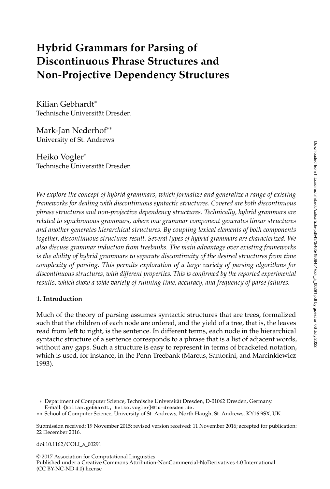# **Hybrid Grammars for Parsing of Discontinuous Phrase Structures and Non-Projective Dependency Structures**

Kilian Gebhardt<sup>∗</sup> Technische Universität Dresden

Mark-Jan Nederhof∗∗ University of St. Andrews

Heiko Vogler<sup>∗</sup> Technische Universität Dresden

*We explore the concept of hybrid grammars, which formalize and generalize a range of existing frameworks for dealing with discontinuous syntactic structures. Covered are both discontinuous phrase structures and non-projective dependency structures. Technically, hybrid grammars are related to synchronous grammars, where one grammar component generates linear structures and another generates hierarchical structures. By coupling lexical elements of both components together, discontinuous structures result. Several types of hybrid grammars are characterized. We also discuss grammar induction from treebanks. The main advantage over existing frameworks is the ability of hybrid grammars to separate discontinuity of the desired structures from time complexity of parsing. This permits exploration of a large variety of parsing algorithms for discontinuous structures, with different properties. This is confirmed by the reported experimental results, which show a wide variety of running time, accuracy, and frequency of parse failures.*

## **1. Introduction**

Much of the theory of parsing assumes syntactic structures that are trees, formalized such that the children of each node are ordered, and the yield of a tree, that is, the leaves read from left to right, is the sentence. In different terms, each node in the hierarchical syntactic structure of a sentence corresponds to a phrase that is a list of adjacent words, without any gaps. Such a structure is easy to represent in terms of bracketed notation, which is used, for instance, in the Penn Treebank (Marcus, Santorini, and Marcinkiewicz 1993).

doi:10.1162/COLI\_a\_00291

© 2017 Association for Computational Linguistics Published under a Creative Commons Attribution-NonCommercial-NoDerivatives 4.0 International (CC BY-NC-ND 4.0) license

<sup>∗</sup> Department of Computer Science, Technische Universität Dresden, D-01062 Dresden, Germany. E-mail: {kilian.gebhardt, heiko.vogler}@tu-dresden.de.

<sup>∗∗</sup> School of Computer Science, University of St. Andrews, North Haugh, St. Andrews, KY16 9SX, UK.

Submission received: 19 November 2015; revised version received: 11 November 2016; accepted for publication: 22 December 2016.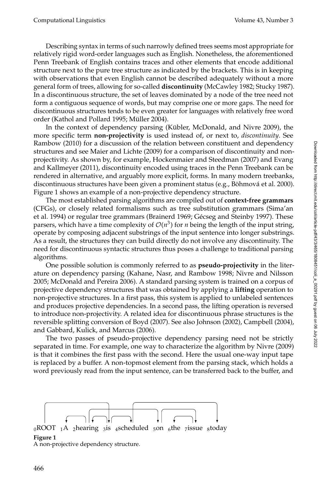Describing syntax in terms of such narrowly defined trees seems most appropriate for relatively rigid word-order languages such as English. Nonetheless, the aforementioned Penn Treebank of English contains traces and other elements that encode additional structure next to the pure tree structure as indicated by the brackets. This is in keeping with observations that even English cannot be described adequately without a more general form of trees, allowing for so-called **discontinuity** (McCawley 1982; Stucky 1987). In a discontinuous structure, the set of leaves dominated by a node of the tree need not form a contiguous sequence of words, but may comprise one or more gaps. The need for discontinuous structures tends to be even greater for languages with relatively free word order (Kathol and Pollard 1995; Müller 2004).

In the context of dependency parsing (Kübler, McDonald, and Nivre 2009), the more specific term **non-projectivity** is used instead of, or next to, *discontinuity*. See Rambow (2010) for a discussion of the relation between constituent and dependency structures and see Maier and Lichte (2009) for a comparison of discontinuity and nonprojectivity. As shown by, for example, Hockenmaier and Steedman (2007) and Evang and Kallmeyer (2011), discontinuity encoded using traces in the Penn Treebank can be rendered in alternative, and arguably more explicit, forms. In many modern treebanks, discontinuous structures have been given a prominent status (e.g., Böhmová et al. 2000). Figure 1 shows an example of a non-projective dependency structure.

The most established parsing algorithms are compiled out of **context-free grammars** (CFGs), or closely related formalisms such as tree substitution grammars (Sima'an et al. 1994) or regular tree grammars (Brainerd 1969; Gécseg and Steinby 1997). These parsers, which have a time complexity of  $\mathcal{O}(n^3)$  for *n* being the length of the input string, operate by composing adjacent substrings of the input sentence into longer substrings. As a result, the structures they can build directly do not involve any discontinuity. The need for discontinuous syntactic structures thus poses a challenge to traditional parsing algorithms.

One possible solution is commonly referred to as **pseudo-projectivity** in the literature on dependency parsing (Kahane, Nasr, and Rambow 1998; Nivre and Nilsson 2005; McDonald and Pereira 2006). A standard parsing system is trained on a corpus of projective dependency structures that was obtained by applying a **lifting** operation to non-projective structures. In a first pass, this system is applied to unlabeled sentences and produces projective dependencies. In a second pass, the lifting operation is reversed to introduce non-projectivity. A related idea for discontinuous phrase structures is the reversible splitting conversion of Boyd (2007). See also Johnson (2002), Campbell (2004), and Gabbard, Kulick, and Marcus (2006).

The two passes of pseudo-projective dependency parsing need not be strictly separated in time. For example, one way to characterize the algorithm by Nivre (2009) is that it combines the first pass with the second. Here the usual one-way input tape is replaced by a buffer. A non-topmost element from the parsing stack, which holds a word previously read from the input sentence, can be transferred back to the buffer, and



A non-projective dependency structure.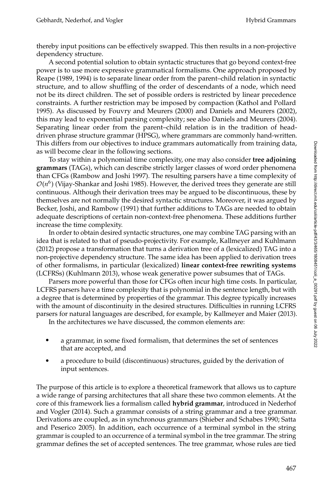thereby input positions can be effectively swapped. This then results in a non-projective dependency structure.

A second potential solution to obtain syntactic structures that go beyond context-free power is to use more expressive grammatical formalisms. One approach proposed by Reape (1989, 1994) is to separate linear order from the parent–child relation in syntactic structure, and to allow shuffling of the order of descendants of a node, which need not be its direct children. The set of possible orders is restricted by linear precedence constraints. A further restriction may be imposed by compaction (Kathol and Pollard 1995). As discussed by Fouvry and Meurers (2000) and Daniels and Meurers (2002), this may lead to exponential parsing complexity; see also Daniels and Meurers (2004). Separating linear order from the parent–child relation is in the tradition of headdriven phrase structure grammar (HPSG), where grammars are commonly hand-written. This differs from our objectives to induce grammars automatically from training data, as will become clear in the following sections.

To stay within a polynomial time complexity, one may also consider **tree adjoining grammars** (TAGs), which can describe strictly larger classes of word order phenomena than CFGs (Rambow and Joshi 1997). The resulting parsers have a time complexity of  $\mathcal{O}(n^6)$  (Vijay-Shankar and Joshi 1985). However, the derived trees they generate are still continuous. Although their derivation trees may be argued to be discontinuous, these by themselves are not normally the desired syntactic structures. Moreover, it was argued by Becker, Joshi, and Rambow (1991) that further additions to TAGs are needed to obtain adequate descriptions of certain non-context-free phenomena. These additions further increase the time complexity.

In order to obtain desired syntactic structures, one may combine TAG parsing with an idea that is related to that of pseudo-projectivity. For example, Kallmeyer and Kuhlmann (2012) propose a transformation that turns a derivation tree of a (lexicalized) TAG into a non-projective dependency structure. The same idea has been applied to derivation trees of other formalisms, in particular (lexicalized) **linear context-free rewriting systems** (LCFRSs) (Kuhlmann 2013), whose weak generative power subsumes that of TAGs.

Parsers more powerful than those for CFGs often incur high time costs. In particular, LCFRS parsers have a time complexity that is polynomial in the sentence length, but with a degree that is determined by properties of the grammar. This degree typically increases with the amount of discontinuity in the desired structures. Difficulties in running LCFRS parsers for natural languages are described, for example, by Kallmeyer and Maier (2013).

In the architectures we have discussed, the common elements are:

- a grammar, in some fixed formalism, that determines the set of sentences that are accepted, and
- a procedure to build (discontinuous) structures, guided by the derivation of input sentences.

The purpose of this article is to explore a theoretical framework that allows us to capture a wide range of parsing architectures that all share these two common elements. At the core of this framework lies a formalism called **hybrid grammar**, introduced in Nederhof and Vogler (2014). Such a grammar consists of a string grammar and a tree grammar. Derivations are coupled, as in synchronous grammars (Shieber and Schabes 1990; Satta and Peserico 2005). In addition, each occurrence of a terminal symbol in the string grammar is coupled to an occurrence of a terminal symbol in the tree grammar. The string grammar defines the set of accepted sentences. The tree grammar, whose rules are tied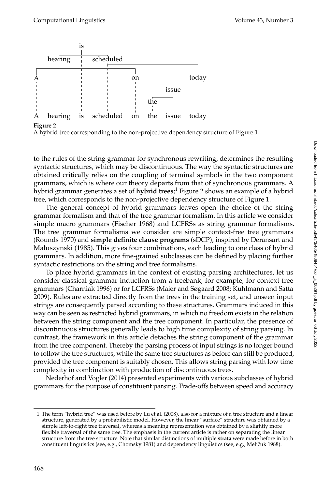



to the rules of the string grammar for synchronous rewriting, determines the resulting syntactic structures, which may be discontinuous. The way the syntactic structures are obtained critically relies on the coupling of terminal symbols in the two component grammars, which is where our theory departs from that of synchronous grammars. A hybrid grammar generates a set of **hybrid trees**; <sup>1</sup> Figure 2 shows an example of a hybrid tree, which corresponds to the non-projective dependency structure of Figure 1.

The general concept of hybrid grammars leaves open the choice of the string grammar formalism and that of the tree grammar formalism. In this article we consider simple macro grammars (Fischer 1968) and LCFRSs as string grammar formalisms. The tree grammar formalisms we consider are simple context-free tree grammars (Rounds 1970) and **simple definite clause programs** (sDCP), inspired by Deransart and Małuszynski (1985). This gives four combinations, each leading to one class of hybrid grammars. In addition, more fine-grained subclasses can be defined by placing further syntactic restrictions on the string and tree formalisms.

To place hybrid grammars in the context of existing parsing architectures, let us consider classical grammar induction from a treebank, for example, for context-free grammars (Charniak 1996) or for LCFRSs (Maier and Søgaard 2008; Kuhlmann and Satta 2009). Rules are extracted directly from the trees in the training set, and unseen input strings are consequently parsed according to these structures. Grammars induced in this way can be seen as restricted hybrid grammars, in which no freedom exists in the relation between the string component and the tree component. In particular, the presence of discontinuous structures generally leads to high time complexity of string parsing. In contrast, the framework in this article detaches the string component of the grammar from the tree component. Thereby the parsing process of input strings is no longer bound to follow the tree structures, while the same tree structures as before can still be produced, provided the tree component is suitably chosen. This allows string parsing with low time complexity in combination with production of discontinuous trees.

Nederhof and Vogler (2014) presented experiments with various subclasses of hybrid grammars for the purpose of constituent parsing. Trade-offs between speed and accuracy

<sup>1</sup> The term "hybrid tree" was used before by Lu et al. (2008), also for a mixture of a tree structure and a linear structure, generated by a probabilistic model. However, the linear "surface" structure was obtained by a simple left-to-right tree traversal, whereas a meaning representation was obtained by a slightly more flexible traversal of the same tree. The emphasis in the current article is rather on separating the linear structure from the tree structure. Note that similar distinctions of multiple **strata** were made before in both constituent linguistics (see, e.g., Chomsky 1981) and dependency linguistics (see, e.g., Mel'čuk 1988).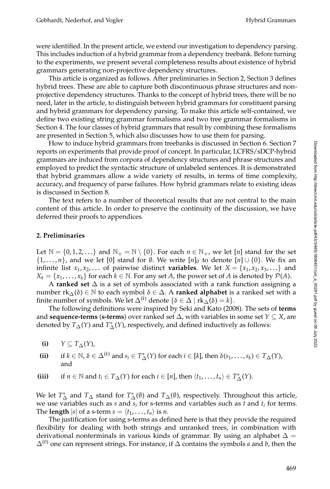were identified. In the present article, we extend our investigation to dependency parsing. This includes induction of a hybrid grammar from a dependency treebank. Before turning to the experiments, we present several completeness results about existence of hybrid grammars generating non-projective dependency structures.

This article is organized as follows. After preliminaries in Section 2, Section 3 defines hybrid trees. These are able to capture both discontinuous phrase structures and nonprojective dependency structures. Thanks to the concept of hybrid trees, there will be no need, later in the article, to distinguish between hybrid grammars for constituent parsing and hybrid grammars for dependency parsing. To make this article self-contained, we define two existing string grammar formalisms and two tree grammar formalisms in Section 4. The four classes of hybrid grammars that result by combining these formalisms are presented in Section 5, which also discusses how to use them for parsing.

How to induce hybrid grammars from treebanks is discussed in Section 6. Section 7 reports on experiments that provide proof of concept. In particular, LCFRS/sDCP-hybrid grammars are induced from corpora of dependency structures and phrase structures and employed to predict the syntactic structure of unlabeled sentences. It is demonstrated that hybrid grammars allow a wide variety of results, in terms of time complexity, accuracy, and frequency of parse failures. How hybrid grammars relate to existing ideas is discussed in Section 8.

The text refers to a number of theoretical results that are not central to the main content of this article. In order to preserve the continuity of the discussion, we have deferred their proofs to appendices.

## **2. Preliminaries**

Let  $\mathbb{N} = \{0, 1, 2, \ldots\}$  and  $\mathbb{N}_+ = \mathbb{N} \setminus \{0\}$ . For each  $n \in \mathbb{N}_+$ , we let [*n*] stand for the set  $\{1,\ldots,n\}$ , and we let [0] stand for  $\emptyset$ . We write  $[n]_0$  to denote  $[n] \cup \{0\}$ . We fix an infinite list  $x_1, x_2, \ldots$  of pairwise distinct **variables**. We let  $X = \{x_1, x_2, x_3, \ldots\}$  and  $X_k = \{x_1, \ldots, x_k\}$  for each  $k \in \mathbb{N}$ . For any set *A*, the power set of *A* is denoted by  $\mathcal{P}(A)$ .

A **ranked set** ∆ is a set of symbols associated with a rank function assigning a number  $rk_\Delta(\delta)$  ∈ N to each symbol  $\delta$  ∈  $\Delta$ . A **ranked alphabet** is a ranked set with a finite number of symbols. We let  $\Delta^{(k)}$  denote  $\{\delta \in \Delta \mid \text{rk}_{\Delta}(\delta) = k\}.$ 

The following definitions were inspired by Seki and Kato (2008). The sets of **terms** and **sequence-terms** (**s-terms**) over ranked set  $\Delta$ , with variables in some set  $Y \subseteq X$ , are denoted by  $T_\Delta(Y)$  and  $T^*_\Delta(Y)$ , respectively, and defined inductively as follows:

- **(i)**  $Y \subseteq T_∆(Y)$ ,
- (ii) if  $k \in \mathbb{N}$ ,  $\delta \in \Delta^{(k)}$  and  $s_i \in T^*_{\Delta}(Y)$  for each  $i \in [k]$ , then  $\delta(s_1, \ldots, s_k) \in T_{\Delta}(Y)$ , and
- (iii) if  $n \in \mathbb{N}$  and  $t_i \in T_\Delta(Y)$  for each  $i \in [n]$ , then  $\langle t_1, \ldots, t_n \rangle \in T_\Delta^*(Y)$ .

We let  $T^*_{\Delta}$  and  $T_{\Delta}$  stand for  $T^*_{\Delta}(\emptyset)$  and  $T_{\Delta}(\emptyset)$ , respectively. Throughout this article, we use variables such as *s* and *s<sup>i</sup>* for s-terms and variables such as *t* and *t<sup>i</sup>* for terms. The **length** |s| of a s-term  $s = \langle t_1, \ldots, t_n \rangle$  is *n*.

The justification for using s-terms as defined here is that they provide the required flexibility for dealing with both strings and unranked trees, in combination with derivational nonterminals in various kinds of grammar. By using an alphabet  $\Delta =$ ∆(0) one can represent strings. For instance, if ∆ contains the symbols *a* and *b*, then the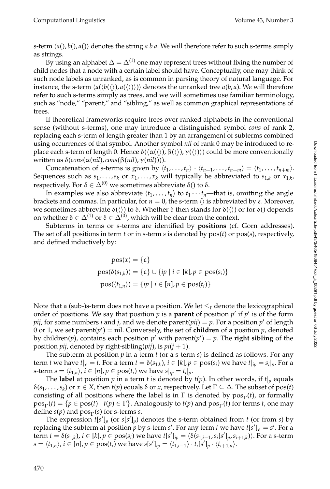s-term  $\langle a(), b(), a()\rangle$  denotes the string *a b a*. We will therefore refer to such s-terms simply as strings.

By using an alphabet  $\Delta = \Delta^{(1)}$  one may represent trees without fixing the number of child nodes that a node with a certain label should have. Conceptually, one may think of such node labels as unranked, as is common in parsing theory of natural language. For instance, the s-term  $\langle a(\langle b(\langle \rangle), a(\langle \rangle)) \rangle$  denotes the unranked tree  $a(b, a)$ . We will therefore refer to such s-terms simply as trees, and we will sometimes use familiar terminology, such as "node," "parent," and "sibling," as well as common graphical representations of trees.

If theoretical frameworks require trees over ranked alphabets in the conventional sense (without s-terms), one may introduce a distinguished symbol *cons* of rank 2, replacing each s-term of length greater than 1 by an arrangement of subterms combined using occurrences of that symbol. Another symbol *nil* of rank 0 may be introduced to replace each s-term of length 0. Hence  $\delta(\langle \alpha(\langle \rangle), \beta(\langle \rangle), \gamma(\langle \rangle))$  could be more conventionally written as δ(*cons*(α(*nil*), *cons*(β(*nil*), γ(*nil*)))).

Concatenation of s-terms is given by  $\langle t_1, \ldots, t_n \rangle \cdot \langle t_{n+1}, \ldots, t_{n+m} \rangle = \langle t_1, \ldots, t_{n+m} \rangle$ . Sequences such as  $s_1, \ldots, s_k$  or  $x_1, \ldots, x_k$  will typically be abbreviated to  $s_{1,k}$  or  $x_{1,k}$ , respectively. For  $\delta \in \Delta^{(0)}$  we sometimes abbreviate  $\delta()$  to  $\delta$ .

In examples we also abbreviate  $\langle t_1, \ldots, t_n \rangle$  to  $t_1 \cdots t_n$ —that is, omitting the angle brackets and commas. In particular, for  $n = 0$ , the s-term  $\langle \rangle$  is abbreviated by  $\varepsilon$ . Moreover, we sometimes abbreviate  $\delta(\langle \rangle)$  to  $\delta$ . Whether  $\delta$  then stands for  $\delta(\langle \rangle)$  or for  $\delta$ () depends on whether  $\delta \in \Delta^{(1)}$  or  $\delta \in \Delta^{(0)}$ , which will be clear from the context.

Subterms in terms or s-terms are identified by **positions** (cf. Gorn addresses). The set of all positions in term *t* or in s-term *s* is denoted by  $pos(t)$  or  $pos(s)$ , respectively, and defined inductively by:

$$
pos(x) = \{\varepsilon\}
$$
  

$$
pos(\delta(s_{1,k})) = \{\varepsilon\} \cup \{ip \mid i \in [k], p \in pos(s_i)\}
$$
  

$$
pos(\langle t_{1,n} \rangle) = \{ip \mid i \in [n], p \in pos(t_i)\}
$$

Note that a (sub-)s-term does not have a position. We let  $\leq_\ell$  denote the lexicographical order of positions. We say that position  $\hat{p}$  is a **parent** of position  $p'$  if  $p'$  is of the form *pij*, for some numbers *i* and *j*, and we denote parent(*pij*) = *p*. For a position *p*' of length  $0$  or 1, we set parent $(p') = \text{nil}$ . Conversely, the set of **children** of a position *p*, denoted by children(*p*), contains each position  $p'$  with parent( $p'$ ) =  $p$ . The **right sibling** of the position *pij*, denoted by right-sibling(*pij*), is  $pi(j + 1)$ .

The subterm at position *p* in a term *t* (or a s-term *s*) is defined as follows. For any term *t* we have  $t|_{\varepsilon} = t$ . For a term  $t = \delta(s_{1,k})$ ,  $i \in [k]$ ,  $p \in \text{pos}(s_i)$  we have  $t|_{ip} = s_i|_p$ . For a s-term  $s = \langle t_{1,n} \rangle$ ,  $i \in [n]$ ,  $p \in \text{pos}(t_i)$  we have  $s|_{ip} = t_i|_p$ .

The **label** at position *p* in a term *t* is denoted by  $t(p)$ . In other words, if  $t|_p$  equals  $δ(s_1, …, s_k)$  or  $x ∈ X$ , then  $t(p)$  equals  $δ$  or  $x$ , respectively. Let  $Γ ⊆ ∆$ . The subset of pos(*t*) consisting of all positions where the label is in  $\Gamma$  is denoted by  $\text{pos}_{\Gamma}(t)$ , or formally  $pos_{\Gamma}(t) = \{p \in pos(t) \mid t(p) \in \Gamma\}$ . Analogously to  $t(p)$  and  $pos_{\Gamma}(t)$  for terms *t*, one may define  $s(p)$  and  $pos_{\Gamma}(s)$  for s-terms *s*.

The expression  $t[s']_p$  (or  $s[s']_p$ ) denotes the s-term obtained from *t* (or from *s*) by replacing the subterm at position *p* by s-term *s'*. For any term *t* we have  $t[s']_{\varepsilon} = s'$ . For a term  $t=\delta(s_{1,k})$ ,  $i\in[k]$ ,  $p\in{\rm pos}(s_i)$  we have  $t[s']_{ip}=\langle \delta(s_{1,i-1},s_i[s']_p,s_{i+1,k})\rangle.$  For a s-term  $s = \langle t_{1,n} \rangle$ ,  $i \in [n]$ ,  $p \in \text{pos}(t_i)$  we have  $s[s']_{ip} = \langle t_{1,i-1} \rangle \cdot t_i[s']_p \cdot \langle t_{i+1,n} \rangle$ .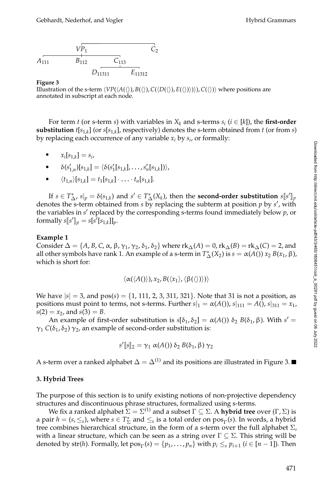



#### **Figure 3**

Illustration of the s-term  $\langle VP(\langle A(\langle \rangle), B(\langle \rangle), C(\langle D(\langle \rangle), E(\langle \rangle))))$ ,  $C(\langle \rangle)$  where positions are annotated in subscript at each node.

For term *t* (or s-term *s*) with variables in  $X_k$  and s-terms  $s_i$  ( $i \in [k]$ ), the **first-order substitution**  $t[s_{1,k}]$  (or  $s[s_{1,k}]$ , respectively) denotes the s-term obtained from  $t$  (or from  $s$ ) by replacing each occurrence of any variable *x<sup>i</sup>* by *s<sup>i</sup>* , or formally:

 $x_i[s_{1,k}] = s_i,$ 

• 
$$
\delta(s'_{1,n})[s_{1,k}] = \langle \delta(s'_{1}[s_{1,k}], \ldots, s'_{n}[s_{1,k}]) \rangle,
$$

r  $\langle t_{1,n} \rangle [s_{1,k}] = t_1 [s_{1,k}] \cdot \ldots \cdot t_n [s_{1,k}].$ 

If  $s \in T_{\Delta}^*$ ,  $s|_p = \delta(s_{1,k})$  and  $s' \in T_{\Delta}^*(X_k)$ , then the **second-order substitution**  $s[[s']_p)$  order the storm obtained from s by replacing the subterm at position *n* by  $s'$  with denotes the s-term obtained from  $s$  by replacing the subterm at position  $p$  by  $s'$ , with the variables in *s'* replaced by the corresponding s-terms found immediately below *p*, or formally  $s[[s']]_p = s[s'[s_{1,k}]]_p$ .

#### **Example 1**

Consider  $\Delta = \{A, B, C, \alpha, \beta, \gamma_1, \gamma_2, \delta_1, \delta_2\}$  where  $\text{rk}_{\Delta}(A) = 0$ ,  $\text{rk}_{\Delta}(B) = \text{rk}_{\Delta}(C) = 2$ , and all other symbols have rank 1. An example of a s-term in  $T^*_{\Delta}(X_2)$  is  $s = \alpha(A)) x_2 B(x_1, \beta)$ , which is short for:

$$
\langle \alpha(\langle A(\mathbf{1})\rangle), x_2, B(\langle x_1\rangle, \langle \beta(\langle \mathbf{1}\rangle)\rangle)
$$

We have |*s*| = 3, and pos(*s*) = {1, 111, 2, 3, 311, 321}. Note that 31 is not a position, as positions must point to terms, not s-terms. Further  $s|_1 = \alpha(A())$ ,  $s|_{111} = A()$ ,  $s|_{311} = x_1$ ,  $s(2) = x_2$ , and  $s(3) = B$ .

An example of first-order substitution is  $s[\delta_1, \delta_2] = \alpha(A)) \delta_2 B(\delta_1, \beta)$ . With  $s' =$  $γ<sub>1</sub> C(δ<sub>1</sub>, δ<sub>2</sub>) γ<sub>2</sub>$ , an example of second-order substitution is:

$$
s'[s]_2 = \gamma_1 \alpha(A()) \delta_2 B(\delta_1, \beta) \gamma_2
$$

A s-term over a ranked alphabet  $\Delta = \Delta^{(1)}$  and its positions are illustrated in Figure 3. ■

#### **3. Hybrid Trees**

The purpose of this section is to unify existing notions of non-projective dependency structures and discontinuous phrase structures, formalized using s-terms.

We fix a ranked alphabet  $\Sigma = \Sigma^{(1)}$  and a subset  $\Gamma \subseteq \Sigma$ . A **hybrid tree** over  $(\Gamma, \Sigma)$  is a pair  $h = (s, \leq_s)$ , where  $s \in T_{\Sigma}^*$  and  $\leq_s$  is a total order on  $\text{pos}_{\Gamma}(s)$ . In words, a hybrid tree combines hierarchical structure, in the form of a s-term over the full alphabet  $Σ$ , with a linear structure, which can be seen as a string over  $\Gamma \subseteq \Sigma$ . This string will be denoted by str(*h*). Formally, let  $pos_{\Gamma}(s) = \{p_1, \ldots, p_n\}$  with  $p_i \leq_s p_{i+1}$  ( $i \in [n-1]$ ). Then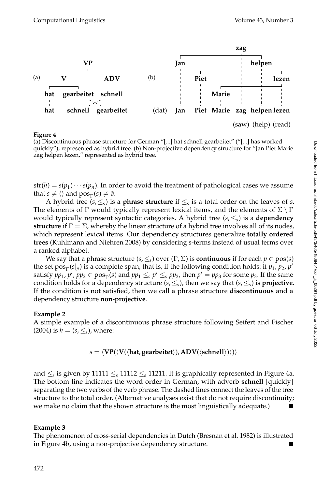

#### **Figure 4**

(a) Discontinuous phrase structure for German "[...] hat schnell gearbeitet" ("[...] has worked quickly"), represented as hybrid tree. (b) Non-projective dependency structure for "Jan Piet Marie zag helpen lezen," represented as hybrid tree.

 $str(h) = s(p_1) \cdots s(p_n)$ . In order to avoid the treatment of pathological cases we assume that  $s \neq \langle \rangle$  and  $\text{pos}_{\Gamma}(s) \neq \emptyset$ .

A hybrid tree  $(s, \leq_s)$  is a **phrase structure** if  $\leq_s$  is a total order on the leaves of *s*. The elements of Γ would typically represent lexical items, and the elements of  $\Sigma \setminus \Gamma$ would typically represent syntactic categories. A hybrid tree (*s*, ≤*<sup>s</sup>* ) is a **dependency structure** if  $\Gamma = \Sigma$ , whereby the linear structure of a hybrid tree involves all of its nodes, which represent lexical items. Our dependency structures generalize **totally ordered trees** (Kuhlmann and Niehren 2008) by considering s-terms instead of usual terms over a ranked alphabet.

We say that a phrase structure  $(s, \leq_s)$  over  $(\Gamma, \Sigma)$  is **continuous** if for each  $p \in \text{pos}(s)$ the set  $pos_{\Gamma}(s|_{p})$  is a complete span, that is, if the following condition holds: if  $p_1$ ,  $p_2$ ,  $p'$ satisfy  $pp_1$ ,  $p'$ ,  $pp_2 \in pos_\Gamma(s)$  and  $pp_1 \leq_s p' \leq_s pp_2$ , then  $p' = pp_3$  for some  $p_3$ . If the same condition holds for a dependency structure ( $s, \leq_s$ ), then we say that ( $s, \leq_s$ ) is **projective**. If the condition is not satisfied, then we call a phrase structure **discontinuous** and a dependency structure **non-projective**.

## **Example 2**

A simple example of a discontinuous phrase structure following Seifert and Fischer (2004) is  $h = (s, \leq_s)$ , where:

$$
s = \langle VP(\langle V(\langle hat, gearbeitet \rangle), ADV(\langle schnell \rangle)) \rangle)
$$

and ≤*<sup>s</sup>* is given by 11111 ≤*<sup>s</sup>* 11112 ≤*<sup>s</sup>* 11211. It is graphically represented in Figure 4a. The bottom line indicates the word order in German, with adverb **schnell** [quickly] separating the two verbs of the verb phrase. The dashed lines connect the leaves of the tree structure to the total order. (Alternative analyses exist that do not require discontinuity; we make no claim that the shown structure is the most linguistically adequate.)

## **Example 3**

The phenomenon of cross-serial dependencies in Dutch (Bresnan et al. 1982) is illustrated in Figure 4b, using a non-projective dependency structure. **The State**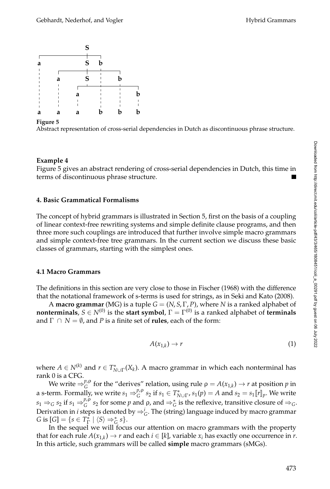

**Figure 5**

Abstract representation of cross-serial dependencies in Dutch as discontinuous phrase structure.

## **Example 4**

Figure 5 gives an abstract rendering of cross-serial dependencies in Dutch, this time in terms of discontinuous phrase structure.

## **4. Basic Grammatical Formalisms**

The concept of hybrid grammars is illustrated in Section 5, first on the basis of a coupling of linear context-free rewriting systems and simple definite clause programs, and then three more such couplings are introduced that further involve simple macro grammars and simple context-free tree grammars. In the current section we discuss these basic classes of grammars, starting with the simplest ones.

## **4.1 Macro Grammars**

The definitions in this section are very close to those in Fischer (1968) with the difference that the notational framework of s-terms is used for strings, as in Seki and Kato (2008).

A **macro grammar** (MG) is a tuple *G* = (*N*, *S*, Γ, *P*), where *N* is a ranked alphabet of **nonterminals**,  $S \in N^{(0)}$  is the **start symbol**,  $\Gamma = \Gamma^{(0)}$  is a ranked alphabet of **terminals** and  $\Gamma \cap N = \emptyset$ , and *P* is a finite set of **rules**, each of the form:

$$
A(x_{1,k}) \to r \tag{1}
$$

where  $A \in N^{(k)}$  and  $r \in T^*_{N \cup \Gamma}(X_k)$ . A macro grammar in which each nonterminal has rank 0 is a CFG.

We write  $\Rightarrow_G^{p,\rho}$  $G$ <sup>*G*</sup> for the "derives" relation, using rule  $\rho = A(x_{1,k}) \rightarrow r$  at position *p* in a s-term. Formally, we write  $s_1 \Rightarrow_G^{p,p}$ *g*<sub>C</sub>  $s_2$  if  $s_1 \in T^*_{N \cup \Gamma}$ ,  $s_1(p) = A$  and  $s_2 = s_1[r]_p$ . We write  $s_1 \Rightarrow_G s_2$  if  $s_1 \Rightarrow_G^{p,q}$  $P$ <sup>*p*</sup>, $P$ </sup> *s*<sub>2</sub> for some *p* and *ρ*, and  $⇒$ <sup>\*</sup><sub>*G*</sub> is the reflexive, transitive closure of  $⇒$ *<sub>G</sub>*. Derivation in *i* steps is denoted by  $\Rightarrow_G^i$ . The (string) language induced by macro grammar  $G$  is  $[G] = \{s \in T^*_{\Gamma} \mid \langle S \rangle \Rightarrow^*_{G} s\}.$ 

In the sequel we will focus our attention on macro grammars with the property that for each rule  $A(x_{1,k}) \to r$  and each  $i \in [k]$ , variable  $x_i$  has exactly one occurrence in  $r$ . In this article, such grammars will be called **simple** macro grammars (sMGs).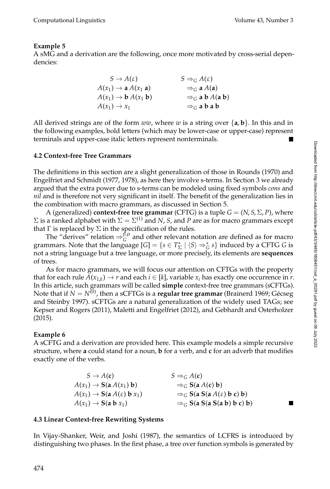a s

## **Example 5**

A sMG and a derivation are the following, once more motivated by cross-serial dependencies:

| $S \to A(\varepsilon)$          | $S \Rightarrow_G A(\varepsilon)$ |
|---------------------------------|----------------------------------|
| $A(x_1) \rightarrow a A(x_1 a)$ | $\Rightarrow_G$ a $A(a)$         |
| $A(x_1) \rightarrow b A(x_1 b)$ | $\Rightarrow_G$ a b A(a b)       |
| $A(x_1) \rightarrow x_1$        | $\Rightarrow_G$ a b a b          |

All derived strings are of the form  $ww$ , where  $w$  is a string over  $\{a, b\}$ . In this and in the following examples, bold letters (which may be lower-case or upper-case) represent terminals and upper-case italic letters represent nonterminals. ×

#### **4.2 Context-free Tree Grammars**

The definitions in this section are a slight generalization of those in Rounds (1970) and Engelfriet and Schmidt (1977, 1978), as here they involve s-terms. In Section 3 we already argued that the extra power due to s-terms can be modeled using fixed symbols *cons* and *nil* and is therefore not very significant in itself. The benefit of the generalization lies in the combination with macro grammars, as discussed in Section 5.

A (generalized) **context-free tree grammar** (CFTG) is a tuple  $G = (N, S, \Sigma, P)$ , where  $\Sigma$  is a ranked alphabet with  $\Sigma = \Sigma$ <sup>(1)</sup> and *N*, *S*, and *P* are as for macro grammars except that  $\Gamma$  is replaced by  $\Sigma$  in the specification of the rules.

The "derives" relation  $\Rightarrow_{G}^{\cancel{p},\rho}$  $G$  and other relevant notation are defined as for macro grammars. Note that the language  $[G] = \{s \in T_{\Sigma}^* \mid \langle S \rangle \Rightarrow^*_{G} s\}$  induced by a CFTG  $G$  is not a string language but a tree language, or more precisely, its elements are **sequences** of trees.

As for macro grammars, we will focus our attention on CFTGs with the property that for each rule  $A(x_{1,k}) \to r$  and each  $i \in [k]$ , variable  $x_i$  has exactly one occurrence in  $r$ . In this article, such grammars will be called **simple** context-free tree grammars (sCFTGs). Note that if  $N = N^{(0)}$ , then a sCFTGs is a **regular tree grammar** (Brainerd 1969; Gécseg and Steinby 1997). sCFTGs are a natural generalization of the widely used TAGs; see Kepser and Rogers (2011), Maletti and Engelfriet (2012), and Gebhardt and Osterholzer (2015).

#### **Example 6**

A sCFTG and a derivation are provided here. This example models a simple recursive structure, where **a** could stand for a noun, **b** for a verb, and **c** for an adverb that modifies exactly one of the verbs.

> $S \rightarrow A(c)$   $S \Rightarrow_G A(c)$  $A(x_1) \rightarrow S$ (**a**  $A(x_1)$  $\Rightarrow$ <sup>*G*</sup> **S**(**a** *A*(**c**) **b**)  $A(x_1) \rightarrow \mathbf{S}(\mathbf{a} A(\varepsilon) \mathbf{b} x_1)$  $\Rightarrow_G$  **S**(**a S**(**a** *A*( $\varepsilon$ ) **b c**) **b**)  $A(x_1) \rightarrow S$ (a b  $x_1$  $\Rightarrow$ <sup>*G*</sup> **S**(**a S**(**a b**) **b c**) **b**)

#### **4.3 Linear Context-free Rewriting Systems**

In Vijay-Shanker, Weir, and Joshi (1987), the semantics of LCFRS is introduced by distinguishing two phases. In the first phase, a tree over function symbols is generated by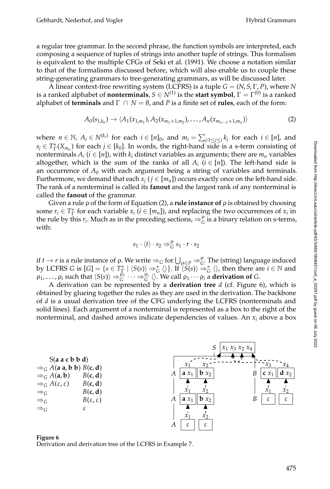a regular tree grammar. In the second phrase, the function symbols are interpreted, each composing a sequence of tuples of strings into another tuple of strings. This formalism is equivalent to the multiple CFGs of Seki et al. (1991). We choose a notation similar to that of the formalisms discussed before, which will also enable us to couple these string-generating grammars to tree-generating grammars, as will be discussed later.

A linear context-free rewriting system (LCFRS) is a tuple *G* = (*N*, *S*, Γ, *P*), where *N* is a ranked alphabet of **nonterminals**,  $S \in N^{(1)}$  is the **start symbol**,  $\Gamma = \Gamma^{(0)}$  is a ranked alphabet of **terminals** and  $\Gamma \cap N = \emptyset$ , and *P* is a finite set of **rules**, each of the form:

$$
A_0(s_{1,k_0}) \to \langle A_1(x_{1,m_1}), A_2(x_{m_1+1,m_2}), \dots, A_n(x_{m_{n-1}+1,m_n}) \rangle \tag{2}
$$

where  $n \in \mathbb{N}$ ,  $A_i \in N^{(k_i)}$  for each  $i \in [n]_0$ , and  $m_i = \sum_{j:1 \leq j \leq i} k_j$  for each  $i \in [n]$ , and  $s_j \in T^*_{\Gamma}(X_{m_n})$  for each  $j \in [k_0]$ . In words, the right-hand side is a s-term consisting of nonterminals  $A_i$  ( $i \in [n]$ ), with  $k_i$  distinct variables as arguments; there are  $m_n$  variables altogether, which is the sum of the ranks of all  $A_i$  ( $i \in [n]$ ). The left-hand side is an occurrence of  $A_0$  with each argument being a string of variables and terminals. Furthermore, we demand that each  $x_j$  ( $j \in [m_n]$ ) occurs exactly once on the left-hand side. The rank of a nonterminal is called its **fanout** and the largest rank of any nonterminal is called the **fanout** of the grammar.

Given a rule ρ of the form of Equation (2), a **rule instance of** ρ is obtained by choosing some  $r_i \in T_{\Gamma}^*$  for each variable  $x_i$  ( $i \in [m_n]$ ), and replacing the two occurrences of  $x_i$  in the rule by this  $r_i$ . Much as in the preceding sections,  $\Rightarrow^{\rho}_G$  is a binary relation on s-terms, with:

$$
s_1 \cdot \langle t \rangle \cdot s_2 \Rightarrow^{\rho}_G s_1 \cdot r \cdot s_2
$$

if  $t \to r$  is a rule instance of  $\rho$ . We write  $\Rightarrow_G$  for  $\bigcup_{\rho \in P} \Rightarrow^{\rho}_G$ . The (string) language induced by LCFRS *G* is  $[G] = \{s \in T_{\Gamma}^* \mid \langle S(s) \rangle \Rightarrow_G^* \langle \rangle\}$ . If  $\langle \overline{S}(s) \rangle \Rightarrow_G^* \langle \rangle$ , then there are  $i \in \mathbb{N}$  and  $\rho_1, \ldots, \rho_i$  such that  $\langle S(s) \rangle \Rightarrow_G^{\rho_1} \cdots \Rightarrow_G^{\rho_i} \langle \rangle$ . We call  $\rho_1 \cdots \rho_i$  a **derivation of** *G*.

A derivation can be represented by a **derivation tree** *d* (cf. Figure 6), which is obtained by glueing together the rules as they are used in the derivation. The backbone of *d* is a usual derivation tree of the CFG underlying the LCFRS (nonterminals and solid lines). Each argument of a nonterminal is represented as a box to the right of the nonterminal, and dashed arrows indicate dependencies of values. An *x<sup>i</sup>* above a box



**Figure 6** Derivation and derivation tree of the LCFRS in Example 7.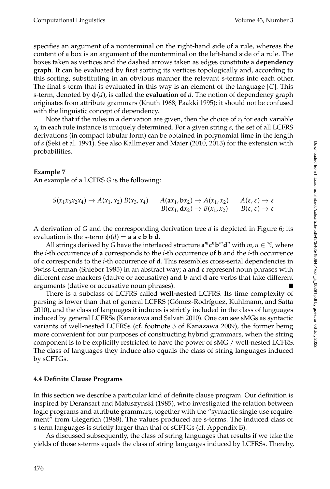specifies an argument of a nonterminal on the right-hand side of a rule, whereas the content of a box is an argument of the nonterminal on the left-hand side of a rule. The boxes taken as vertices and the dashed arrows taken as edges constitute a **dependency graph**. It can be evaluated by first sorting its vertices topologically and, according to this sorting, substituting in an obvious manner the relevant s-terms into each other. The final s-term that is evaluated in this way is an element of the language [*G*]. This s-term, denoted by  $\phi(d)$ , is called the **evaluation of** *d*. The notion of dependency graph originates from attribute grammars (Knuth 1968; Paakki 1995); it should not be confused with the linguistic concept of dependency.

Note that if the rules in a derivation are given, then the choice of *r<sup>i</sup>* for each variable *xi* in each rule instance is uniquely determined. For a given string *s*, the set of all LCFRS derivations (in compact tabular form) can be obtained in polynomial time in the length of *s* (Seki et al. 1991). See also Kallmeyer and Maier (2010, 2013) for the extension with probabilities.

## **Example 7**

An example of a LCFRS *G* is the following:

$$
S(x_1x_3x_2x_4) \to A(x_1, x_2) B(x_3, x_4) \qquad A(ax_1, bx_2) \to A(x_1, x_2) \qquad A(\varepsilon, \varepsilon) \to \varepsilon
$$
  
 
$$
B(cx_1, dx_2) \to B(x_1, x_2) \qquad B(\varepsilon, \varepsilon) \to \varepsilon
$$

A derivation of *G* and the corresponding derivation tree *d* is depicted in Figure 6; its evaluation is the s-term  $\phi(d) = \mathbf{a} \cdot \mathbf{c} \cdot \mathbf{b} \cdot \mathbf{d}$ .

All strings derived by *G* have the interlaced structure  $\mathbf{a}^m \mathbf{c}^n \mathbf{b}^m \mathbf{d}^n$  with  $m, n \in \mathbb{N}$ , where the *i*-th occurrence of **a** corresponds to the *i*-th occurrence of **b** and the *i*-th occurrence of **c** corresponds to the *i*-th occurrence of **d**. This resembles cross-serial dependencies in Swiss German (Shieber 1985) in an abstract way; **a** and **c** represent noun phrases with different case markers (dative or accusative) and **b** and **d** are verbs that take different arguments (dative or accusative noun phrases). E

There is a subclass of LCFRS called **well-nested** LCFRS. Its time complexity of parsing is lower than that of general LCFRS (Gómez-Rodríguez, Kuhlmann, and Satta 2010), and the class of languages it induces is strictly included in the class of languages induced by general LCFRSs (Kanazawa and Salvati 2010). One can see sMGs as syntactic variants of well-nested LCFRSs (cf. footnote 3 of Kanazawa 2009), the former being more convenient for our purposes of constructing hybrid grammars, when the string component is to be explicitly restricted to have the power of sMG / well-nested LCFRS. The class of languages they induce also equals the class of string languages induced by sCFTGs.

## **4.4 Definite Clause Programs**

In this section we describe a particular kind of definite clause program. Our definition is inspired by Deransart and Małuszynski (1985), who investigated the relation between logic programs and attribute grammars, together with the "syntactic single use requirement" from Giegerich (1988). The values produced are s-terms. The induced class of s-term languages is strictly larger than that of sCFTGs (cf. Appendix B).

As discussed subsequently, the class of string languages that results if we take the yields of those s-terms equals the class of string languages induced by LCFRSs. Thereby,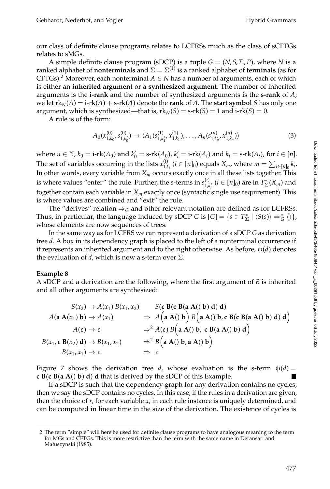our class of definite clause programs relates to LCFRSs much as the class of sCFTGs relates to sMGs.

A simple definite clause program (sDCP) is a tuple  $G = (N, S, \Sigma, P)$ , where N is a ranked alphabet of **nonterminals** and  $\Sigma = \Sigma^{(1)}$  is a ranked alphabet of **terminals** (as for CFTGs).<sup>2</sup> Moreover, each nonterminal  $A \in N$  has a number of arguments, each of which is either an **inherited argument** or a **synthesized argument**. The number of inherited arguments is the **i-rank** and the number of synthesized arguments is the **s-rank** of *A*; we let  $rk_N(A) = i$ - $rk(A) + s$ - $rk(A)$  denote the **rank** of A. The **start symbol** S has only one argument, which is synthesized—that is,  $rk_N(S) = s-rk(S) = 1$  and  $i-rk(S) = 0$ .

A rule is of the form:

$$
A_0(x_{1,k_0}^{(0)}, s_{1,k_0'}^{(0)}) \to \langle A_1(s_{1,k_1'}^{(1)}, x_{1,k_1}^{(1)}), \dots, A_n(s_{1,k_n'}^{(n)}, x_{1,k_n}^{(n)}) \rangle \tag{3}
$$

where  $n \in \mathbb{N}$ ,  $k_0 = i$ -rk $(A_0)$  and  $k'_0 = s$ -rk $(A_0)$ ,  $k'_i = i$ -rk $(A_i)$  and  $k_i = s$ -rk $(A_i)$ , for  $i \in [n]$ . The set of variables occurring in the lists  $x_{1}^{(i)}$  $1_{1,k_i}^{(1)}$  (*i* ∈ [*n*]<sub>0</sub>) equals  $X_m$ , where  $m = \sum_{i \in [n]_0} k_i$ . In other words, every variable from *X<sup>m</sup>* occurs exactly once in all these lists together. This is where values "enter" the rule. Further, the s-terms in  $s_{1i}^{(i)}$  $\prod_{1,k'_i}^{(i)}$   $(i \in [n]_0)$  are in  $T_\Sigma^*(X_m)$  and together contain each variable in *X<sup>m</sup>* exactly once (syntactic single use requirement). This is where values are combined and "exit" the rule.

The "derives" relation  $\Rightarrow_G$  and other relevant notation are defined as for LCFRSs. Thus, in particular, the language induced by sDCP *G* is  $[G] = \{s \in T_{\Sigma}^* \mid \langle S(s) \rangle \Rightarrow_{G}^* \langle \rangle\},\$ whose elements are now sequences of trees.

In the same way as for LCFRS we can represent a derivation of a sDCP *G* as derivation tree *d*. A box in its dependency graph is placed to the left of a nonterminal occurrence if it represents an inherited argument and to the right otherwise. As before, φ(*d*) denotes the evaluation of *d*, which is now a s-term over  $\Sigma$ .

#### **Example 8**

A sDCP and a derivation are the following, where the first argument of *B* is inherited and all other arguments are synthesized:

$$
S(x_2) \to A(x_1) B(x_1, x_2) \qquad S(c \text{ B}(c \text{ B}(a \text{ A}(b) b) d) d)
$$
  
\n
$$
A(a \text{ A}(x_1) b) \to A(x_1) \qquad \Rightarrow A(a \text{ A}(b) b) B(a \text{ A}(b) b, c \text{ B}(c \text{ B}(a \text{ A}(b) b) d) d)
$$
  
\n
$$
A(\epsilon) \to \epsilon \qquad \Rightarrow^2 A(\epsilon) B(a \text{ A}(b) b, c \text{ B}(a \text{ A}(b) b) d)
$$
  
\n
$$
B(x_1, c \text{ B}(x_2) d) \to B(x_1, x_2) \qquad \Rightarrow^2 B(a \text{ A}(b) b, a \text{ A}(b) b)
$$
  
\n
$$
B(x_1, x_1) \to \epsilon \qquad \Rightarrow \epsilon
$$

Figure 7 shows the derivation tree *d*, whose evaluation is the s-term  $\phi(d)$  = **c B**(**c B**(**a A**() **b**) **d**) **d** that is derived by the sDCP of this Example.

If a sDCP is such that the dependency graph for any derivation contains no cycles, then we say the sDCP contains no cycles. In this case, if the rules in a derivation are given, then the choice of  $r_i$  for each variable  $x_i$  in each rule instance is uniquely determined, and can be computed in linear time in the size of the derivation. The existence of cycles is

<sup>2</sup> The term "simple" will here be used for definite clause programs to have analogous meaning to the term for MGs and CFTGs. This is more restrictive than the term with the same name in Deransart and Małuszynski (1985).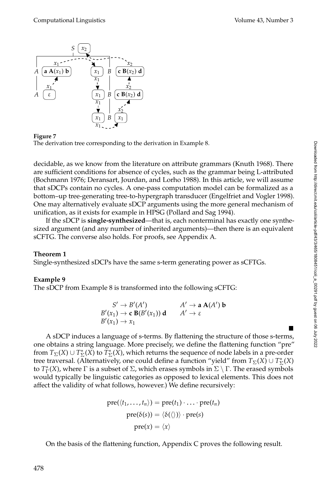

#### **Figure 7**

The derivation tree corresponding to the derivation in Example 8.

decidable, as we know from the literature on attribute grammars (Knuth 1968). There are sufficient conditions for absence of cycles, such as the grammar being L-attributed (Bochmann 1976; Deransart, Jourdan, and Lorho 1988). In this article, we will assume that sDCPs contain no cycles. A one-pass computation model can be formalized as a bottom–up tree-generating tree-to-hypergraph transducer (Engelfriet and Vogler 1998). One may alternatively evaluate sDCP arguments using the more general mechanism of unification, as it exists for example in HPSG (Pollard and Sag 1994).

If the sDCP is **single-synthesized**—that is, each nonterminal has exactly one synthesized argument (and any number of inherited arguments)—then there is an equivalent sCFTG. The converse also holds. For proofs, see Appendix A.

## **Theorem 1**

Single-synthesized sDCPs have the same s-term generating power as sCFTGs.

## **Example 9**

The sDCP from Example 8 is transformed into the following sCFTG:

$$
S' \to B'(A') \qquad A' \to \mathbf{a} \mathbf{A}(A') \mathbf{b}
$$
  

$$
B'(x_1) \to \mathbf{c} \mathbf{B}(B'(x_1)) \mathbf{d} \qquad A' \to \varepsilon
$$
  

$$
B'(x_1) \to x_1
$$

A sDCP induces a language of s-terms. By flattening the structure of those s-terms, one obtains a string language. More precisely, we define the flattening function "pre" from  $T_\Sigma(X)\cup T^*_\Sigma(X)$  to  $\tilde{T}^*_\Sigma(\breve{X})$ , which returns the sequence of node labels in a pre-order tree traversal. (Alternatively, one could define a function "yield" from  $T_\Sigma(X) \cup T_\Sigma^*(X)$ to  $T^*_\Gamma(X)$ , where Γ is a subset of Σ, which erases symbols in Σ \ Γ. The erased symbols would typically be linguistic categories as opposed to lexical elements. This does not affect the validity of what follows, however.) We define recursively:

$$
pre(\langle t_1, \ldots, t_n \rangle) = pre(t_1) \cdot \ldots \cdot pre(t_n)
$$

$$
pre(\delta(s)) = \langle \delta(\langle \rangle) \rangle \cdot pre(s)
$$

$$
pre(x) = \langle x \rangle
$$

On the basis of the flattening function, Appendix C proves the following result.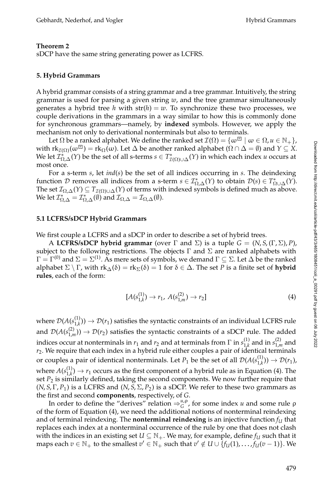## **Theorem 2**

sDCP have the same string generating power as LCFRS.

## **5. Hybrid Grammars**

A hybrid grammar consists of a string grammar and a tree grammar. Intuitively, the string grammar is used for parsing a given string *w*, and the tree grammar simultaneously generates a hybrid tree *h* with  $str(h) = w$ . To synchronize these two processes, we couple derivations in the grammars in a way similar to how this is commonly done for synchronous grammars—namely, by **indexed** symbols. However, we apply the mechanism not only to derivational nonterminals but also to terminals.

Let  $\Omega$  be a ranked alphabet. We define the ranked set  $\mathcal{I}(\Omega)=\{\omega^{[\overline{u}]} \mid \omega \in \Omega, u \in \mathbb{N}_+\}$ , with  $\text{rk}_{\mathcal{I}(\Omega)}(\omega^{\boxplus}) = \text{rk}_{\Omega}(\omega).$  Let  $\Delta$  be another ranked alphabet  $(\Omega \cap \Delta = \emptyset)$  and  $Y \subseteq X.$ We let  $\mathcal{I}^*_{\Omega,\Delta}(Y)$  be the set of all s-terms  $s \in T^*_{\mathcal{I}(\Omega)\cup\Delta}(Y)$  in which each index *u* occurs at most once.

For a s-term *s*, let *ind*(*s*) be the set of all indices occurring in *s*. The deindexing function D removes all indices from a s-term  $s \in \mathcal{I}^*_{\Omega,\Delta}(Y)$  to obtain  $\mathcal{D}(s) \in T^*_{\Omega \cup \Delta}(Y)$ . The set  $\mathcal{I}_{\Omega,\Delta}(Y) \subseteq T_{\mathcal{I}(\Omega)\cup\Delta}(Y)$  of terms with indexed symbols is defined much as above. We let  $\mathcal{I}^*_{\Omega,\Delta} = \mathcal{I}^*_{\Omega,\Delta}(\emptyset)$  and  $\mathcal{I}_{\Omega,\Delta} = \mathcal{I}_{\Omega,\Delta}(\emptyset)$ .

## **5.1 LCFRS/sDCP Hybrid Grammars**

We first couple a LCFRS and a sDCP in order to describe a set of hybrid trees.

A **LCFRS/sDCP** hybrid grammar (over  $\Gamma$  and  $\Sigma$ ) is a tuple  $G = (N, S, (\Gamma, \Sigma), P)$ , subject to the following restrictions. The objects  $\Gamma$  and  $\Sigma$  are ranked alphabets with  $\Gamma = \Gamma^{(0)}$  and  $\Sigma = \Sigma^{(1)}$ . As mere sets of symbols, we demand  $\Gamma \subseteq \Sigma$ . Let  $\Delta$  be the ranked alphabet  $\Sigma \setminus \Gamma$ , with  $rk_{\Delta}(\delta) = rk_{\Sigma}(\delta) = 1$  for  $\delta \in \Delta$ . The set *P* is a finite set of **hybrid rules**, each of the form:

$$
[A(s_{1,k}^{(1)}) \to r_1, A(s_{1,m}^{(2)}) \to r_2]
$$
\n(4)

where  $\mathcal{D}(A(s_{1:k}^{(1)})$  $(1, 1)$ <sub>1</sub> $(k)$   $\rightarrow$   $\mathcal{D}(r_1)$  satisfies the syntactic constraints of an individual LCFRS rule and  $\mathcal{D}(A(s_{1,n}^{(2)}))$  $\binom{2}{1,m}$ )  $\rightarrow$   $\mathcal{D}(r_2)$  satisfies the syntactic constraints of a sDCP rule. The added indices occur at nonterminals in  $r_1$  and  $r_2$  and at terminals from  $\Gamma$  in  $s_{1,k}^{(1)}$  $_{1,k}^{(1)}$  and in  $s_{1,n}^{(2)}$  $\sum_{1,m}^{(2)}$  and *r*2 . We require that each index in a hybrid rule either couples a pair of identical terminals or couples a pair of identical nonterminals. Let  $P_1$  be the set of all  $\mathcal{D}(A(s_{1,k}^{(1)}))$  $(1)_{1,k}^{(1)}$ )  $\to \mathcal{D}(r_1)$ , where  $A(s_{1:k}^{(1)}$  $\binom{11}{1k}$   $\rightarrow$   $r_1$  occurs as the first component of a hybrid rule as in Equation (4). The set *P*<sup>2</sup> is similarly defined, taking the second components. We now further require that  $(N, S, \Gamma, P_1)$  is a LCFRS and  $(N, S, \Sigma, P_2)$  is a sDCP. We refer to these two grammars as the first and second **components**, respectively, of *G*.

In order to define the "derives" relation  $\Rightarrow_G^{\mu,\rho}$ , for some index *u* and some rule  $\rho$ of the form of Equation (4), we need the additional notions of nonterminal reindexing and of terminal reindexing. The **nonterminal reindexing** is an injective function *f<sup>U</sup>* that replaces each index at a nonterminal occurrence of the rule by one that does not clash with the indices in an existing set  $U \subseteq \mathbb{N}_+$ . We may, for example, define  $f_U$  such that it maps each  $v \in \mathbb{N}_+$  to the smallest  $v' \in \mathbb{N}_+$  such that  $v' \notin U \cup \overline{\{f_U(1), \ldots, f_U(v-1)\}}$ . We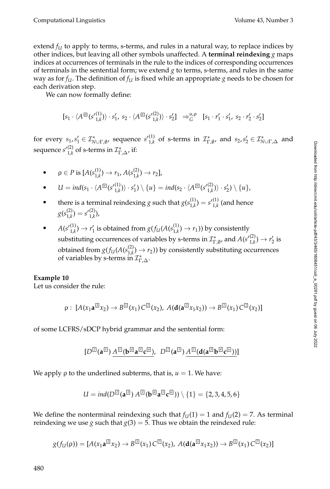extend  $f_U$  to apply to terms, s-terms, and rules in a natural way, to replace indices by other indices, but leaving all other symbols unaffected. A **terminal reindexing** *g* maps indices at occurrences of terminals in the rule to the indices of corresponding occurrences of terminals in the sentential form; we extend  $g$  to terms, s-terms, and rules in the same way as for  $f_U$ . The definition of  $f_U$  is fixed while an appropriate *g* needs to be chosen for each derivation step.

We can now formally define:

$$
[s_1 \cdot \langle A^{\text{\tiny{{\rm I\hspace{-.1em}I\hspace{-.1em}I}}}}(s'_{1,k}^{(1)}) \rangle \cdot s'_1, \ s_2 \cdot \langle A^{\text{\tiny{{\rm I\hspace{-.1em}I\hspace{-.1em}I}}}}(s'_{1,k}^{(2)}) \rangle \cdot s'_2] \ \ \Rightarrow^{u,\rho}_G \ \ [s_1 \cdot r'_1 \cdot s'_1, \ s_2 \cdot r'_2 \cdot s'_2]
$$

for every  $s_1, s_1' \in \mathcal{I}^*_{N \cup \Gamma, \emptyset}$ , sequence  $s'^{(1)}_{1,k}$  $\mathcal{I}_{1,k}^{(1)}$  of s-terms in  $\mathcal{I}_{\Gamma,\emptyset}^*$ , and  $s_2,s'_2\in\mathcal{I}_{N\cup\Gamma,\Delta}^*$  and sequence  $s^{\prime}{}_{1\,k}^{(2)}$  $_{1,k}^{(2)}$  of s-terms in  $\mathcal{I}^{*}_{\Gamma,\Delta}$ , if:

• 
$$
\rho \in P
$$
 is  $[A(s_{1,k}^{(1)}) \to r_1, A(s_{1,k}^{(2)}) \to r_2],$ 

• 
$$
U = ind(s_1 \cdot \langle A^{\boxplus}(s'_{1,k}^{(1)}) \rangle \cdot s'_1) \setminus \{u\} = ind(s_2 \cdot \langle A^{\boxplus}(s'_{1,k}^{(2)}) \rangle \cdot s'_2) \setminus \{u\},
$$

- r there is a terminal reindexing *g* such that  $g(s_1^{(1)})$  $\binom{11}{1,k} = s'\binom{11}{,k}$  $\int_{1,k}^{1}$  (and hence  $g(s^{(2)}_{1,k})$  $\binom{(2)}{1,k} = s'\binom{(2)}{1,k}$  $_{1,k}^{(2)}$ ,
- $A(s'^{(1)}_{1,k})$  $\Gamma^{(1)}_{1,k}) \rightarrow r'_1$  is obtained from  $g(f_U(A(s^{(1)}_{1,k})))$  $\binom{11}{1,k}$   $\rightarrow$   $r_1$ )) by consistently substituting occurrences of variables by s-terms in  $\mathcal{I}^*_{\Gamma,\emptyset}$ , and  $A(s'^{(2)}_{1,k})$  $t_{1,k}^{(2)}) \to r_2'$  is obtained from  $g(f_U(A(s_{1,k}^{(2)}))$  $\binom{2}{1,k}$   $\rightarrow$   $r_2$ )) by consistently substituting occurrences of variables by s-terms in  $\mathcal{I}^*_{\Gamma,\Delta}$ .

## **Example 10**

Let us consider the rule:

$$
\rho:\; [A(x_1\mathbf{a}^{[3]}x_2)\to B^{[1]}(x_1)\,C^{[2]}(x_2),\,A(\mathbf{d}(\mathbf{a}^{[3]}x_1x_2))\to B^{[1]}(x_1)\,C^{[2]}(x_2)]
$$

of some LCFRS/sDCP hybrid grammar and the sentential form:

$$
[D^{\boxtimes}(\mathbf{a}^{\boxtimes})\,\underline{A}^{\boxtimes}(\mathbf{b}^{\boxtimes}\mathbf{a}^{\boxtimes}\mathbf{c}^{\boxtimes}),\;\;D^{\boxtimes}(\mathbf{a}^{\boxtimes})\,\underline{A}^{\boxtimes}(\mathbf{d}(\mathbf{a}^{\boxtimes}\mathbf{b}^{\boxtimes}\mathbf{c}^{\boxtimes}))]
$$

We apply  $\rho$  to the underlined subterms, that is,  $u = 1$ . We have:

$$
U=\textit{ind}(D^{\boxdot}(\mathbf{a}^{\boxdot})\,A^{\boxdot}(\mathbf{b}^{\boxdot}\mathbf{a}^{\boxdot}\mathbf{c}^{\boxdot}))\setminus\{1\}=\{2,3,4,5,6\}
$$

We define the nonterminal reindexing such that  $f_U(1) = 1$  and  $f_U(2) = 7$ . As terminal reindexing we use *g* such that  $g(3) = 5$ . Thus we obtain the reindexed rule:

$$
g(f_{\mathcal{U}}(\rho))=[A(x_1\mathbf{a}^{\boxtimes}x_2)\rightarrow B^{\boxtimes}(x_1)\,C^{\boxtimes}(x_2),\,A(\mathbf{d}(\mathbf{a}^{\boxtimes}x_1x_2))\rightarrow B^{\boxtimes}(x_1)\,C^{\boxtimes}(x_2)]
$$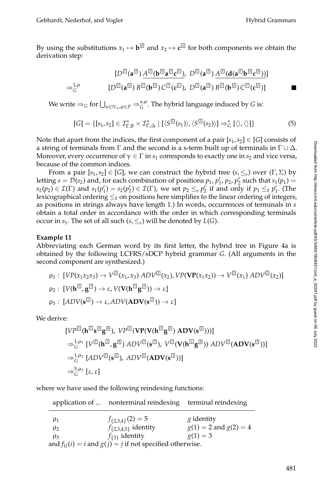By using the substitutions  $x_1 \mapsto \mathbf{b}^{\perp}$  and  $x_2 \mapsto \mathbf{c}^{\perp}$  for both components we obtain the derivation step:

$$
[D^{\mathbb{Z}}(\mathbf{a}^{\mathbb{S}}) \underline{A}^{\mathbb{Z}}(\mathbf{b}^{\mathbb{Z}} \mathbf{a}^{\mathbb{S}} \mathbf{c}^{\mathbb{G}}), \ D^{\mathbb{Z}}(\mathbf{a}^{\mathbb{S}}) \underline{A}^{\mathbb{Z}}(\mathbf{d}(\mathbf{a}^{\mathbb{S}} \mathbf{b}^{\mathbb{Z}} \mathbf{c}^{\mathbb{G}}))]
$$
  
\n
$$
\Rightarrow_G^{1,\rho} \qquad [D^{\mathbb{Z}}(\mathbf{a}^{\mathbb{S}}) B^{\mathbb{Z}}(\mathbf{b}^{\mathbb{Z}}) C^{\mathbb{Z}}(\mathbf{c}^{\mathbb{G}}), \ D^{\mathbb{Z}}(\mathbf{a}^{\mathbb{S}}) B^{\mathbb{Z}}(\mathbf{b}^{\mathbb{Z}}) C^{\mathbb{Z}}(\mathbf{c}^{\mathbb{G}})]
$$

We write  $\Rightarrow_G$  for  $\bigcup_{u\in\mathbb{N}_+\rho\in P}\Rightarrow^{u,\rho}_G$ . The hybrid language induced by  $G$  is:

 $[G] = \{ [s_1, s_2] \in \mathcal{I}_{\Gamma, \emptyset}^* \times \mathcal{I}_{\Gamma, \Delta}^* \mid [ \langle S^{[1]}(s_1) \rangle, \langle S^{[1]}(s_2) \rangle ] \Rightarrow_{G}^* [ \langle \rangle, \langle \rangle ] \}$  (5)

Note that apart from the indices, the first component of a pair  $[s_1, s_2] \in [G]$  consists of a string of terminals from  $\Gamma$  and the second is a s-term built up of terminals in  $\Gamma \cup \Delta$ . Moreover, every occurrence of  $\gamma \in \Gamma$  in  $s_1$  corresponds to exactly one in  $s_2$  and vice versa, because of the common indices.

From a pair  $[s_1, s_2] \in [G]$ , we can construct the hybrid tree  $(s, \leq_s)$  over  $(\Gamma, \Sigma)$  by letting  $s = \mathcal{D}(s_2)$  and, for each combination of positions  $p_1$ ,  $p'_1$ ,  $p_2$ ,  $p'_2$  such that  $s_1(p_1) =$  $s_2(p_2) \in \mathcal{I}(\Gamma)$  and  $s_1(p'_1) = s_2(p'_2) \in \mathcal{I}(\Gamma)$ , we set  $p_2 \leq_s p'_2$  if and only if  $p_1 \leq_\ell p'_1$ . (The lexicographical ordering  $\leq_\ell$  on positions here simplifies to the linear ordering of integers, as positions in strings always have length 1.) In words, occurrences of terminals in *s* obtain a total order in accordance with the order in which corresponding terminals occur in  $s_1$ . The set of all such  $(s, \leq_s)$  will be denoted by  $L(G)$ .

#### **Example 11**

Abbreviating each German word by its first letter, the hybrid tree in Figure 4a is obtained by the following LCFRS/sDCP hybrid grammar *G*. (All arguments in the second component are synthesized.)

$$
\rho_1: [VP(x_1x_2x_3) \to V^{\mathbb{Z}}(x_1, x_3) \land DV^{\mathbb{Z}}(x_2), VP(\mathbf{VP}(x_1x_2)) \to V^{\mathbb{Z}}(x_1) \land DV^{\mathbb{Z}}(x_2)]
$$
  
\n
$$
\rho_2: [V(\mathbf{h}^{\mathbb{Z}}, \mathbf{g}^{\mathbb{Z}}) \to \varepsilon, V(\mathbf{V}(\mathbf{h}^{\mathbb{Z}} \mathbf{g}^{\mathbb{Z}})) \to \varepsilon]
$$
  
\n
$$
\rho_3: [ADV(\mathbf{s}^{\mathbb{Z}}) \to \varepsilon, ADV(\mathbf{ADV}(\mathbf{s}^{\mathbb{Z}})) \to \varepsilon]
$$

We derive:

$$
[VP^{\mathbb{Z}}(\mathbf{h}^{\mathbb{Z}}\mathbf{s}^{\mathbb{S}}\mathbf{g}^{\mathbb{E}}), VP^{\mathbb{Z}}(\mathbf{VP}(\mathbf{V}(\mathbf{h}^{\mathbb{Z}}\mathbf{g}^{\mathbb{E}})\mathbf{ADV}(\mathbf{s}^{\mathbb{S}}))))]
$$
  
\n
$$
\Rightarrow_G^{1,p_1} [V^{\mathbb{Z}}(\mathbf{h}^{\mathbb{Z}}, \mathbf{g}^{\mathbb{E}})\mathbf{ADV}^{\mathbb{S}}(\mathbf{s}^{\mathbb{S}}), V^{\mathbb{Z}}(\mathbf{V}(\mathbf{h}^{\mathbb{Z}}\mathbf{g}^{\mathbb{E}}))\mathbf{ADV}^{\mathbb{S}}(\mathbf{ADV}(\mathbf{s}^{\mathbb{S}}))]
$$
  
\n
$$
\Rightarrow_G^{1,p_2} [ADV^{\mathbb{S}}(\mathbf{s}^{\mathbb{S}}), ADV^{\mathbb{S}}(\mathbf{ADV}(\mathbf{s}^{\mathbb{S}}))]
$$
  
\n
$$
\Rightarrow_G^{5,p_3} [\epsilon, \epsilon]
$$

where we have used the following reindexing functions:

|          | application of  nonterminal reindexing terminal reindexing  |                           |
|----------|-------------------------------------------------------------|---------------------------|
| $\rho_1$ | $f_{\{2,3,4\}}(2) = 5$<br>$f_{\{2,3,4,5\}}$ identity        | $\chi$ identity           |
| $\rho_2$ | $f_{(3)}$ identity                                          | $g(1) = 2$ and $g(2) = 4$ |
| $\rho_3$ | and $f_U(i) = i$ and $g(j) = j$ if not specified otherwise. | $g(1) = 3$                |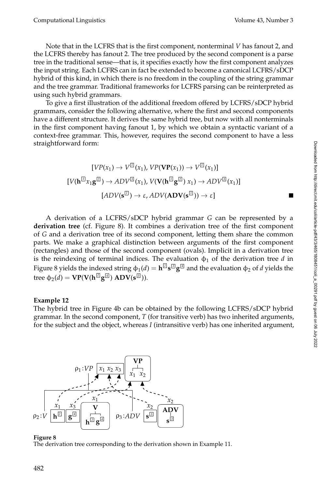Note that in the LCFRS that is the first component, nonterminal *V* has fanout 2, and the LCFRS thereby has fanout 2. The tree produced by the second component is a parse tree in the traditional sense—that is, it specifies exactly how the first component analyzes the input string. Each LCFRS can in fact be extended to become a canonical LCFRS/sDCP hybrid of this kind, in which there is no freedom in the coupling of the string grammar and the tree grammar. Traditional frameworks for LCFRS parsing can be reinterpreted as using such hybrid grammars.

To give a first illustration of the additional freedom offered by LCFRS/sDCP hybrid grammars, consider the following alternative, where the first and second components have a different structure. It derives the same hybrid tree, but now with all nonterminals in the first component having fanout 1, by which we obtain a syntactic variant of a context-free grammar. This, however, requires the second component to have a less straightforward form:

$$
[VP(x_1) \to V^{\mathbb{Z}}(x_1), VP(\mathbf{VP}(x_1)) \to V^{\mathbb{Z}}(x_1)]
$$

$$
[V(\mathbf{h}^{\mathbb{Z}} x_1 \mathbf{g}^{\mathbb{Z}}) \to ADV^{\mathbb{S}}(x_1), V(\mathbf{V}(\mathbf{h}^{\mathbb{Z}} \mathbf{g}^{\mathbb{Z}}) x_1) \to ADV^{\mathbb{S}}(x_1)]
$$

$$
[ADV(\mathbf{s}^{\mathbb{Z}}) \to \varepsilon, ADV(\mathbf{ADV}(\mathbf{s}^{\mathbb{Z}})) \to \varepsilon]
$$

A derivation of a LCFRS/sDCP hybrid grammar *G* can be represented by a **derivation tree** (cf. Figure 8). It combines a derivation tree of the first component of *G* and a derivation tree of its second component, letting them share the common parts. We make a graphical distinction between arguments of the first component (rectangles) and those of the second component (ovals). Implicit in a derivation tree is the reindexing of terminal indices. The evaluation  $\phi_1$  of the derivation tree  $d$  in Figure 8 yields the indexed string  $\phi_1(d) = h^{\lfloor 2 \rfloor} s^{\lfloor 3 \rfloor} g^{\lfloor 4 \rfloor}$  and the evaluation  $\phi_2$  of *d* yields the tree  $\Phi_2(d) = \mathbf{VP}(\mathbf{V}(\mathbf{h}^{2l} \mathbf{g}^{[d]}) \mathbf{ADV}(\mathbf{s}^{[3]})).$ 

#### **Example 12**

The hybrid tree in Figure 4b can be obtained by the following LCFRS/sDCP hybrid grammar. In the second component, *T* (for transitive verb) has two inherited arguments, for the subject and the object, whereas *I* (intransitive verb) has one inherited argument,



#### **Figure 8**

The derivation tree corresponding to the derivation shown in Example 11.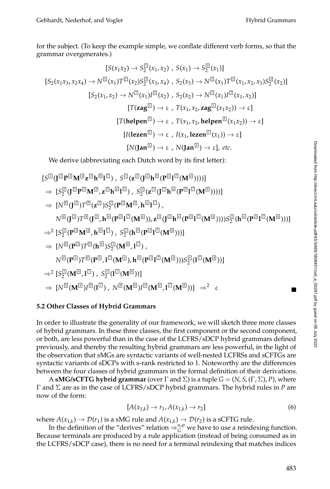for the subject. (To keep the example simple, we conflate different verb forms, so that the grammar overgenerates.)

$$
[S(x_1x_2) \rightarrow S_2^{\Box}(x_1,x_2), S(x_1) \rightarrow S_2^{\Box}(x_1)]
$$
  
\n
$$
[S_2(x_1x_3, x_2x_4) \rightarrow N^{\Box}(x_1)T^{\Box}(x_2)S_2^{\Box}(x_3, x_4), S_2(x_3) \rightarrow N^{\Box}(x_1)T^{\Box}(x_1, x_2, x_3)S_2^{\Box}(x_2)]
$$
  
\n
$$
[S_2(x_1, x_2) \rightarrow N^{\Box}(x_1)I^{\Box}(x_2), S_2(x_2) \rightarrow N^{\Box}(x_1)I^{\Box}(x_1, x_2)]
$$
  
\n
$$
[T(\mathbf{zag}^{\Box}) \rightarrow \varepsilon, T(x_1, x_2, \mathbf{zag}^{\Box}(x_1x_2)) \rightarrow \varepsilon]
$$
  
\n
$$
[T(\mathbf{helpen}^{\Box}) \rightarrow \varepsilon, T(x_1, x_2, \mathbf{helpen}^{\Box}(x_1x_2)) \rightarrow \varepsilon]
$$
  
\n
$$
[I(\mathbf{lezen}^{\Box}) \rightarrow \varepsilon, I(x_1, \mathbf{lezen}^{\Box}(x_1)) \rightarrow \varepsilon]
$$
  
\n
$$
[N(\mathbf{Jan}^{\Box}) \rightarrow \varepsilon, N(\mathbf{Jan}^{\Box}) \rightarrow \varepsilon], etc.
$$

We derive (abbreviating each Dutch word by its first letter):

$$
[S^{\mathbb{Z}}(J^{\mathbb{Z}}P^{\mathbb{S}}M^{\mathbb{Z}}z^{\mathbb{S}}h^{\mathbb{S}}I^{\mathbb{Z}}), S^{\mathbb{Z}}(z^{\mathbb{S}}(J^{\mathbb{Z}}h^{\mathbb{S}}(P^{\mathbb{S}}I^{\mathbb{Z}}(M^{\mathbb{Z}}))))]
$$
\n
$$
\Rightarrow [S_{2}^{\mathbb{Z}}(J^{\mathbb{Z}}P^{\mathbb{S}}M^{\mathbb{Z}},z^{\mathbb{S}}h^{\mathbb{S}}I^{\mathbb{Z}}), S_{2}^{\mathbb{Z}}(z^{\mathbb{S}}(J^{\mathbb{Z}}h^{\mathbb{S}}(P^{\mathbb{S}}I^{\mathbb{Z}}(M^{\mathbb{Z}}))))]
$$
\n
$$
\Rightarrow [N^{\mathbb{S}}(J^{\mathbb{Z}})T^{\mathbb{S}}(z^{\mathbb{S}})S_{2}^{\mathbb{Z}}(P^{\mathbb{S}}M^{\mathbb{Z}},h^{\mathbb{S}}I^{\mathbb{Z}}),
$$
\n
$$
N^{\mathbb{S}}(J^{\mathbb{Z}})T^{\mathbb{S}}(J^{\mathbb{Z}},h^{\mathbb{S}}(P^{\mathbb{S}}I^{\mathbb{Z}}(M^{\mathbb{Z}})),z^{\mathbb{S}}(J^{\mathbb{Z}}h^{\mathbb{S}}(P^{\mathbb{S}}I^{\mathbb{Z}}(M^{\mathbb{Z}}))))S_{2}^{\mathbb{Z}}(h^{\mathbb{S}}(P^{\mathbb{S}}I^{\mathbb{Z}}(M^{\mathbb{Z}}))))]
$$
\n
$$
\Rightarrow [S_{2}^{\mathbb{Z}}(P^{\mathbb{S}}M^{\mathbb{Z}},h^{\mathbb{S}}I^{\mathbb{Z}}), S_{2}^{\mathbb{Z}}(h^{\mathbb{S}}(P^{\mathbb{S}}I^{\mathbb{Z}}(M^{\mathbb{Z}}))))]
$$
\n
$$
\Rightarrow [N^{\mathbb{S}}(P^{\mathbb{S}})T^{\mathbb{S}}(h^{\mathbb{S}})S_{2}^{\mathbb{Z}}(M^{\mathbb{Z}},I^{\mathbb{Z}}),
$$
\n
$$
N^{\mathbb{S}}(P^{\mathbb{S}})T^{\mathbb{S}}(P^{\mathbb{S}},I^{\math
$$

## **5.2 Other Classes of Hybrid Grammars**

In order to illustrate the generality of our framework, we will sketch three more classes of hybrid grammars. In these three classes, the first component or the second component, or both, are less powerful than in the case of the LCFRS/sDCP hybrid grammars defined previously, and thereby the resulting hybrid grammars are less powerful, in the light of the observation that sMGs are syntactic variants of well-nested LCFRSs and sCFTGs are syntactic variants of sDCPs with s-rank restricted to 1. Noteworthy are the differences between the four classes of hybrid grammars in the formal definition of their derivations.

A **sMG/sCFTG hybrid grammar** (over  $\Gamma$  and  $\Sigma$ ) is a tuple  $G = (N, S, (\Gamma, \Sigma), P)$ , where Γ and Σ are as in the case of LCFRS/sDCP hybrid grammars. The hybrid rules in *P* are now of the form:

$$
[A(x_{1,k}) \to r_1, A(x_{1,k}) \to r_2]
$$
 (6)

where  $A(x_{1,k}) \to \mathcal{D}(r_1)$  is a sMG rule and  $A(x_{1,k}) \to \mathcal{D}(r_2)$  is a sCFTG rule.

In the definition of the "derives" relation  $\Rightarrow_G^{\mu,\rho}$  we have to use a reindexing function. Because terminals are produced by a rule application (instead of being consumed as in the LCFRS/sDCP case), there is no need for a terminal reindexing that matches indices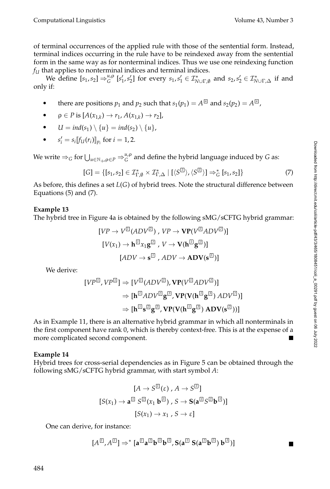of terminal occurrences of the applied rule with those of the sentential form. Instead, terminal indices occurring in the rule have to be reindexed away from the sentential form in the same way as for nonterminal indices. Thus we use one reindexing function *f<sup>U</sup>* that applies to nonterminal indices and terminal indices.

We define  $[s_1, s_2] \Rightarrow_G^{\mu, \rho} [s'_1, s'_2]$  for every  $s_1, s'_1 \in \mathcal{I}_{N \cup \Gamma, \emptyset}^*$  and  $s_2, s'_2 \in \mathcal{I}_{N \cup \Gamma, \Delta}^*$  if and only if:

- $\bullet$ there are positions  $p_1$  and  $p_2$  such that  $s_1(p_1) = A^{\square}$  and  $s_2(p_2) = A^{\square}$ ,
- $\rho \in P$  is  $[A(x_{1,k}) \to r_1, A(x_{1,k}) \to r_2],$
- $U = \text{ind}(s_1) \setminus \{u\} = \text{ind}(s_2) \setminus \{u\},$
- r  $s_i' = s_i [f_U(r_i)]_{p_i}$  for  $i = 1, 2$ .

We write  $\Rightarrow_G$  for  $\bigcup_{u\in\mathbb{N}_+\rho\in P}\Rightarrow^{u,\rho}_G$  and define the hybrid language induced by  $G$  as:

$$
[G] = \{ [s_1, s_2] \in \mathcal{I}_{\Gamma, \emptyset}^* \times \mathcal{I}_{\Gamma, \Delta}^* \mid [ \langle S^{\square} \rangle, \langle S^{\square} \rangle ] \Rightarrow_{G}^* [s_1, s_2] \}
$$
(7)

As before, this defines a set *L*(*G*) of hybrid trees. Note the structural difference between Equations (5) and (7).

## **Example 13**

The hybrid tree in Figure 4a is obtained by the following sMG/sCFTG hybrid grammar:

$$
[VP \to V^{\mathbb{Z}}(ADV^{\mathbb{Z}}), VP \to \mathbf{VP}(V^{\mathbb{Z}}ADV^{\mathbb{Z}})]
$$

$$
[V(x_1) \to \mathbf{h}^{\mathbb{Z}}x_1\mathbf{g}^{\mathbb{Z}}], V \to \mathbf{V}(\mathbf{h}^{\mathbb{Z}}\mathbf{g}^{\mathbb{Z}})]
$$

$$
[ADV \to \mathbf{s}^{\mathbb{Z}}, ADV \to \mathbf{ADV}(\mathbf{s}^{\mathbb{Z}})]
$$

We derive:

$$
\begin{aligned} [VP^{\boxdot}, VP^{\boxdot}] \Rightarrow [V^{\boxdot}(ADV^{\boxdot}), VP(V^{\boxdot}ADV^{\boxdot})] \\ \Rightarrow [h^{\boxdot}ADV^{\boxdot} g^{\boxdot}, VP(V(h^{\boxdot} g^{\boxdot}) \, ADV^{\boxdot})] \\ \Rightarrow [h^{\boxdot} s^{\boxdot} g^{\boxdot}, VP(V(h^{\boxdot} g^{\boxdot}) \, ADV^{\boxdot})] \\ \end{aligned}
$$

As in Example 11, there is an alternative hybrid grammar in which all nonterminals in the first component have rank 0, which is thereby context-free. This is at the expense of a more complicated second component. ×

## **Example 14**

Hybrid trees for cross-serial dependencies as in Figure 5 can be obtained through the following sMG/sCFTG hybrid grammar, with start symbol *A*:

$$
[A \to S^{\mathbb{Z}}(\varepsilon), A \to S^{\mathbb{Z}}]
$$

$$
[S(x_1) \to \mathbf{a}^{\mathbb{Z}} S^{\mathbb{Z}}(x_1 \mathbf{b}^{\mathbb{Z}}), S \to \mathbf{S}(\mathbf{a}^{\mathbb{Z}} S^{\mathbb{Z}} \mathbf{b}^{\mathbb{Z}})]
$$

$$
[S(x_1) \to x_1, S \to \varepsilon]
$$

One can derive, for instance:

$$
[A^{\text{II}}, A^{\text{II}}] \Rightarrow^* [a^{\text{II}} a^{\text{II}} b^{\text{II}} b^{\text{II}}, S(a^{\text{II}} S(a^{\text{II}} b^{\text{II}}) b^{\text{II}})]
$$

**The State**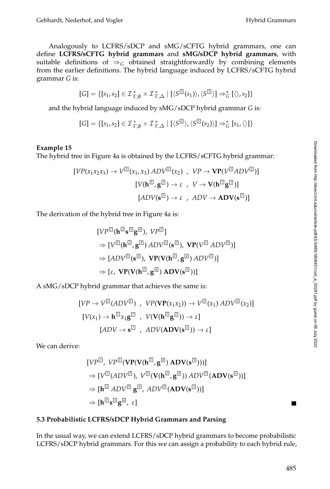Analogously to LCFRS/sDCP and sMG/sCFTG hybrid grammars, one can define **LCFRS/sCFTG hybrid grammars** and **sMG/sDCP hybrid grammars**, with suitable definitions of  $\Rightarrow$ <sup>*G*</sup> obtained straightforwardly by combining elements from the earlier definitions. The hybrid language induced by LCFRS/sCFTG hybrid grammar *G* is:

$$
[G] = \{ [s_1, s_2] \in \mathcal{I}_{\Gamma, \emptyset}^* \times \mathcal{I}_{\Gamma, \Delta}^* \mid [ \langle S^{[1]}(s_1) \rangle, \langle S^{[1]} \rangle ] \Rightarrow^*_{G} [ \langle \rangle, s_2 ] \}
$$

and the hybrid language induced by sMG/sDCP hybrid grammar *G* is:

$$
[G] = \{ [s_1, s_2] \in \mathcal{I}_{\Gamma, \emptyset}^* \times \mathcal{I}_{\Gamma, \Delta}^* \mid [ \langle S^{\Box} \rangle, \langle S^{\Box} (s_2) \rangle ] \Rightarrow_{G}^* [s_1, \langle \rangle ] \}
$$

## **Example 15**

The hybrid tree in Figure 4a is obtained by the LCFRS/sCFTG hybrid grammar:

$$
[VP(x_1x_2x_3) \rightarrow V^{\mathbb{Z}}(x_1, x_3) \, ADV^{\mathbb{Z}}(x_2) \, , \, VP \rightarrow VP(V^{\mathbb{Z}}ADV^{\mathbb{Z}})]
$$

$$
[V(\mathbf{h}^{\mathbb{Z}}, \mathbf{g}^{\mathbb{Z}}) \rightarrow \varepsilon \, , \, V \rightarrow V(\mathbf{h}^{\mathbb{Z}} \mathbf{g}^{\mathbb{Z}})]
$$

$$
[ADV(\mathbf{s}^{\mathbb{Z}}) \rightarrow \varepsilon \, , \, ADV \rightarrow ADV(\mathbf{s}^{\mathbb{Z}})]
$$

The derivation of the hybrid tree in Figure 4a is:

$$
[VP^{\mathbb{Z}}(\mathbf{h}^{\mathbb{Z}}\mathbf{s}^{\mathbb{S}}\mathbf{g}^{\mathbb{E}}), VP^{\mathbb{Z}}] \n\Rightarrow [V^{\mathbb{Z}}(\mathbf{h}^{\mathbb{Z}}, \mathbf{g}^{\mathbb{E}}) ADV^{\mathbb{S}}(\mathbf{s}^{\mathbb{S}}), VP(V^{\mathbb{Z}} ADV^{\mathbb{S}})] \n\Rightarrow [ADV^{\mathbb{S}}(\mathbf{s}^{\mathbb{S}}), VP(V(\mathbf{h}^{\mathbb{Z}}, \mathbf{g}^{\mathbb{E}}) ADV^{\mathbb{S}})] \n\Rightarrow [\varepsilon, VP(V(\mathbf{h}^{\mathbb{Z}}, \mathbf{g}^{\mathbb{E}}) ADV(\mathbf{s}^{\mathbb{S}}))]
$$

A sMG/sDCP hybrid grammar that achieves the same is:

$$
[VP \to V^{[\mathbb{I}]} (ADV^{[\mathbb{I}]}), VP(\mathbf{VP}(x_1x_2)) \to V^{[\mathbb{I}]}(x_1) ADV^{[\mathbb{I}]}(x_2)]
$$

$$
[V(x_1) \to \mathbf{h}^{[\mathbb{I}]} x_1 \mathbf{g}^{[\mathbb{I}]} , V(\mathbf{V}(\mathbf{h}^{[\mathbb{I}]} \mathbf{g}^{[\mathbb{I}]})) \to \varepsilon]
$$

$$
[ADV \to \mathbf{s}^{[\mathbb{I}]} , ADV(\mathbf{ADV}(\mathbf{s}^{[\mathbb{I}]})) \to \varepsilon]
$$

We can derive:

$$
[VP^{\mathbb{Z}}, VP^{\mathbb{Z}}(\mathbf{VP}(\mathbf{V}(\mathbf{h}^{\mathbb{Z}}, \mathbf{g}^{\mathbb{Z}}) \mathbf{ADV}(\mathbf{s}^{\mathbb{Z}}))))]
$$
  
\n
$$
\Rightarrow [V^{\mathbb{Z}}(ADV^{\mathbb{S}}), V^{\mathbb{Z}}(\mathbf{V}(\mathbf{h}^{\mathbb{Z}}, \mathbf{g}^{\mathbb{Z}})) ADV^{\mathbb{S}}(\mathbf{ADV}(\mathbf{s}^{\mathbb{S}}))]
$$
  
\n
$$
\Rightarrow [\mathbf{h}^{\mathbb{Z}} ADV^{\mathbb{S}} \mathbf{g}^{\mathbb{Z}}, ADV^{\mathbb{S}}(\mathbf{ADV}(\mathbf{s}^{\mathbb{S}}))]
$$
  
\n
$$
\Rightarrow [\mathbf{h}^{\mathbb{Z}} \mathbf{s}^{\mathbb{S}} \mathbf{g}^{\mathbb{Z}}, \varepsilon]
$$

## **5.3 Probabilistic LCFRS/sDCP Hybrid Grammars and Parsing**

In the usual way, we can extend LCFRS/sDCP hybrid grammars to become probabilistic LCFRS/sDCP hybrid grammars. For this we can assign a probability to each hybrid rule,

 $\blacksquare$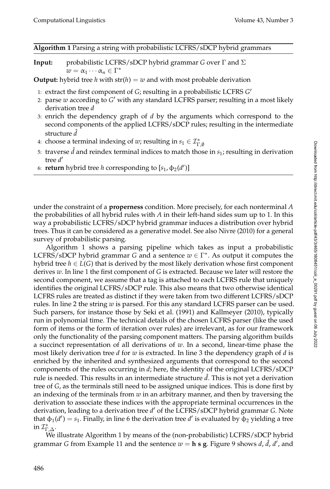## **Algorithm 1** Parsing a string with probabilistic LCFRS/sDCP hybrid grammars

**Input:** probabilistic LCFRS/sDCP hybrid grammar *G* over Γ and Σ  $\overline{w} = \alpha_1 \cdots \alpha_n \in \Gamma^*$ 

**Output:** hybrid tree *h* with str(*h*) = *w* and with most probable derivation

- 1: extract the first component of *G*; resulting in a probabilistic LCFRS *G* 0
- 2: parse *w* according to *G* <sup>0</sup> with any standard LCFRS parser; resulting in a most likely derivation tree *d*
- 3: enrich the dependency graph of *d* by the arguments which correspond to the second components of the applied LCFRS/sDCP rules; resulting in the intermediate structure  $\hat{d}$
- 4: choose a terminal indexing of *w*; resulting in  $s_1 \in \mathcal{I}_{\Gamma,\emptyset}^*$
- $5:$  traverse  $\hat{d}$  and reindex terminal indices to match those in  $s_1$ ; resulting in derivation tree *d* 0
- 6: **return** hybrid tree *h* corresponding to  $[s_1, \phi_2(d')]$

under the constraint of a **properness** condition. More precisely, for each nonterminal *A* the probabilities of all hybrid rules with *A* in their left-hand sides sum up to 1. In this way a probabilistic LCFRS/sDCP hybrid grammar induces a distribution over hybrid trees. Thus it can be considered as a generative model. See also Nivre (2010) for a general survey of probabilistic parsing.

Algorithm 1 shows a parsing pipeline which takes as input a probabilistic LCFRS/sDCP hybrid grammar *G* and a sentence  $w \in \Gamma^*$ . As output it computes the hybrid tree  $h \in L(G)$  that is derived by the most likely derivation whose first component derives *w*. In line 1 the first component of *G* is extracted. Because we later will restore the second component, we assume that a tag is attached to each LCFRS rule that uniquely identifies the original LCFRS/sDCP rule. This also means that two otherwise identical LCFRS rules are treated as distinct if they were taken from two different LCFRS/sDCP rules. In line 2 the string *w* is parsed. For this any standard LCFRS parser can be used. Such parsers, for instance those by Seki et al. (1991) and Kallmeyer (2010), typically run in polynomial time. The technical details of the chosen LCFRS parser (like the used form of items or the form of iteration over rules) are irrelevant, as for our framework only the functionality of the parsing component matters. The parsing algorithm builds a succinct representation of all derivations of *w*. In a second, linear-time phase the most likely derivation tree *d* for *w* is extracted. In line 3 the dependency graph of *d* is enriched by the inherited and synthesized arguments that correspond to the second components of the rules occurring in *d*; here, the identity of the original LCFRS/sDCP rule is needed. This results in an intermediate structure *d*. This is not yet a derivation tree of *G*, as the terminals still need to be assigned unique indices. This is done first by an indexing of the terminals from *w* in an arbitrary manner, and then by traversing the derivation to associate these indices with the appropriate terminal occurrences in the derivation, leading to a derivation tree *d'* of the LCFRS/sDCP hybrid grammar *G*. Note that  $\phi_1(d') = s_1$ . Finally, in line 6 the derivation tree *d'* is evaluated by  $\phi_2$  yielding a tree in  $\mathcal{I}^*_{\Gamma,\Delta}$ .

We illustrate Algorithm 1 by means of the (non-probabilistic) LCFRS/sDCP hybrid grammar *G* from Example 11 and the sentence  $w = \mathbf{h} \mathbf{s} \mathbf{g}$ . Figure 9 shows *d,*  $\hat{d}$ *, d' ,* and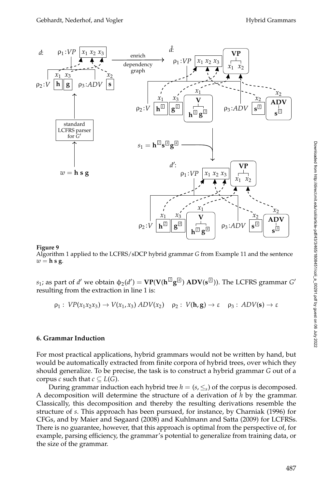

#### **Figure 9**

Algorithm 1 applied to the LCFRS/sDCP hybrid grammar *G* from Example 11 and the sentence  $w = h s g$ .

*s*<sub>1</sub>; as part of *d'* we obtain φ<sub>2</sub>(*d'*) =  $\bf VP(V(h^2[g^4])\bf \bf ADV(s^3))$ . The LCFRS grammar *G'* resulting from the extraction in line 1 is:

$$
\rho_1: VP(x_1x_2x_3) \rightarrow V(x_1, x_3) \, ADV(x_2) \quad \rho_2: V(\mathbf{h}, \mathbf{g}) \rightarrow \varepsilon \quad \rho_3: ADV(\mathbf{s}) \rightarrow \varepsilon
$$

#### **6. Grammar Induction**

For most practical applications, hybrid grammars would not be written by hand, but would be automatically extracted from finite corpora of hybrid trees, over which they should generalize. To be precise, the task is to construct a hybrid grammar *G* out of a corpus *c* such that  $c \subseteq L(G)$ .

During grammar induction each hybrid tree  $h = (s, \leq_s)$  of the corpus is decomposed. A decomposition will determine the structure of a derivation of *h* by the grammar. Classically, this decomposition and thereby the resulting derivations resemble the structure of *s*. This approach has been pursued, for instance, by Charniak (1996) for CFGs, and by Maier and Søgaard (2008) and Kuhlmann and Satta (2009) for LCFRSs. There is no guarantee, however, that this approach is optimal from the perspective of, for example, parsing efficiency, the grammar's potential to generalize from training data, or the size of the grammar.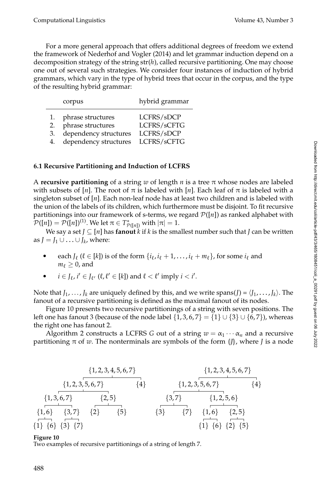For a more general approach that offers additional degrees of freedom we extend the framework of Nederhof and Vogler (2014) and let grammar induction depend on a decomposition strategy of the string str(*h*), called recursive partitioning. One may choose one out of several such strategies. We consider four instances of induction of hybrid grammars, which vary in the type of hybrid trees that occur in the corpus, and the type of the resulting hybrid grammar:

|                | corpus                                                                                   | hybrid grammar                                         |
|----------------|------------------------------------------------------------------------------------------|--------------------------------------------------------|
| 1.<br>2.<br>3. | phrase structures<br>phrase structures<br>dependency structures<br>dependency structures | LCFRS/sDCP<br>LCFRS/sCFTG<br>LCFRS/sDCP<br>LCFRS/sCFTG |

## **6.1 Recursive Partitioning and Induction of LCFRS**

A **recursive partitioning** of a string *w* of length *n* is a tree π whose nodes are labeled with subsets of [*n*]. The root of  $\pi$  is labeled with [*n*]. Each leaf of  $\pi$  is labeled with a singleton subset of [*n*]. Each non-leaf node has at least two children and is labeled with the union of the labels of its children, which furthermore must be disjoint. To fit recursive partitionings into our framework of s-terms, we regard  $P([n])$  as ranked alphabet with  $\mathcal{P}([n]) = \mathcal{P}([n])^{(1)}.$  We let  $\pi \in T^*_{\mathcal{P}([n])}$  with  $|\pi| = 1.$ 

We say a set *J*  $\subseteq$  [*n*] has **fanout** *k* if *k* is the smallest number such that *J* can be written as  $J = J_1 \cup \ldots \cup J_k$ , where:

- each *J*<sup> $\ell$ </sup> ( $\ell \in [k]$ ) is of the form  $\{i_{\ell}, i_{\ell} + 1, \ldots, i_{\ell} + m_{\ell}\}$ , for some  $i_{\ell}$  and  $m_{\ell} \geq 0$ , and
- $\bullet$  $i \in J_{\ell}$ ,  $i' \in J_{\ell'}$  ( $\ell, \ell' \in [k]$ ) and  $\ell < \ell'$  imply  $i < i'$ .

Note that  $J_1, \ldots, J_k$  are uniquely defined by this, and we write spans(*J*) =  $\langle J_1, \ldots, J_k \rangle$ . The fanout of a recursive partitioning is defined as the maximal fanout of its nodes.

Figure 10 presents two recursive partitionings of a string with seven positions. The left one has fanout 3 (because of the node label  $\{1, 3, 6, 7\} = \{1\} \cup \{3\} \cup \{6, 7\}$ ), whereas the right one has fanout 2.

Algorithm 2 constructs a LCFRS *G* out of a string  $w = \alpha_1 \cdots \alpha_n$  and a recursive partitioning  $\pi$  of w. The nonterminals are symbols of the form  $\langle J \rangle$ , where *J* is a node

$$
\{1,2,3,4,5,6,7\}
$$
\n
$$
\{1,2,3,4,5,6,7\}
$$
\n
$$
\{1,2,3,4,5,6,7\}
$$
\n
$$
\{1,2,3,4,5,6,7\}
$$
\n
$$
\{1,2,3,4,5,6,7\}
$$
\n
$$
\{1,2,3,4,5,6,7\}
$$
\n
$$
\{1,2,3,4,5,6,7\}
$$
\n
$$
\{1,2,3,4,5,6,7\}
$$
\n
$$
\{1,2,3,4,5,6,7\}
$$
\n
$$
\{1,2,3,4,5,6,7\}
$$
\n
$$
\{1,2,3,4,5,6,7\}
$$
\n
$$
\{1,2,3,4,5,6,7\}
$$
\n
$$
\{1,2,3,4,5,6,7\}
$$
\n
$$
\{1,2,3,4,5,6,7\}
$$
\n
$$
\{1,2,3,4,5,6,7\}
$$
\n
$$
\{1,2,3,4,5,6,7\}
$$
\n
$$
\{1,2,3,4,5,6,7\}
$$
\n
$$
\{1,2,3,4,5,6,7\}
$$
\n
$$
\{1,2,3,4,5,6,7\}
$$
\n
$$
\{1,2,3,4,5,6,7\}
$$
\n
$$
\{1,2,3,4,5,6,7\}
$$
\n
$$
\{1,2,3,4,5,6,7\}
$$
\n
$$
\{1,2,3,4,5,6,7\}
$$
\n
$$
\{1,2,3,4,5,6,7\}
$$
\n
$$
\{1,2,3,4,5,6,7\}
$$
\n
$$
\{1,2,3,4,5,6,7\}
$$
\n
$$
\{1,2,3,4,5,6,7\}
$$
\n
$$
\{1,2,3,4,5,6,7\}
$$
\n
$$
\{1,2,3,4,5,6,7\}
$$
\n
$$
\{1,2,3,4,5,6,7\}
$$
\n
$$
\{1,2,3,4,
$$

#### **Figure 10**

Two examples of recursive partitionings of a string of length 7.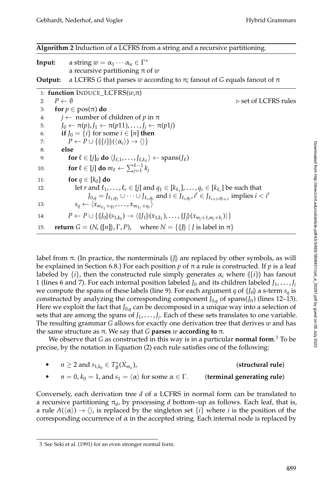**Algorithm 2** Induction of a LCFRS from a string and a recursive partitioning.

**Input:** a string  $w = \alpha_1 \cdots \alpha_n \in \Gamma^*$ a recursive partitioning π of *w* **Output:** a LCFRS *G* that parses *w* according to π; fanout of *G* equals fanout of π 1: **function** INDUCE\_LCFRS(*w*,π) 2:  $P \leftarrow \emptyset$   $\triangleright$  set of LCFRS rules 3: **for**  $p \in \text{pos}(\pi)$  **do** 4: *j* ← number of children of *p* in π 5:  $J_0 \leftarrow \pi(p), J_1 \leftarrow \pi(p11), \ldots, J_i \leftarrow \pi(p1j)$ 6: **if**  $J_0 = \{i\}$  for some  $i \in [n]$  then 7:  $P \leftarrow P \cup \{(\{\{i\}\}\cup (\alpha_i) \rightarrow \langle \rangle\})$ <br>8: **else** 8: **else** 9: **for**  $\ell \in [j]_0$  **do**  $\langle J_{\ell,1}, \ldots, J_{\ell,k_\ell} \rangle \leftarrow \text{spans}(J_\ell)$ 10: **for**  $\ell \in [j]$  do  $m_{\ell} \leftarrow \sum_{j=1}^{\ell-1} k_j$ 11: **for**  $q \in [k_0]$  **do** 12: let *r* and  $\ell_1, \ldots, \ell_r \in [j]$  and  $q_1 \in [k_{\ell_1}], \ldots, q_r \in [k_{\ell_r}]$  be such that  $J_{0,q} = J_{\ell_1,q_1} \cup \cdots \cup J_{\ell_r,q_r}$  and  $i \in J_{\ell_t,q_t}$ ,  $i' \in J_{\ell_{t+1},q_{t+1}}$  implies  $i < i'$ 13:  $s_q \leftarrow \langle x_{m_{\ell_1} + q_1}, \dots, x_{m_{\ell_r} + q_r} \rangle$ 14:  $P \leftarrow P \cup \{ (J_0)(s_{1,k_0}) \rightarrow \langle (J_1)(x_{1,k_1}), \dots, (J_j)(x_{m_j+1,m_j+k_j}) \rangle \}$ 15: **return**  $G = (N, (\llbracket n \rrbracket), \Gamma, P)$ , where  $N = \{\llbracket n \rrbracket \}$  | *J* is label in  $\pi$ }

label from  $\pi$ . (In practice, the nonterminals  $\mathcal{J}$ ) are replaced by other symbols, as will be explained in Section 6.8.) For each position *p* of π a rule is constructed. If *p* is a leaf labeled by  $\{i\}$ , then the constructed rule simply generates  $\alpha_i$  where  $\{\{i\}\}\$  has fanout 1 (lines 6 and 7). For each internal position labeled  $J_0$  and its children labeled  $J_1, \ldots, J_j$ we compute the spans of these labels (line 9). For each argument *q* of  $(I_0)$  a s-term  $s_q$  is<br>constructed by analyzing the corresponding component *L*, of spans(*L*) (lines 12, 13) constructed by analyzing the corresponding component  $J_{0,q}$  of spans( $J_0$ ) (lines 12–13). Here we exploit the fact that *J*0,*<sup>q</sup>* can be decomposed in a unique way into a selection of sets that are among the spans of  $J_1, \ldots, J_j$ . Each of these sets translates to one variable. The resulting grammar *G* allows for exactly one derivation tree that derives *w* and has the same structure as π. We say that *G* **parses** *w* **according to** π.

We observe that *G* as constructed in this way is in a particular **normal form**. <sup>3</sup> To be precise, by the notation in Equation (2) each rule satisfies one of the following:

| $n \ge 2$ and $s_{1,k_0} \in T^*_{\emptyset}(X_{m_n})$ ,                                | (structural rule)          |
|-----------------------------------------------------------------------------------------|----------------------------|
| $n = 0$ , $k_0 = 1$ , and $s_1 = \langle \alpha \rangle$ for some $\alpha \in \Gamma$ . | (terminal generating rule) |

Conversely, each derivation tree *d* of a LCFRS in normal form can be translated to a recursive partitioning  $\pi_d$ , by processing  $d$  bottom–up as follows. Each leaf, that is, a rule  $A(\langle \alpha \rangle) \rightarrow \langle \rangle$ , is replaced by the singleton set  $\{i\}$  where *i* is the position of the corresponding occurrence of  $\alpha$  in the accepted string. Each internal node is replaced by

<sup>3</sup> See Seki et al. (1991) for an even stronger normal form.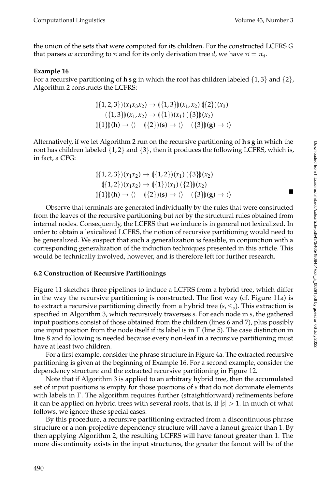the union of the sets that were computed for its children. For the constructed LCFRS *G* that parses *w* according to π and for its only derivation tree *d*, we have  $π = π<sub>d</sub>$ .

## **Example 16**

For a recursive partitioning of **h s g** in which the root has children labeled {1, 3} and {2}, Algorithm 2 constructs the LCFRS:

$$
(\{1,2,3\})(x_1x_3x_2) \rightarrow (\{1,3\})(x_1,x_2) (\{2\})(x_3)
$$
  

$$
(\{1,3\})(x_1,x_2) \rightarrow (\{1\})(x_1) (\{3\})(x_2)
$$
  

$$
(\{1\})(\mathbf{h}) \rightarrow \langle\rangle \quad (\{2\})(\mathbf{s}) \rightarrow \langle\rangle \quad (\{3\})(\mathbf{g}) \rightarrow \langle\rangle
$$

Alternatively, if we let Algorithm 2 run on the recursive partitioning of **h s g** in which the root has children labeled  $\{1, 2\}$  and  $\{3\}$ , then it produces the following LCFRS, which is, in fact, a CFG:

$$
\langle \{1,2,3\} | (x_1x_2) \rightarrow (\{1,2\} | (x_1) \langle \{3\} | (x_2) \langle \{1,2\} | (x_1x_2) \rightarrow (\{1\} | (x_1) \langle \{2\} | (x_2) \langle \{1\} | (\mathbf{h}) \rightarrow \langle \rangle \langle \{2\} | (\mathbf{s}) \rightarrow \langle \rangle \langle \{3\} | (\mathbf{g}) \rightarrow \langle \rangle \rangle
$$

Observe that terminals are generated individually by the rules that were constructed from the leaves of the recursive partitioning but *not* by the structural rules obtained from internal nodes. Consequently, the LCFRS that we induce is in general not lexicalized. In order to obtain a lexicalized LCFRS, the notion of recursive partitioning would need to be generalized. We suspect that such a generalization is feasible, in conjunction with a corresponding generalization of the induction techniques presented in this article. This would be technically involved, however, and is therefore left for further research.

## **6.2 Construction of Recursive Partitionings**

Figure 11 sketches three pipelines to induce a LCFRS from a hybrid tree, which differ in the way the recursive partitioning is constructed. The first way (cf. Figure 11a) is to extract a recursive partitioning directly from a hybrid tree (*s*, ≤*<sup>s</sup>* ). This extraction is specified in Algorithm 3, which recursively traverses *s*. For each node in *s*, the gathered input positions consist of those obtained from the children (lines 6 and 7), plus possibly one input position from the node itself if its label is in  $\Gamma$  (line 5). The case distinction in line 8 and following is needed because every non-leaf in a recursive partitioning must have at least two children.

For a first example, consider the phrase structure in Figure 4a. The extracted recursive partitioning is given at the beginning of Example 16. For a second example, consider the dependency structure and the extracted recursive partitioning in Figure 12.

Note that if Algorithm 3 is applied to an arbitrary hybrid tree, then the accumulated set of input positions is empty for those positions of *s* that do not dominate elements with labels in Γ. The algorithm requires further (straightforward) refinements before it can be applied on hybrid trees with several roots, that is, if |*s*| > 1. In much of what follows, we ignore these special cases.

By this procedure, a recursive partitioning extracted from a discontinuous phrase structure or a non-projective dependency structure will have a fanout greater than 1. By then applying Algorithm 2, the resulting LCFRS will have fanout greater than 1. The more discontinuity exists in the input structures, the greater the fanout will be of the

 $\overline{\phantom{a}}$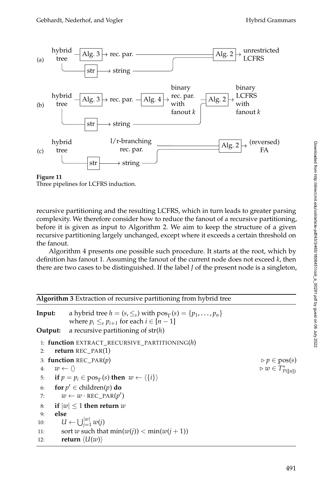



recursive partitioning and the resulting LCFRS, which in turn leads to greater parsing complexity. We therefore consider how to reduce the fanout of a recursive partitioning, before it is given as input to Algorithm 2. We aim to keep the structure of a given recursive partitioning largely unchanged, except where it exceeds a certain threshold on the fanout.

Algorithm 4 presents one possible such procedure. It starts at the root, which by definition has fanout 1. Assuming the fanout of the current node does not exceed *k*, then there are two cases to be distinguished. If the label *J* of the present node is a singleton,

|                                      | Algorithm 3 Extraction of recursive partitioning from hybrid tree                                                                  |                                               |
|--------------------------------------|------------------------------------------------------------------------------------------------------------------------------------|-----------------------------------------------|
| Input:                               | a hybrid tree $h = (s, \leq_s)$ with $pos_{\Gamma}(s) = \{p_1, \ldots, p_n\}$<br>where $p_i \leq_s p_{i+1}$ for each $i \in [n-1]$ |                                               |
| Output:                              | a recursive partitioning of $str(h)$                                                                                               |                                               |
|                                      | 1: function EXTRACT_RECURSIVE_PARTITIONING(h)                                                                                      |                                               |
| 2:                                   | return $REC$ <sub>PAR(1)</sub>                                                                                                     |                                               |
|                                      | 3: function REC_PAR $(p)$                                                                                                          | $\rhd p \in \text{pos}(s)$                    |
| $w \leftarrow \langle \rangle$<br>4: |                                                                                                                                    | $\triangleright w \in T^*_{\mathcal{P}([n])}$ |
| 5:                                   | if $p = p_i \in pos_{\Gamma}(s)$ then $w \leftarrow \langle \{i\} \rangle$                                                         |                                               |
| 6:                                   | <b>for</b> $p' \in \text{children}(p)$ do                                                                                          |                                               |
| 7:                                   | $w \leftarrow w \cdot \text{REC\_PAR}(p')$                                                                                         |                                               |
| 8:                                   | if $ w  \leq 1$ then return w                                                                                                      |                                               |
| else<br>9:                           |                                                                                                                                    |                                               |
| 10:                                  | $U \leftarrow \bigcup_{i=1}^{ w } w(j)$                                                                                            |                                               |
| 11:                                  | sort w such that $\min(w(j)) < \min(w(j + 1))$                                                                                     |                                               |
| 12:                                  | return $\langle U(w) \rangle$                                                                                                      |                                               |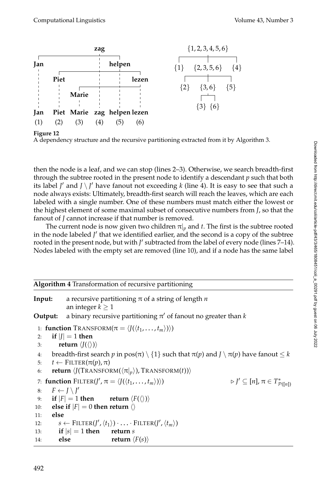

A dependency structure and the recursive partitioning extracted from it by Algorithm 3.

then the node is a leaf, and we can stop (lines 2–3). Otherwise, we search breadth-first through the subtree rooted in the present node to identify a descendant *p* such that both its label *J'* and *J* \ *J'* have fanout not exceeding *k* (line 4). It is easy to see that such a node always exists: Ultimately, breadth-first search will reach the leaves, which are each labeled with a single number. One of these numbers must match either the lowest or the highest element of some maximal subset of consecutive numbers from *J*, so that the fanout of *J* cannot increase if that number is removed.

The current node is now given two children  $\pi|_p$  and *t*. The first is the subtree rooted in the node labeled *J'* that we identified earlier, and the second is a copy of the subtree rooted in the present node, but with *J'* subtracted from the label of every node (lines 7–14). Nodes labeled with the empty set are removed (line 10), and if a node has the same label

## **Algorithm 4** Transformation of recursive partitioning

|                | Input:                        | an integer $k \geq 1$                                          | a recursive partitioning $\pi$ of a string of length <i>n</i>                                           |                                                                                                                         |
|----------------|-------------------------------|----------------------------------------------------------------|---------------------------------------------------------------------------------------------------------|-------------------------------------------------------------------------------------------------------------------------|
|                | Output:                       |                                                                | a binary recursive partitioning $\pi'$ of fanout no greater than k                                      |                                                                                                                         |
| 2:<br>3:       |                               | if $ J =1$ then<br>return $\langle J(\langle \rangle) \rangle$ | 1: <b>function</b> TRANSFORM $(\pi = \langle J(\langle t_1, \ldots, t_m \rangle)) \rangle$              |                                                                                                                         |
| 4:<br>5:<br>6: |                               | $t \leftarrow$ FILTER( $\pi(p), \pi$ )                         | <b>return</b> $\langle J(TRANSFORM(\langle \pi _p \rangle),TRANSFORM(t)) \rangle$                       | breadth-first search $p$ in $pos(\pi) \setminus \{1\}$ such that $\pi(p)$ and $J \setminus \pi(p)$ have fanout $\leq k$ |
| 8:             | $F \leftarrow I \setminus I'$ |                                                                | 7: function FILTER( $J', \pi = \langle J(\langle t_1, \ldots, t_m \rangle) \rangle$ )                   | $\triangleright$ $J' \subseteq [n], \pi \in T^*_{\mathcal{P}([n])}$                                                     |
| 9:<br>10:      |                               | else if $ F  = 0$ then return $\langle \rangle$                | if $ F  = 1$ then return $\langle F(\langle \rangle) \rangle$                                           |                                                                                                                         |
| 11:            | else                          |                                                                |                                                                                                         |                                                                                                                         |
| 12:            |                               |                                                                | $s \leftarrow$ FILTER $(J', \langle t_1 \rangle) \cdot \ldots \cdot$ FILTER $(J', \langle t_m \rangle)$ |                                                                                                                         |
| 13:<br>14:     |                               | if $ s  = 1$ then return s<br>else                             | return $\langle F(s) \rangle$                                                                           |                                                                                                                         |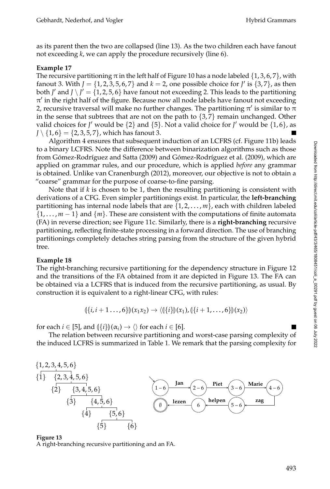as its parent then the two are collapsed (line 13). As the two children each have fanout not exceeding *k*, we can apply the procedure recursively (line 6).

## **Example 17**

The recursive partitioning  $\pi$  in the left half of Figure 10 has a node labeled  $\{1, 3, 6, 7\}$ , with fanout 3. With  $J = \{1, 2, 3, 5, 6, 7\}$  and  $k = 2$ , one possible choice for  $J'$  is  $\{3, 7\}$ , as then both *J'* and *J*  $\setminus$  *J'* = {1, 2, 5, 6} have fanout not exceeding 2. This leads to the partitioning  $\pi'$  in the right half of the figure. Because now all node labels have fanout not exceeding 2, recursive traversal will make no further changes. The partitioning  $\pi'$  is similar to  $\bar{\pi}$ in the sense that subtrees that are not on the path to  $\{3, 7\}$  remain unchanged. Other valid choices for *J'* would be  $\{2\}$  and  $\{5\}$ . Not a valid choice for *J'* would be  $\{1, 6\}$ , as  $J \setminus \{1, 6\} = \{2, 3, 5, 7\}$ , which has fanout 3.

Algorithm 4 ensures that subsequent induction of an LCFRS (cf. Figure 11b) leads to a binary LCFRS. Note the difference between binarization algorithms such as those from Gómez-Rodríguez and Satta (2009) and Gómez-Rodríguez et al. (2009), which are applied on grammar rules, and our procedure, which is applied *before* any grammar is obtained. Unlike van Cranenburgh (2012), moreover, our objective is not to obtain a "coarse" grammar for the purpose of coarse-to-fine parsing.

Note that if *k* is chosen to be 1, then the resulting partitioning is consistent with derivations of a CFG. Even simpler partitionings exist. In particular, the **left-branching** partitioning has internal node labels that are {1, 2, . . . , *m*}, each with children labeled {1, . . . , *m* − 1} and {*m*}. These are consistent with the computations of finite automata (FA) in reverse direction; see Figure 11c. Similarly, there is a **right-branching** recursive partitioning, reflecting finite-state processing in a forward direction. The use of branching partitionings completely detaches string parsing from the structure of the given hybrid tree.

## **Example 18**

The right-branching recursive partitioning for the dependency structure in Figure 12 and the transitions of the FA obtained from it are depicted in Figure 13. The FA can be obtained via a LCFRS that is induced from the recursive partitioning, as usual. By construction it is equivalent to a right-linear CFG, with rules:

$$
(\{i, i+1 \ldots, 6\})(x_1x_2) \to \langle (\{i\})(x_1), (\{i+1, \ldots, 6\})(x_2) \rangle
$$

for each  $i \in [5]$ , and  $\{ \{i\} \}(\alpha_i) \rightarrow \langle \rangle$  for each  $i \in [6]$ .<br>The relation between requiring partitioning a

The relation between recursive partitioning and worst-case parsing complexity of the induced LCFRS is summarized in Table 1. We remark that the parsing complexity for



**Figure 13**

A right-branching recursive partitioning and an FA.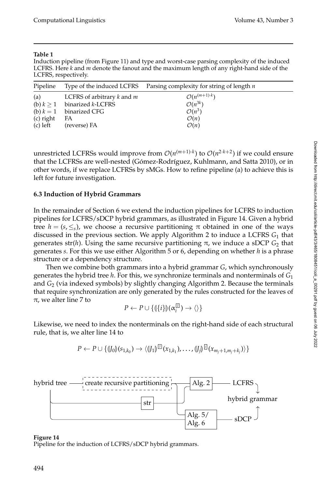#### **Table 1**

Induction pipeline (from Figure 11) and type and worst-case parsing complexity of the induced LCFRS. Here *k* and *m* denote the fanout and the maximum length of any right-hand side of the LCFRS, respectively.

| Pipeline                  |                                                                 | Type of the induced LCFRS Parsing complexity for string of length <i>n</i> |  |
|---------------------------|-----------------------------------------------------------------|----------------------------------------------------------------------------|--|
| (a)                       | LCFRS of arbitrary $k$ and $m$<br>(b) $k > 1$ binarized k-LCFRS | $\mathcal{O}(n^{(m+1)\cdot k})$<br>$\mathcal{O}(n^{3k})$                   |  |
|                           | (b) $k = 1$ binarized CFG                                       | $O(n^3)$                                                                   |  |
| $(c)$ right<br>$(c)$ left | FA<br>(reverse) FA                                              | $\mathcal{O}(n)$<br>$\mathcal{O}(n)$                                       |  |

unrestricted LCFRSs would improve from  $\mathcal{O}(n^{(m+1)\cdot k})$  to  $\mathcal{O}(n^{2\cdot k+2})$  if we could ensure that the LCFRSs are well-nested (Gómez-Rodríguez, Kuhlmann, and Satta 2010), or in other words, if we replace LCFRSs by sMGs. How to refine pipeline (a) to achieve this is left for future investigation.

## **6.3 Induction of Hybrid Grammars**

In the remainder of Section 6 we extend the induction pipelines for LCFRS to induction pipelines for LCFRS/sDCP hybrid grammars, as illustrated in Figure 14. Given a hybrid tree  $h = (s, \leq_s)$ , we choose a recursive partitioning π obtained in one of the ways discussed in the previous section. We apply Algorithm 2 to induce a LCFRS *G*<sup>1</sup> that generates str(*h*). Using the same recursive partitioning  $π$ , we induce a sDCP  $G_2$  that generates *s*. For this we use either Algorithm 5 or 6, depending on whether *h* is a phrase structure or a dependency structure.

Then we combine both grammars into a hybrid grammar *G*, which synchronously generates the hybrid tree *h*. For this, we synchronize terminals and nonterminals of *G*<sup>1</sup> and *G*<sup>2</sup> (via indexed symbols) by slightly changing Algorithm 2. Because the terminals that require synchronization are only generated by the rules constructed for the leaves of π, we alter line 7 to

$$
P \leftarrow P \cup \{ (\{\{i\}\} | (\alpha_i^{\boxed{1}}) \rightarrow \langle \rangle \}
$$

Likewise, we need to index the nonterminals on the right-hand side of each structural rule, that is, we alter line 14 to

$$
P \leftarrow P \cup \{(\mathcal{J}_0)(s_{1,k_0}) \rightarrow \langle (\mathcal{J}_1)^{\boxdot} (x_{1,k_1}), \ldots, (\mathcal{J}_j)^{\boxdot} (x_{m_j+1,m_j+k_j}) \rangle\}
$$



#### **Figure 14**

Pipeline for the induction of LCFRS/sDCP hybrid grammars.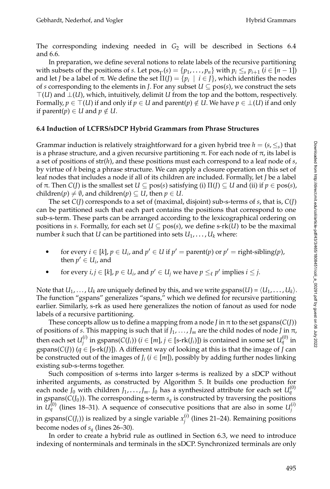The corresponding indexing needed in  $G_2$  will be described in Sections 6.4 and 6.6.

In preparation, we define several notions to relate labels of the recursive partitioning with subsets of the positions of *s*. Let  $pos_{\Gamma}(s) = \{p_1, \ldots, p_n\}$  with  $p_i \leq_s p_{i+1}$  ( $i \in [n-1]$ ) and let *J* be a label of  $\pi$ . We define the set  $\Pi(J) = \{p_i \mid i \in J\}$ , which identifies the nodes of *s* corresponding to the elements in *J*. For any subset  $U \subseteq \text{pos}(s)$ , we construct the sets  $\top(U)$  and  $\bot(U)$ , which, intuitively, delimit *U* from the top and the bottom, respectively. Formally,  $p \in \mathcal{T}(U)$  if and only if  $p \in U$  and parent( $p \notin U$ . We have  $p \in \mathcal{L}(U)$  if and only if parent $(p) \in U$  and  $p \notin U$ .

## **6.4 Induction of LCFRS/sDCP Hybrid Grammars from Phrase Structures**

Grammar induction is relatively straightforward for a given hybrid tree  $h = (s, \leq_s)$  that is a phrase structure, and a given recursive partitioning π. For each node of π, its label is a set of positions of str(*h*), and these positions must each correspond to a leaf node of *s*, by virtue of *h* being a phrase structure. We can apply a closure operation on this set of leaf nodes that includes a node if all of its children are included. Formally, let *J* be a label of π. Then *C*(*J*) is the smallest set *U* ⊆ pos(*s*) satisfying (i) Π(*J*) ⊆ *U* and (ii) if *p* ∈ pos(*s*), children( $p$ )  $\neq$   $\emptyset$ , and children( $p$ )  $\subseteq$  *U*, then  $p \in U$ .

The set *C*(*J*) corresponds to a set of (maximal, disjoint) sub-s-terms of *s*, that is, *C*(*J*) can be partitioned such that each part contains the positions that correspond to one sub-s-term. These parts can be arranged according to the lexicographical ordering on positions in *s*. Formally, for each set  $U \subseteq pos(s)$ , we define s-rk(*U*) to be the maximal number *k* such that *U* can be partitioned into sets  $U_1, \ldots, U_k$  where:

- r for every  $i \in [k]$ ,  $p \in U_i$ , and  $p' \in U$  if  $p' = \text{parent}(p)$  or  $p' = \text{right-sibling}(p)$ , then  $p' \in U_i$ , and
- r for every  $i, j \in [k]$ ,  $p \in U_i$ , and  $p' \in U_j$  we have  $p \leq_{\ell} p'$  implies  $i \leq j$ .

Note that  $U_1, \ldots, U_k$  are uniquely defined by this, and we write  $\text{gspans}(U) = \langle U_1, \ldots, U_k \rangle$ . The function "gspans" generalizes "spans," which we defined for recursive partitioning earlier. Similarly, s-rk as used here generalizes the notion of fanout as used for node labels of a recursive partitioning.

These concepts allow us to define a mapping from a node *J* in  $\pi$  to the set gspans(*C*(*J*)) of positions of *s*. This mapping is such that if  $J_1, \ldots, J_m$  are the child nodes of node *J* in  $\pi$ , then each set  $U_i^{(i)}$  $j^{(i)}$  in gspans( $C(J_i)$ ) ( $i \in [m]$ ,  $j \in [s\text{-rk}(J_i)]$ ) is contained in some set  $U_q^{(0)}$  in gspans( $C(J)$ ) ( $q \in [s-rk(J)]$ ). A different way of looking at this is that the image of *J* can be constructed out of the images of  $J_i$   $(i \in [m])$ , possibly by adding further nodes linking existing sub-s-terms together.

Such composition of s-terms into larger s-terms is realized by a sDCP without inherited arguments, as constructed by Algorithm 5. It builds one production for each node  $J_0$  with children  $J_1, \ldots, J_m$ .  $J_0$  has a synthesized attribute for each set  $U_q^{(0)}$ in gspans( $C(J_0)$ ). The corresponding s-term  $s_q$  is constructed by traversing the positions in  $U_q^{(0)}$  (lines 18–31). A sequence of consecutive positions that are also in some  $U_i^{(i)}$ *j* in gspans( $C(J_i)$ ) is realized by a single variable  $x_j^{(i)}$  $j_j^{(l)}$  (lines 21–24). Remaining positions become nodes of *s<sup>q</sup>* (lines 26–30).

In order to create a hybrid rule as outlined in Section 6.3, we need to introduce indexing of nonterminals and terminals in the sDCP. Synchronized terminals are only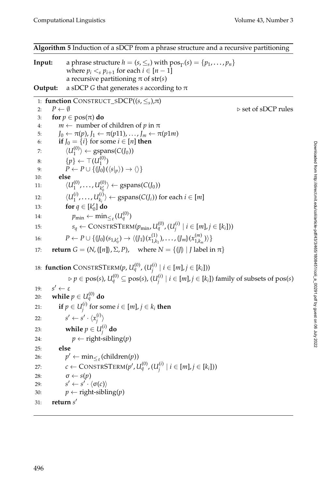**Algorithm 5** Induction of a sDCP from a phrase structure and a recursive partitioning

**Input:** a phrase structure  $h = (s, \leq_s)$  with  $pos_\Gamma(s) = \{p_1, \ldots, p_n\}$ where  $p_i <_{s} p_{i+1}$  for each  $i \in [n-1]$ a recursive partitioning  $\pi$  of str(*s*) **Output:** a sDCP *G* that generates *s* according to π 1: **function** CONSTRUCT\_SDCP((*s*, ≤*<sup>s</sup>* ),π) 2:  $P \leftarrow \emptyset$  > set of sDCP rules 3: **for**  $p \in \text{pos}(\pi)$  **do** 4:  $m \leftarrow$  number of children of *p* in  $\pi$ 5:  $J_0 \leftarrow \pi(p), J_1 \leftarrow \pi(p11), \ldots, J_m \leftarrow \pi(p1m)$ 6: **if**  $J_0 = \{i\}$  for some  $i \in [n]$  then 7:  $\langle U_1^{(0)} \rangle$  $\langle 0 | 1 \rangle \leftarrow \text{gspans}(C(J_0))$ 8:  $\{p\}$  ← ⊤(*U*<sub>1</sub><sup>(0)</sup>) 9:  $P \leftarrow P \cup \{ (J_0) (\langle s|_p \rangle) \rightarrow \langle \rangle \}$ 10: **else** 11:  $\langle U_1^{(0)} \rangle$  $\chi_1^{(0)},\ldots, U_{k_0'}^{(0)}$  $\langle k_0^{(0)} \rangle \leftarrow \text{gspans}(C(J_0))$ 12:  $\langle U_1^{(i)} \rangle$  $\mathcal{U}^{(i)}_1,\ldots,\mathcal{U}^{(i)}_{k_i}$  $\langle k_i^{(l)} \rangle \leftarrow$  gspans(*C*(*J*<sub>*i*</sub>)) for each  $i \in [m]$ 13: **for**  $q \in [k'_0]$  **do** 14:  $p_{\min} \leftarrow \min_{\leq \ell} (U_q^{(0)})$ 15:  $s_q \leftarrow \text{CONTRSTRSTERM}(p_{\text{min}}, U_q^{(0)}, (U_i^{(i)}))$  $j^{(i)}$  |  $i \in [m], j \in [k_i]$ )) 16:  $P \leftarrow P \cup \{(\mathcal{J}_0)(s_{1,k'_0}) \rightarrow (\mathcal{J}_1)(x_{1,k_0}^{(1)})$  $\binom{1}{1,k_1},\ldots,\binom{J_m}{k_1}$  $\binom{m}{1,k_m}$ ) } } 17: **return**  $G = (N, \|\![n]\!|), \Sigma, P)$ , where  $N = \{\|\![l]\!| \mid l \text{ label in } \pi \}$ 18: **function** CONSTRSTERM( $p$ ,  $U_q^{(0)}$ , ( $U_i^{(i)}$  $j^{(i)}$  |  $i \in [m], j \in [k_i]$ ))  $\triangleright$   $p \in \text{pos}(s)$ ,  $U_q^{(0)} \subseteq \text{pos}(s)$ ,  $(U_i^{(i)})$  $j_j^{(l)}$  |  $i \in [m], j \in [k_i]$ ) family of subsets of pos(*s*) 19: *s*  $s' \leftarrow \varepsilon$ 20: **while**  $p \in U_q^{(0)}$  do 21: **if**  $p \in U_i^{(i)}$  $j^{(1)}$  for some  $i \in [m]$ ,  $j \in k_i$  then 22: *s*  $\gamma' \leftarrow s' \cdot \langle x_i^{(i)} \rangle$  $\binom{11}{j}$ 23: **while**  $p \in U_i^{(i)}$ *j* **do** 24:  $p \leftarrow \text{right-sibling}(p)$ 25: **else** 26:  $p' \leftarrow \min_{\leq \ell}(\text{children}(p))$ 27:  $c \leftarrow \text{CONTRSTERM}(p', U_q^{(0)}, (U_i^{(i)}))$  $j^{(i)}$  |  $i \in [m], j \in [k_i]$ )) 28:  $\sigma \leftarrow s(p)$ 29: *s*  $v' \leftarrow s' \cdot \langle \sigma(c) \rangle$ 30:  $p \leftarrow$  right-sibling(*p*) 31: **return** *s* 0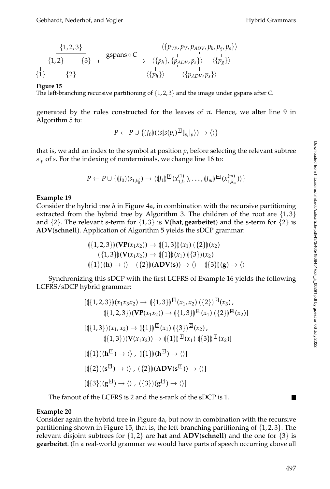$$
\{1,2,3\} \longrightarrow \langle \{p_{VP}, p_V, p_{ADV}, p_h, p_g, p_s\} \rangle
$$
  

$$
\{1,2\} \longrightarrow \langle \{p_h\}, \{p_{ADV}, p_s\} \rangle \langle \{p_g\} \rangle
$$
  

$$
\{1\} \longrightarrow \langle \{p_h\}, \{p_{ADV}, p_s\} \rangle \langle \{p_g\} \rangle
$$
  

$$
\langle \{p_{h}\} \rangle \langle \{p_{ADV}, p_s\} \rangle
$$

#### **Figure 15**

The left-branching recursive partitioning of {1, 2, 3} and the image under gspans after *C*.

generated by the rules constructed for the leaves of  $π$ . Hence, we alter line 9 in Algorithm 5 to:

$$
P \leftarrow P \cup \{ (J_0) (\langle s[s(p_i)^{\boxplus}]_{p_i} |_{p} \rangle) \rightarrow \langle \rangle \}
$$

that is, we add an index to the symbol at position *p<sup>i</sup>* before selecting the relevant subtree  $s|_p$  of *s*. For the indexing of nonterminals, we change line 16 to:

$$
P \leftarrow P \cup \{ (J_0)(s_{1,k'_0}) \rightarrow \langle (J_1)^{\boxdot} (x_{1,k_1}^{(1)}), \dots, (J_m)^{\boxdot} (x_{1,k_m}^{(m)}) \rangle \}
$$

#### **Example 19**

Consider the hybrid tree *h* in Figure 4a, in combination with the recursive partitioning extracted from the hybrid tree by Algorithm 3. The children of the root are  $\{1,3\}$ and  $\{2\}$ . The relevant s-term for  $\{1, 3\}$  is **V**(hat, **gearbeitet**) and the s-term for  $\{2\}$  is **ADV**(**schnell**). Application of Algorithm 5 yields the sDCP grammar:

$$
(\{1,2,3\})(\mathbf{VP}(x_1x_2)) \rightarrow (\{1,3\})(x_1) (\{2\})(x_2)
$$
  

$$
(\{1,3\})(\mathbf{V}(x_1x_2)) \rightarrow (\{1\})(x_1) (\{3\})(x_2)
$$
  

$$
(\{1\})(\mathbf{h}) \rightarrow \langle\rangle \quad (\{2\})(\mathbf{ADV}(s)) \rightarrow \langle\rangle \quad (\{3\})(\mathbf{g}) \rightarrow \langle\rangle
$$

Synchronizing this sDCP with the first LCFRS of Example 16 yields the following LCFRS/sDCP hybrid grammar:

$$
[(\{1,2,3\})(x_1x_3x_2) \rightarrow (\{1,3\})^{\square}(x_1, x_2) (\{2\})^{\square}(x_3),\n(\{1,2,3\})(\mathbf{VP}(x_1x_2)) \rightarrow (\{1,3\})^{\square}(x_1) (\{2\})^{\square}(x_2)]\n
$$
[(\{1,3\})(x_1, x_2) \rightarrow (\{1\})^{\square}(x_1) (\{3\})^{\square}(x_2),\n(\{1,3\})(\mathbf{V}(x_1x_2)) \rightarrow (\{1\})^{\square}(x_1) (\{3\})^{\square}(x_2)]\n
$$
[(\{1\})(\mathbf{h}^{\square}) \rightarrow \langle \rangle, (\{1\})(\mathbf{h}^{\square}) \rightarrow \langle \rangle]
$$
\n
$$
[(\{2\})(\mathbf{s}^{\square}) \rightarrow \langle \rangle, (\{2\})(\mathbf{ADV}(\mathbf{s}^{\square})) \rightarrow \langle \rangle]
$$
\n
$$
[(\{3\})(\mathbf{g}^{\square}) \rightarrow \langle \rangle, (\{3\})(\mathbf{g}^{\square}) \rightarrow \langle \rangle]
$$
$$
$$

The fanout of the LCFRS is 2 and the s-rank of the sDCP is 1.

## **Example 20**

Consider again the hybrid tree in Figure 4a, but now in combination with the recursive partitioning shown in Figure 15, that is, the left-branching partitioning of  $\{1, 2, 3\}$ . The relevant disjoint subtrees for  $\{1, 2\}$  are **hat** and **ADV**(**schnell**) and the one for  $\{3\}$  is **gearbeitet**. (In a real-world grammar we would have parts of speech occurring above all

П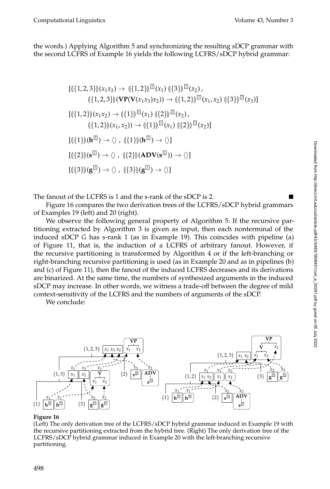the words.) Applying Algorithm 5 and synchronizing the resulting sDCP grammar with the second LCFRS of Example 16 yields the following LCFRS/sDCP hybrid grammar:

$$
[\langle \{1,2,3\} \rangle(x_1x_2) \rightarrow [\{1,2\} \rangle^{\Box}(x_1) \langle \{3\} \rangle^{\Box}(x_2),\langle \{1,2,3\} \rangle(\mathbf{VP}(\mathbf{V}(x_1x_3)x_2)) \rightarrow [\{1,2\} \rangle^{\Box}(x_1,x_2) \langle \{3\} \rangle^{\Box}(x_3)]\n[\langle \{1,2\} \rangle(x_1x_2) \rightarrow [\{1\} \rangle^{\Box}(x_1) \langle \{2\} \rangle^{\Box}(x_2),\langle \{1,2\} \rangle(x_1,x_2) \rightarrow [\{1\} \rangle^{\Box}(x_1) \langle \{2\} \rangle^{\Box}(x_2)]\n[\langle \{1\} \rangle(\mathbf{h}^{\Box}) \rightarrow \langle \rangle, \langle \{1\} \rangle(\mathbf{h}^{\Box}) \rightarrow \langle \rangle]
$$
\n
$$
[\langle \{2\} \rangle(s^{\Box}) \rightarrow \langle \rangle, \langle \{2\} \rangle(\mathbf{ADV}(s^{\Box})) \rightarrow \langle \rangle]
$$
\n
$$
[\langle \{3\} \rangle(g^{\Box}) \rightarrow \langle \rangle, \langle \{3\} \rangle(g^{\Box}) \rightarrow \langle \rangle]
$$

The fanout of the LCFRS is 1 and the s-rank of the sDCP is 2.

Figure 16 compares the two derivation trees of the LCFRS/sDCP hybrid grammars of Examples 19 (left) and 20 (right).

We observe the following general property of Algorithm 5: If the recursive partitioning extracted by Algorithm 3 is given as input, then each nonterminal of the induced sDCP *G* has s-rank 1 (as in Example 19). This coincides with pipeline (a) of Figure 11, that is, the induction of a LCFRS of arbitrary fanout. However, if the recursive partitioning is transformed by Algorithm 4 or if the left-branching or right-branching recursive partitioning is used (as in Example 20 and as in pipelines (b) and (c) of Figure 11), then the fanout of the induced LCFRS decreases and its derivations are binarized. At the same time, the numbers of synthesized arguments in the induced sDCP may increase. In other words, we witness a trade-off between the degree of mild context-sensitivity of the LCFRS and the numbers of arguments of the sDCP.

We conclude:



## **Figure 16**

(Left) The only derivation tree of the LCFRS/sDCP hybrid grammar induced in Example 19 with the recursive partitioning extracted from the hybrid tree. (Right) The only derivation tree of the LCFRS/sDCP hybrid grammar induced in Example 20 with the left-branching recursive partitioning.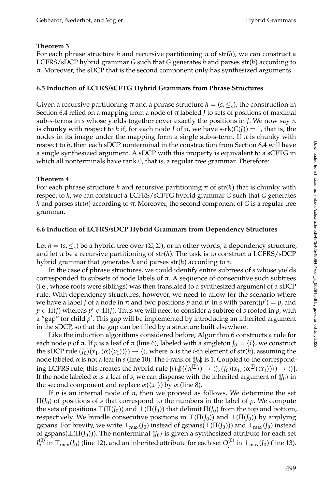#### **Theorem 3**

For each phrase structure *h* and recursive partitioning  $\pi$  of str(*h*), we can construct a LCFRS/sDCP hybrid grammar *G* such that *G* generates *h* and parses str(*h*) according to  $\pi$ . Moreover, the sDCP that is the second component only has synthesized arguments.

## **6.5 Induction of LCFRS/sCFTG Hybrid Grammars from Phrase Structures**

Given a recursive partitioning  $\pi$  and a phrase structure  $h = (s, \leq_s)$ , the construction in Section 6.4 relied on a mapping from a node of  $\pi$  labeled *J* to sets of positions of maximal sub-s-terms in *s* whose yields together cover exactly the positions in *J*. We now say  $\pi$ is **chunky** with respect to *h* if, for each node *J* of  $\pi$ , we have s-rk( $C(J)$ ) = 1, that is, the nodes in its image under the mapping form a single sub-s-term. If  $\pi$  is chunky with respect to *h*, then each sDCP nonterminal in the construction from Section 6.4 will have a single synthesized argument. A sDCP with this property is equivalent to a sCFTG in which all nonterminals have rank 0, that is, a regular tree grammar. Therefore:

## **Theorem 4**

For each phrase structure *h* and recursive partitioning π of str(*h*) that is chunky with respect to *h*, we can construct a LCFRS/sCFTG hybrid grammar *G* such that *G* generates *h* and parses str(*h*) according to π. Moreover, the second component of *G* is a regular tree grammar.

#### **6.6 Induction of LCFRS/sDCP Hybrid Grammars from Dependency Structures**

Let  $h = (s, \leq_s)$  be a hybrid tree over  $(\Sigma, \Sigma)$ , or in other words, a dependency structure, and let  $\pi$  be a recursive partitioning of str(*h*). The task is to construct a LCFRS/sDCP hybrid grammar that generates *h* and parses str(*h*) according to π.

In the case of phrase structures, we could identify entire subtrees of *s* whose yields corresponded to subsets of node labels of π. A sequence of consecutive such subtrees (i.e., whose roots were siblings) was then translated to a synthesized argument of a sDCP rule. With dependency structures, however, we need to allow for the scenario where we have a label *J* of a node in  $\pi$  and two positions  $p$  and  $p'$  in  $s$  with parent( $p'$ ) =  $p$ , and  $p \in \Pi(f)$  whereas  $p' \notin \Pi(f)$ . Thus we will need to consider a subtree of *s* rooted in *p*, with .<br>a "gap" for child p'. This gap will be implemented by introducing an inherited argument in the sDCP, so that the gap can be filled by a structure built elsewhere.

Like the induction algorithms considered before, Algorithm 6 constructs a rule for each node *p* of  $\pi$ . If *p* is a leaf of  $\pi$  (line 6), labeled with a singleton  $J_0 = \{i\}$ , we construct the sDCP rule  $(I_0)(x_1, \langle \alpha(\langle x_1 \rangle \rangle)) \rightarrow \langle \rangle$ , where  $\alpha$  is the *i*-th element of str(*h*), assuming the node labeled  $\alpha$  is not a log(in c (line 10). The *i*-rank of (*L*) is 1. Counled to the correspond node labeled  $\alpha$  is not a leaf in *s* (line 10). The i-rank of  $\langle J_0 \rangle$  is 1. Coupled to the correspond- $\text{ing LCFRS rule, this creates the hybrid rule } [\mathcal{U}_0](\langle \alpha^{\perp l} \rangle) \rightarrow \langle \rangle, \mathcal{U}_0](x_1, \langle \alpha^{\perp l}(\langle x_1 \rangle)) \rightarrow \langle \rangle].$ If the node labeled  $\alpha$  is a leaf of *s*, we can dispense with the inherited argument of  $\langle J_0 \rangle$  in the second component and replace  $\alpha(\langle x_1 \rangle)$  by  $\alpha$  (line 8).

If *p* is an internal node of π, then we proceed as follows. We determine the set Π(*J*<sup>0</sup> ) of positions of *s* that correspond to the numbers in the label of *p*. We compute the sets of positions  $\top(\Pi(J_0))$  and  $\bot(\Pi(J_0))$  that delimit  $\Pi(J_0)$  from the top and bottom, respectively. We bundle consecutive positions in  $\top(\Pi(J_0))$  and  $\bot(\Pi(J_0))$  by applying gspans. For brevity, we write  $\top_{\max}(J_0)$  instead of gspans $(\top(\Pi(J_0)))$  and  $\bot_{\max}(J_0)$  instead of gspans(⊥(Π(*J*<sup>0</sup> ))). The nonterminal <sup>L</sup>*J*0<sup>M</sup> is given a synthesized attribute for each set  $I_q^{(0)}$  in  $\top_{\max}(J_0)$  (line 12), and an inherited attribute for each set  $O_j^{(0)}$  $j^{(0)}$  in  $\perp_{\text{max}}(J_0)$  (line 13).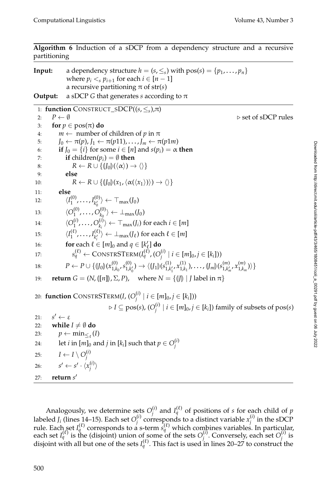**Algorithm 6** Induction of a sDCP from a dependency structure and a recursive partitioning

| Input:    | a dependency structure $h = (s, \leq_s)$ with $pos(s) = \{p_1, \ldots, p_n\}$<br>where $p_i <_{s} p_{i+1}$ for each $i \in [n-1]$                                                                                     |
|-----------|-----------------------------------------------------------------------------------------------------------------------------------------------------------------------------------------------------------------------|
| Output:   | a recursive partitioning $\pi$ of str(s)<br>a sDCP G that generates s according to $\pi$                                                                                                                              |
|           | 1: function CONSTRUCT_SDCP( $(s, \leq_s)$ , $\pi$ )                                                                                                                                                                   |
| 2:        | $P \leftarrow \emptyset$<br>$\triangleright$ set of sDCP rules                                                                                                                                                        |
| 3:        | for $p \in \text{pos}(\pi)$ do                                                                                                                                                                                        |
| 4:        | $m \leftarrow$ number of children of p in $\pi$                                                                                                                                                                       |
| 5:        | $J_0 \leftarrow \pi(p), J_1 \leftarrow \pi(p11), \ldots, J_m \leftarrow \pi(p1m)$                                                                                                                                     |
| 6:        | if $J_0 = \{i\}$ for some $i \in [n]$ and $s(p_i) = \alpha$ then                                                                                                                                                      |
| 7:        | <b>if</b> children( $p_i$ ) = $\emptyset$ <b>then</b>                                                                                                                                                                 |
| 8:        | $R \leftarrow R \cup \{([0](\langle \alpha \rangle) \rightarrow \langle \rangle\}$                                                                                                                                    |
| 9:<br>10: | else<br>$R \leftarrow R \cup \{([I_0](x_1, \langle \alpha(\langle x_1 \rangle)) \rangle) \rightarrow \langle \rangle\}$                                                                                               |
| 11:       | else                                                                                                                                                                                                                  |
| 12:       | $\langle I_1^{(0)}, \ldots, I_{k'_0}^{(0)} \rangle \leftarrow \top_{\text{max}}(J_0)$                                                                                                                                 |
| 13:       | $\langle O_1^{(0)}, \ldots, O_{k_0}^{(0)} \rangle \leftarrow \perp_{\text{max}}(J_0)$                                                                                                                                 |
| 14:       | $\langle O_1^{(i)}, \ldots, O_k^{(i)} \rangle \leftarrow \top_{\max}(J_i)$ for each $i \in [m]$                                                                                                                       |
| 15:       | $\langle I_1^{(\ell)}, \ldots, I_{k'}^{(\ell)} \rangle \leftarrow \perp_{\text{max}}(J_{\ell})$ for each $\ell \in [m]$                                                                                               |
| 16:       | for each $\ell \in [m]_0$ and $q \in [k'_\ell]$ do                                                                                                                                                                    |
| 17:       | $s_q^{(\ell)} \leftarrow \text{CONTRSTERM}(I_q^{(\ell)}, (O_j^{(i)} \mid i \in [m]_0, j \in [k_i]))$                                                                                                                  |
| 18:       | $P \leftarrow P \cup \{ (\mathcal{J}_0)(x_{1,k_0}^{(0)}, s_{1,k_0}^{(0)}) \rightarrow \langle (\mathcal{J}_1)(s_{1,k_1}^{(1)}, x_{1,k_1}^{(1)}), \dots, (\mathcal{J}_m)(s_{1,k_m}^{(m)}, x_{1,k_m}^{(m)}) \rangle \}$ |
| 19:       | <b>return</b> $G = (N, ([n]), \Sigma, P)$ , where $N = \{(\textit{J})   \textit{J} \text{ label in } \pi\}$                                                                                                           |
|           | 20: <b>function</b> CONSTRSTERM(I, $(O_i^{(i)}   i \in [m]_0, j \in [k_i])$ )                                                                                                                                         |
|           | $\triangleright I \subseteq \text{pos}(s)$ , $(O_i^{(i)} \mid i \in [m]_0, j \in [k_i])$ family of subsets of $\text{pos}(s)$                                                                                         |
| 21:       | $s' \leftarrow \varepsilon$                                                                                                                                                                                           |
| 22:       | while $I \neq \emptyset$ do                                                                                                                                                                                           |
| 23:       | $p \leftarrow \min_{\leq \ell}(I)$                                                                                                                                                                                    |
| 24:       | let <i>i</i> in $[m]_0$ and <i>j</i> in $[k_i]$ such that $p \in O_i^{(i)}$                                                                                                                                           |
| 25:       | $I \leftarrow I \setminus O_i^{(i)}$                                                                                                                                                                                  |
| 26:       | $s' \leftarrow s' \cdot \langle x_i^{(i)} \rangle$                                                                                                                                                                    |
| 27:       | return $s'$                                                                                                                                                                                                           |

Analogously, we determine sets  $O_i^{(i)}$  $I_q^{(i)}$  and  $I_q^{(\ell)}$  of positions of *s* for each child of *p* labeled  $J_i$  (lines 14–15). Each set  $O_j^{(i)}$  $\hat{y}_j^{(i)}$  corresponds to a distinct variable  $x_j^{(i)}$  $j^{(t)}$  in the sDCP rule. Each set  $I_q^{(\ell)}$  corresponds to a s-term  $\hat{s_q^{(\ell)}}$  which combines variables. In particular, each set  $I_q^{(\ell)}$  is the (disjoint) union of some of the sets  $O_i^{(i)}$  $j^{(i)}$ . Conversely, each set  $O_j^{(i)}$  $j^{(i)}$  is disjoint with all but one of the sets  $I_q^{(\ell)}$ . This fact is used in lines 20–27 to construct the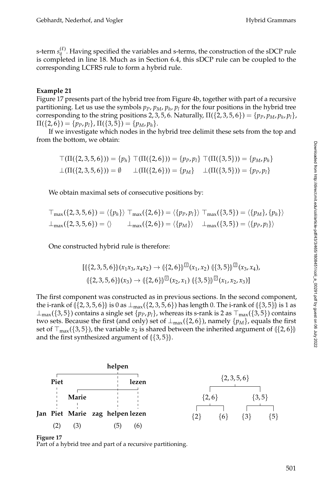s-term  $s_{q}^{(\ell)}$ . Having specified the variables and s-terms, the construction of the sDCP rule is completed in line 18. Much as in Section 6.4, this sDCP rule can be coupled to the corresponding LCFRS rule to form a hybrid rule.

## **Example 21**

Figure 17 presents part of the hybrid tree from Figure 4b, together with part of a recursive partitioning. Let us use the symbols *pP*, *pM*, *p<sup>h</sup>* , *p<sup>l</sup>* for the four positions in the hybrid tree corresponding to the string positions 2, 3, 5, 6. Naturally,  $\Pi({2,3,5,6}) = {p_P, p_M, p_h, p_l}$ ,  $\Pi({2,6}) = {p_P, p_l}, \Pi({3,5}) = {p_M, p_h}.$ 

If we investigate which nodes in the hybrid tree delimit these sets from the top and from the bottom, we obtain:

$$
\top(\Pi(\{2,3,5,6\})) = \{p_h\} \top(\Pi(\{2,6\})) = \{p_p, p_l\} \top(\Pi(\{3,5\})) = \{p_M, p_h\}
$$
  

$$
\bot(\Pi(\{2,3,5,6\})) = \emptyset \quad \bot(\Pi(\{2,6\})) = \{p_M\} \quad \bot(\Pi(\{3,5\})) = \{p_p, p_l\}
$$

We obtain maximal sets of consecutive positions by:

$$
\top_{\max}(\{2,3,5,6\}) = \langle \{p_h\} \rangle \top_{\max}(\{2,6\}) = \langle \{p_P, p_I\} \rangle \top_{\max}(\{3,5\}) = \langle \{p_M\}, \{p_h\} \rangle
$$
  

$$
\bot_{\max}(\{2,3,5,6\}) = \langle \rangle \qquad \bot_{\max}(\{2,6\}) = \langle \{p_M\} \rangle \qquad \bot_{\max}(\{3,5\}) = \langle \{p_P, p_I\} \rangle
$$

One constructed hybrid rule is therefore:

$$
[(\{2,3,5,6\})(x_1x_3,x_4x_2) \rightarrow ([\{2,6\})^{\square}(x_1,x_2) ([\{3,5\})^{\square}(x_3,x_4),([\{2,3,5,6\})(x_3) \rightarrow ([\{2,6\})^{\square}(x_2,x_1) ([\{3,5\})^{\square}(x_1,x_2,x_3)])
$$

The first component was constructed as in previous sections. In the second component, the i-rank of  $(\{2, 3, 5, 6\})$  is 0 as  $\perp_{\text{max}}(\{2, 3, 5, 6\})$  has length 0. The i-rank of  $(\{3, 5\})$  is 1 as  $\perp_{\text{max}}(\{3, 5\})$  contains a single set  $\{p_P, p_I\}$ , whereas its s-rank is 2 as  $\top_{\text{max}}(\{3, 5\})$  contains two sets. Because the first (and only) set of ⊥max({2, 6}), namely {*pM*}, equals the first set of  $T_{\text{max}}({3,5})$ , the variable  $x_2$  is shared between the inherited argument of  $({2,6})$  and the first synthesized argument of  $(13, 5)$ and the first synthesized argument of  $(\{3, 5\})$ .



**Figure 17**

Part of a hybrid tree and part of a recursive partitioning.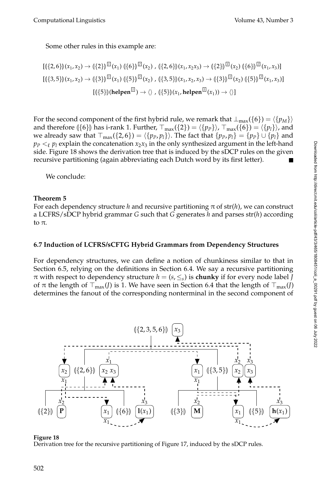Some other rules in this example are:

$$
[\{\{2,6\}\}(x_1, x_2) \rightarrow [\{2\}\}^{\boxdot} (x_1) \{ \{6\}\}^{\boxdot} (x_2), \{\{2,6\}\}(x_1, x_2x_3) \rightarrow [\{2\}\}^{\boxdot} (x_2) \{ \{6\}\}^{\boxdot} (x_1, x_3)]
$$
  

$$
[\{\{3,5\}\}(x_1, x_2) \rightarrow [\{3\}\}^{\boxdot} (x_1) \{ \{5\}\}^{\boxdot} (x_2), \{\{3,5\}\}(x_1, x_2, x_3) \rightarrow [\{3\}\}^{\boxdot} (x_2) \{ \{5\}\}^{\boxdot} (x_1, x_3)]
$$
  

$$
[\{\{5\}\}(helpen^{\boxdot}) \rightarrow \langle \rangle, \{\{5\}\}(x_1, helpen^{\boxdot} (x_1)) \rightarrow \langle \rangle]
$$

For the second component of the first hybrid rule, we remark that  $\perp_{\text{max}}({\{6\}}) = \langle {\{p_M\}} \rangle$ and therefore  $\{\{6\}\}\$  has i-rank 1. Further,  $\top_{\text{max}}(\{2\}) = \{\{p_P\}\}\$ ,  $\top_{\text{max}}(\{6\}) = \{\{p_l\}\}\$ , and we already saw that  $\top_{\text{max}}({2, 6}) = \langle {p_P, p_l} \rangle$ . The fact that  ${p_P, p_l} = {p_P} \cup {p_l}$  and  $p_p <_\ell p_l$  explain the concatenation  $x_2x_3$  in the only synthesized argument in the left-hand side. Figure 18 shows the derivation tree that is induced by the sDCP rules on the given recursive partitioning (again abbreviating each Dutch word by its first letter).

We conclude:

## **Theorem 5**

For each dependency structure *h* and recursive partitioning  $\pi$  of str(*h*), we can construct a LCFRS/sDCP hybrid grammar *G* such that *G* generates *h* and parses str(*h*) according to π.

#### **6.7 Induction of LCFRS/sCFTG Hybrid Grammars from Dependency Structures**

For dependency structures, we can define a notion of chunkiness similar to that in Section 6.5, relying on the definitions in Section 6.4. We say a recursive partitioning π with respect to dependency structure *h* = (*s*, ≤*<sup>s</sup>* ) is **chunky** if for every node label *J* of  $\pi$  the length of  $\top_{\text{max}}(J)$  is 1. We have seen in Section 6.4 that the length of  $\top_{\text{max}}(J)$ determines the fanout of the corresponding nonterminal in the second component of



#### **Figure 18**

Derivation tree for the recursive partitioning of Figure 17, induced by the sDCP rules.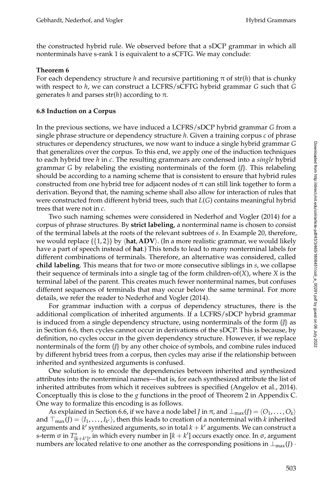the constructed hybrid rule. We observed before that a sDCP grammar in which all nonterminals have s-rank 1 is equivalent to a sCFTG. We may conclude:

## **Theorem 6**

For each dependency structure *h* and recursive partitioning  $\pi$  of str(*h*) that is chunky with respect to *h*, we can construct a LCFRS/sCFTG hybrid grammar *G* such that *G* generates *h* and parses str(*h*) according to π.

## **6.8 Induction on a Corpus**

In the previous sections, we have induced a LCFRS/sDCP hybrid grammar *G* from a single phrase structure or dependency structure *h*. Given a training corpus *c* of phrase structures or dependency structures, we now want to induce a single hybrid grammar *G* that generalizes over the corpus. To this end, we apply one of the induction techniques to each hybrid tree *h* in *c*. The resulting grammars are condensed into a *single* hybrid grammar *G* by relabeling the existing nonterminals of the form (*J*]). This relabeling should be according to a naming scheme that is consistent to ensure that hybrid rules constructed from one hybrid tree for adjacent nodes of  $\pi$  can still link together to form a derivation. Beyond that, the naming scheme shall also allow for interaction of rules that were constructed from different hybrid trees, such that *L*(*G*) contains meaningful hybrid trees that were not in *c*.

Two such naming schemes were considered in Nederhof and Vogler (2014) for a corpus of phrase structures. By **strict labeling**, a nonterminal name is chosen to consist of the terminal labels at the roots of the relevant subtrees of *s*. In Example 20, therefore, we would replace  $(\{1, 2\})$  by  $\langle$ **hat, ADV** $\rangle$ . (In a more realistic grammar, we would likely have a part of speech instead of **hat**.) This tends to lead to many nonterminal labels for different combinations of terminals. Therefore, an alternative was considered, called **child labeling**. This means that for two or more consecutive siblings in *s*, we collapse their sequence of terminals into a single tag of the form children-of(*X*), where *X* is the terminal label of the parent. This creates much fewer nonterminal names, but confuses different sequences of terminals that may occur below the same terminal. For more details, we refer the reader to Nederhof and Vogler (2014).

For grammar induction with a corpus of dependency structures, there is the additional complication of inherited arguments. If a LCFRS/sDCP hybrid grammar is induced from a single dependency structure, using nonterminals of the form  $|J\rangle$  as in Section 6.6, then cycles cannot occur in derivations of the sDCP. This is because, by definition, no cycles occur in the given dependency structure. However, if we replace nonterminals of the form *JJ*) by any other choice of symbols, and combine rules induced by different hybrid trees from a corpus, then cycles may arise if the relationship between inherited and synthesized arguments is confused.

One solution is to encode the dependencies between inherited and synthesized attributes into the nonterminal names—that is, for each synthesized attribute the list of inherited attributes from which it receives subtrees is specified (Angelov et al., 2014). Conceptually this is close to the *g* functions in the proof of Theorem 2 in Appendix C. One way to formalize this encoding is as follows.

As explained in Section 6.6, if we have a node label *J* in  $\pi$ , and  $\perp_{\max}(J) = \langle O_1, \ldots, O_k \rangle$ and  $\top_{\max}(J) = \langle I_1, \ldots, I_{k'} \rangle$ , then this leads to creation of a nonterminal with *k* inherited arguments and  $k'$  synthesized arguments, so in total  $k + k'$  arguments. We can construct a s-term σ in  $T^*_{[k+k']}$ , in which every number in  $[k+k']$  occurs exactly once. In σ, argument numbers are located relative to one another as the corresponding positions in  $\perp_{\text{max}}(J)$  ·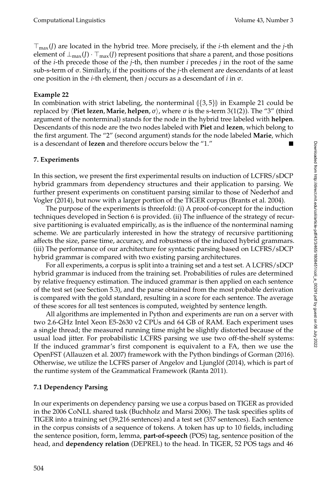$\top_{\text{max}}(J)$  are located in the hybrid tree. More precisely, if the *i*-th element and the *j*-th element of  $\perp_{\text{max}}(J)$  ·  $\perp_{\text{max}}(J)$  represent positions that share a parent, and those positions of the *i*-th precede those of the *j*-th, then number *i* precedes *j* in the root of the same sub-s-term of σ. Similarly, if the positions of the *j*-th element are descendants of at least one position in the *i*-th element, then *j* occurs as a descendant of *i* in σ.

## **Example 22**

In combination with strict labeling, the nonterminal  $\{\{3, 5\}\}\$  in Example 21 could be replaced by  $\langle$ **Piet lezen**, **Marie**, **helpen**, σ $\gamma$ , where σ is the s-term 3(1(2)). The "3" (third argument of the nonterminal) stands for the node in the hybrid tree labeled with **helpen**. Descendants of this node are the two nodes labeled with **Piet** and **lezen**, which belong to the first argument. The "2" (second argument) stands for the node labeled **Marie**, which is a descendant of **lezen** and therefore occurs below the "1."  $\blacksquare$ 

## **7. Experiments**

In this section, we present the first experimental results on induction of LCFRS/sDCP hybrid grammars from dependency structures and their application to parsing. We further present experiments on constituent parsing similar to those of Nederhof and Vogler (2014), but now with a larger portion of the TIGER corpus (Brants et al. 2004).

The purpose of the experiments is threefold: (i) A proof-of-concept for the induction techniques developed in Section 6 is provided. (ii) The influence of the strategy of recursive partitioning is evaluated empirically, as is the influence of the nonterminal naming scheme. We are particularly interested in how the strategy of recursive partitioning affects the size, parse time, accuracy, and robustness of the induced hybrid grammars. (iii) The performance of our architecture for syntactic parsing based on LCFRS/sDCP hybrid grammar is compared with two existing parsing architectures.

For all experiments, a corpus is split into a training set and a test set. A LCFRS/sDCP hybrid grammar is induced from the training set. Probabilities of rules are determined by relative frequency estimation. The induced grammar is then applied on each sentence of the test set (see Section 5.3), and the parse obtained from the most probable derivation is compared with the gold standard, resulting in a score for each sentence. The average of these scores for all test sentences is computed, weighted by sentence length.

All algorithms are implemented in Python and experiments are run on a server with two 2.6-GHz Intel Xeon E5-2630 v2 CPUs and 64 GB of RAM. Each experiment uses a single thread; the measured running time might be slightly distorted because of the usual load jitter. For probabilistic LCFRS parsing we use two off-the-shelf systems: If the induced grammar's first component is equivalent to a FA, then we use the OpenFST (Allauzen et al. 2007) framework with the Python bindings of Gorman (2016). Otherwise, we utilize the LCFRS parser of Angelov and Ljunglöf (2014), which is part of the runtime system of the Grammatical Framework (Ranta 2011).

## **7.1 Dependency Parsing**

In our experiments on dependency parsing we use a corpus based on TIGER as provided in the 2006 CoNLL shared task (Buchholz and Marsi 2006). The task specifies splits of TIGER into a training set (39,216 sentences) and a test set (357 sentences). Each sentence in the corpus consists of a sequence of tokens. A token has up to 10 fields, including the sentence position, form, lemma, **part-of-speech** (POS) tag, sentence position of the head, and **dependency relation** (DEPREL) to the head. In TIGER, 52 POS tags and 46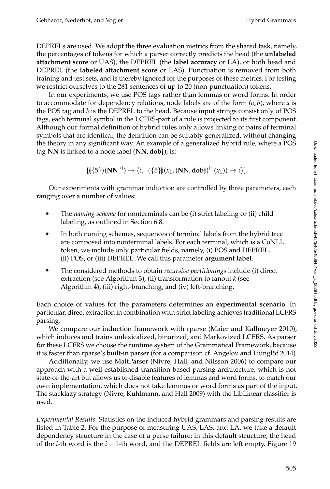DEPRELs are used. We adopt the three evaluation metrics from the shared task, namely, the percentages of tokens for which a parser correctly predicts the head (the **unlabeled attachment score** or UAS), the DEPREL (the **label accuracy** or LA), or both head and DEPREL (the **labeled attachment score** or LAS). Punctuation is removed from both training and test sets, and is thereby ignored for the purposes of these metrics. For testing we restrict ourselves to the 281 sentences of up to 20 (non-punctuation) tokens.

In our experiments, we use POS tags rather than lemmas or word forms. In order to accommodate for dependency relations, node labels are of the form (*a*, *b*), where *a* is the POS tag and *b* is the DEPREL to the head. Because input strings consist only of POS tags, each terminal symbol in the LCFRS-part of a rule is projected to its first component. Although our formal definition of hybrid rules only allows linking of pairs of terminal symbols that are identical, the definition can be suitably generalized, without changing the theory in any significant way. An example of a generalized hybrid rule, where a POS tag **NN** is linked to a node label (**NN**, **dobj**), is:

 $[(\{5\})(\mathbf{NN}^{[1]}) \rightarrow \langle \rangle, \ (\{\{5\}\})(x_1, (\mathbf{NN}, \mathbf{dobj})^{[1]}(x_1)) \rightarrow \langle \rangle]$ 

Our experiments with grammar induction are controlled by three parameters, each ranging over a number of values:

- r The *naming scheme* for nonterminals can be (i) strict labeling or (ii) child labeling, as outlined in Section 6.8.
- r In both naming schemes, sequences of terminal labels from the hybrid tree are composed into nonterminal labels. For each terminal, which is a CoNLL token, we include only particular fields, namely, (i) POS and DEPREL, (ii) POS, or (iii) DEPREL. We call this parameter **argument label**.
- r The considered methods to obtain *recursive partitionings* include (i) direct extraction (see Algorithm 3), (ii) transformation to fanout *k* (see Algorithm 4), (iii) right-branching, and (iv) left-branching.

Each choice of values for the parameters determines an **experimental scenario**. In particular, direct extraction in combination with strict labeling achieves traditional LCFRS parsing.

We compare our induction framework with rparse (Maier and Kallmeyer 2010), which induces and trains unlexicalized, binarized, and Markovized LCFRS. As parser for these LCFRS we choose the runtime system of the Grammatical Framework, because it is faster than rparse's built-in parser (for a comparison cf. Angelov and Ljunglöf 2014).

Additionally, we use MaltParser (Nivre, Hall, and Nilsson 2006) to compare our approach with a well-established transition-based parsing architecture, which is not state-of-the-art but allows us to disable features of lemmas and word forms, to match our own implementation, which does not take lemmas or word forms as part of the input. The stacklazy strategy (Nivre, Kuhlmann, and Hall 2009) with the LibLinear classifier is used.

*Experimental Results.* Statistics on the induced hybrid grammars and parsing results are listed in Table 2. For the purpose of measuring UAS, LAS, and LA, we take a default dependency structure in the case of a parse failure; in this default structure, the head of the *i*-th word is the *i* − 1-th word, and the DEPREL fields are left empty. Figure 19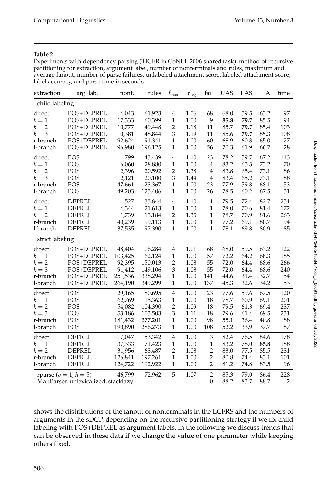#### **Table 2**

Experiments with dependency parsing (TIGER in CoNLL 2006 shared task): method of recursive partitioning for extraction, argument label, number of nonterminals and rules, maximum and average fanout, number of parse failures, unlabeled attachment score, labeled attachment score, label accuracy, and parse time in seconds.

| extraction      | arg. lab.                            | nont.   | rules   | $f_{\rm max}$           | $f_{\rm avg}$ | fail           | <b>UAS</b> | LAS  | LA             | time |
|-----------------|--------------------------------------|---------|---------|-------------------------|---------------|----------------|------------|------|----------------|------|
|                 |                                      |         |         |                         |               |                |            |      |                |      |
| child labeling  |                                      |         |         |                         |               |                |            |      |                |      |
| direct          | POS+DEPREL                           | 4,043   | 61,923  | $\overline{4}$          | 1.06          | 68             | 68.0       | 59.5 | 63.2           | 97   |
| $k=1$           | POS+DEPREL                           | 17,333  | 60,399  | $\mathbf{1}$            | 1.00          | 9              | 85.8       | 79.7 | 85.5           | 94   |
| $k=2$           | POS+DEPREL                           | 10,777  | 49,448  | $\overline{2}$          | 1.18          | 11             | 85.7       | 79.7 | 85.4           | 103  |
| $k=3$           | POS+DEPREL                           | 10,381  | 48,844  | 3                       | 1.19          | 11             | 85.6       | 79.7 | 85.3           | 108  |
| r-branch        | POS+DEPREL                           | 92,624  | 191,341 | $\mathbf{1}$            | 1.00          | 60             | 68.9       | 60.3 | 65.0           | 27   |
| l-branch        | POS+DEPREL                           | 96,980  | 196,125 | $\mathbf{1}$            | 1.00          | 56             | 70.3       | 61.9 | 66.7           | 28   |
| direct          | POS                                  | 799     | 43,439  | $\overline{\mathbf{4}}$ | 1.10          | 23             | 78.2       | 59.7 | 67.2           | 113  |
| $k=1$           | POS                                  | 6,060   | 28,880  | $\mathbf{1}$            | 1.00          | $\overline{4}$ | 83.2       | 65.3 | 73.2           | 70   |
| $k=2$           | POS                                  | 2,396   | 20,592  | 2                       | 1.38          | 4              | 83.8       | 65.4 | 73.1           | 86   |
| $k = 3$         | <b>POS</b>                           | 2,121   | 20,100  | 3                       | 1.44          | $\overline{4}$ | 83.4       | 65.2 | 73.1           | 88   |
| r-branch        | POS                                  | 47,661  | 123,367 | $\mathbf{1}$            | 1.00          | 23             | 77.9       | 59.8 | 68.1           | 53   |
| l-branch        | POS                                  | 49,203  | 125,406 | $\mathbf{1}$            | 1.00          | 26             | 78.5       | 60.2 | 67.5           | 51   |
| direct          | <b>DEPREL</b>                        | 527     | 33,844  | $\overline{\mathbf{4}}$ | 1.10          | $\mathbf{1}$   | 79.5       | 72.4 | 82.7           | 251  |
| $k=1$           | <b>DEPREL</b>                        | 4,344   | 21,613  | $\mathbf{1}$            | 1.00          | $\mathbf{1}$   | 78.0       | 70.6 | 81.4           | 172  |
| $k=2$           | <b>DEPREL</b>                        | 1,739   | 15,184  | $\overline{c}$          | 1.35          | 1              | 78.7       | 70.9 | 81.6           | 263  |
| r-branch        | <b>DEPREL</b>                        | 40,239  | 99,113  | $\,1$                   | 1.00          | $\mathbf 1$    | 77.2       | 69.1 | 80.7           | 94   |
| l-branch        | <b>DEPREL</b>                        | 37,535  | 92,390  | $\mathbf{1}$            | 1.00          | $\mathbf{1}$   | 78.1       | 69.8 | 80.9           | 85   |
| strict labeling |                                      |         |         |                         |               |                |            |      |                |      |
| direct          | POS+DEPREL                           | 48,404  | 106,284 | $\overline{4}$          | 1.01          | 68             | 68.0       | 59.5 | 63.2           | 122  |
| $k=1$           | POS+DEPREL                           | 103,425 | 162,124 | $\mathbf{1}$            | 1.00          | 57             | 72.2       | 64.2 | 68.3           | 185  |
| $k=2$           | POS+DEPREL                           | 92,395  | 150,013 | 2                       | 1.08          | 55             | 72.0       | 64.4 | 68.6           | 266  |
| $k=3$           | POS+DEPREL                           | 91,412  | 149,106 | 3                       | 1.08          | 55             | 72.0       | 64.4 | 68.6           | 240  |
| r-branch        | POS+DEPREL                           | 251,536 | 338,294 | $\mathbf 1$             | 1.00          | 141            | 44.6       | 31.4 | 32.7           | 54   |
| l-branch        | POS+DEPREL                           | 264,190 | 349,299 | $\mathbf{1}$            | 1.00          | 137            | 45.3       | 32.6 | 34.2           | 53   |
| direct          | POS                                  | 29,165  | 80,695  | $\overline{4}$          | 1.00          | 23             | 77.6       | 59.6 | 67.5           | 120  |
| $k=1$           | <b>POS</b>                           | 62,769  | 115,363 | $\mathbf{1}$            | 1.00          | 18             | 78.7       | 60.9 | 69.1           | 201  |
| $k=2$           | POS                                  | 54,082  | 104,390 | $\overline{c}$          | 1.09          | 18             | 79.5       | 61.3 | 69.4           | 237  |
| $k=3$           | POS                                  | 53,186  | 103,503 | 3                       | 1.11          | 18             | 79.6       | 61.4 | 69.5           | 231  |
| r-branch        | <b>POS</b>                           | 181,432 | 277,201 | $\mathbf{1}$            | 1.00          | 98             | 55.1       | 36.4 | 40.8           | 88   |
| l-branch        | POS                                  | 190,890 | 286,273 | $\mathbf{1}$            | 1.00          | 108            | 52.2       | 33.9 | 37.7           | 87   |
| direct          | <b>DEPREL</b>                        | 17,047  | 53,342  | $\overline{4}$          | 1.00          | 3              | 82.4       | 76.5 | 84.6           | 178  |
| $k=1$           | <b>DEPREL</b>                        | 37,333  | 71,423  | $\mathbf{1}$            | 1.00          | $\mathbf{1}$   | 83.2       | 78.0 | 85.8           | 188  |
| $k=2$           | <b>DEPREL</b>                        | 31,956  | 63,487  | $\overline{c}$          | 1.08          | $\overline{2}$ | 83.0       | 77.5 | 85.5           | 231  |
| r-branch        | <b>DEPREL</b>                        | 126,841 | 197,261 | 1                       | 1.00          | $\overline{c}$ | 80.8       | 74.4 | 83.1           | 101  |
| l-branch        | <b>DEPREL</b>                        | 124,722 | 192,922 | $\mathbf{1}$            | 1.00          | $\overline{2}$ | 81.2       | 74.8 | 83.5           | 96   |
|                 | rparse ( $v = 1$ , $h = 5$ )         | 46.799  | 72,962  | 5                       | 1.07          | $\overline{2}$ | 85.3       | 79.0 | 86.4           | 228  |
|                 | MaltParser, unlexicalized, stacklazy |         |         |                         | $\theta$      | 88.2           | 83.7       | 88.7 | $\overline{2}$ |      |

shows the distributions of the fanout of nonterminals in the LCFRS and the numbers of arguments in the sDCP, depending on the recursive partitioning strategy if we fix child labeling with POS+DEPREL as argument labels. In the following we discuss trends that can be observed in these data if we change the value of one parameter while keeping others fixed.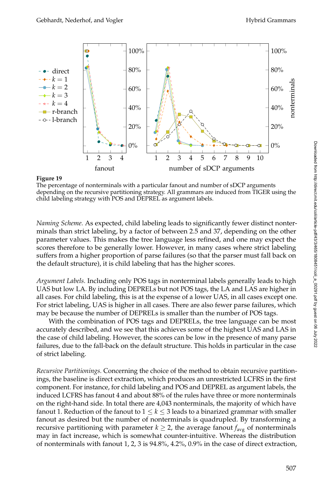

#### **Figure 19**

The percentage of nonterminals with a particular fanout and number of sDCP arguments depending on the recursive partitioning strategy. All grammars are induced from TIGER using the child labeling strategy with POS and DEPREL as argument labels.

*Naming Scheme.* As expected, child labeling leads to significantly fewer distinct nonterminals than strict labeling, by a factor of between 2.5 and 37, depending on the other parameter values. This makes the tree language less refined, and one may expect the scores therefore to be generally lower. However, in many cases where strict labeling suffers from a higher proportion of parse failures (so that the parser must fall back on the default structure), it is child labeling that has the higher scores.

*Argument Labels.* Including only POS tags in nonterminal labels generally leads to high UAS but low LA. By including DEPRELs but not POS tags, the LA and LAS are higher in all cases. For child labeling, this is at the expense of a lower UAS, in all cases except one. For strict labeling, UAS is higher in all cases. There are also fewer parse failures, which may be because the number of DEPRELs is smaller than the number of POS tags.

With the combination of POS tags and DEPRELs, the tree language can be most accurately described, and we see that this achieves some of the highest UAS and LAS in the case of child labeling. However, the scores can be low in the presence of many parse failures, due to the fall-back on the default structure. This holds in particular in the case of strict labeling.

*Recursive Partitionings.* Concerning the choice of the method to obtain recursive partitionings, the baseline is direct extraction, which produces an unrestricted LCFRS in the first component. For instance, for child labeling and POS and DEPREL as argument labels, the induced LCFRS has fanout 4 and about 88% of the rules have three or more nonterminals on the right-hand side. In total there are 4,043 nonterminals, the majority of which have fanout 1. Reduction of the fanout to  $1 \leq k \leq 3$  leads to a binarized grammar with smaller fanout as desired but the number of nonterminals is quadrupled. By transforming a recursive partitioning with parameter  $k \geq 2$ , the average fanout  $f_{\text{avg}}$  of nonterminals may in fact increase, which is somewhat counter-intuitive. Whereas the distribution of nonterminals with fanout 1, 2, 3 is 94.8%, 4.2%, 0.9% in the case of direct extraction,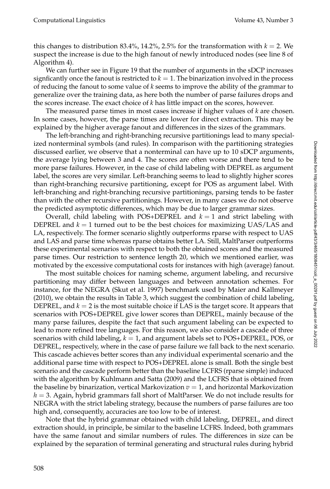this changes to distribution 83.4%, 14.2%, 2.5% for the transformation with  $k = 2$ . We suspect the increase is due to the high fanout of newly introduced nodes (see line 8 of Algorithm 4).

We can further see in Figure 19 that the number of arguments in the sDCP increases signficantly once the fanout is restricted to  $k = 1$ . The binarization involved in the process of reducing the fanout to some value of *k* seems to improve the ability of the grammar to generalize over the training data, as here both the number of parse failures drops and the scores increase. The exact choice of *k* has little impact on the scores, however.

The measured parse times in most cases increase if higher values of *k* are chosen. In some cases, however, the parse times are lower for direct extraction. This may be explained by the higher average fanout and differences in the sizes of the grammars.

The left-branching and right-branching recursive partitionings lead to many specialized nonterminal symbols (and rules). In comparison with the partitioning strategies discussed earlier, we observe that a nonterminal can have up to 10 sDCP arguments, the average lying between 3 and 4. The scores are often worse and there tend to be more parse failures. However, in the case of child labeling with DEPREL as argument label, the scores are very similar. Left-branching seems to lead to slightly higher scores than right-branching recursive partitioning, except for POS as argument label. With left-branching and right-branching recursive partitionings, parsing tends to be faster than with the other recursive partitionings. However, in many cases we do not observe the predicted asymptotic differences, which may be due to larger grammar sizes.

Overall, child labeling with POS+DEPREL and  $k = 1$  and strict labeling with DEPREL and  $k = 1$  turned out to be the best choices for maximizing UAS/LAS and LA, respectively. The former scenario slightly outperforms rparse with respect to UAS and LAS and parse time whereas rparse obtains better LA. Still, MaltParser outperforms these experimental scenarios with respect to both the obtained scores and the measured parse times. Our restriction to sentence length 20, which we mentioned earlier, was motivated by the excessive computational costs for instances with high (average) fanout.

The most suitable choices for naming scheme, argument labeling, and recursive partitioning may differ between languages and between annotation schemes. For instance, for the NEGRA (Skut et al. 1997) benchmark used by Maier and Kallmeyer (2010), we obtain the results in Table 3, which suggest the combination of child labeling, DEPREL, and  $k = 2$  is the most suitable choice if LAS is the target score. It appears that scenarios with POS+DEPREL give lower scores than DEPREL, mainly because of the many parse failures, despite the fact that such argument labeling can be expected to lead to more refined tree languages. For this reason, we also consider a cascade of three scenarios with child labeling, *k* = 1, and argument labels set to POS+DEPREL, POS, or DEPREL, respectively, where in the case of parse failure we fall back to the next scenario. This cascade achieves better scores than any individual experimental scenario and the additional parse time with respect to POS+DEPREL alone is small. Both the single best scenario and the cascade perform better than the baseline LCFRS (rparse simple) induced with the algorithm by Kuhlmann and Satta (2009) and the LCFRS that is obtained from the baseline by binarization, vertical Markovization  $v = 1$ , and horizontal Markovization *h* = 3. Again, hybrid grammars fall short of MaltParser. We do not include results for NEGRA with the strict labeling strategy, because the numbers of parse failures are too high and, consequently, accuracies are too low to be of interest.

Note that the hybrid grammar obtained with child labeling, DEPREL, and direct extraction should, in principle, be similar to the baseline LCFRS. Indeed, both grammars have the same fanout and similar numbers of rules. The differences in size can be explained by the separation of terminal generating and structural rules during hybrid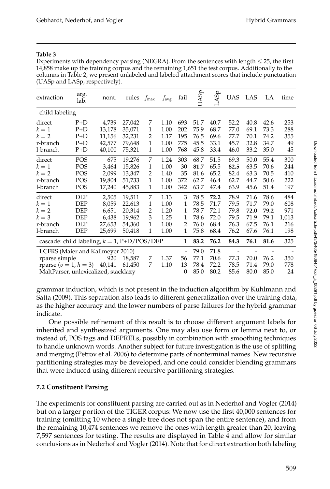#### **Table 3**

Experiments with dependency parsing (NEGRA). From the sentences with length  $\leq$  25, the first 14,858 make up the training corpus and the remaining 1,651 the test corpus. Additionally to the columns in Table 2, we present unlabeled and labeled attachment scores that include punctuation (UASp and LASp, respectively).

| extraction                                     | arg.<br>lab.                         | nont.  | rules  | $f_{\rm max}$ | $f_{\rm avg}$ | fail                     | Ъç<br>Š | Ъp<br>≺ | UAS            | LAS  | LA   | time  |
|------------------------------------------------|--------------------------------------|--------|--------|---------------|---------------|--------------------------|---------|---------|----------------|------|------|-------|
| child labeling                                 |                                      |        |        |               |               |                          |         |         |                |      |      |       |
| direct                                         | $P+D$                                | 4,739  | 27,042 | 7             | 1.10          | 693                      | 51.7    | 40.7    | 52.2           | 40.8 | 42.6 | 253   |
| $k=1$                                          | $P+D$                                | 13.178 | 35,071 | 1             | 1.00          | 202                      | 75.9    | 68.7    | 77.0           | 69.1 | 73.3 | 288   |
| $k=2$                                          | $P+D$                                | 11,156 | 32,231 | 2             | 1.17          | 195                      | 76.5    | 69.6    | 77.7           | 70.1 | 74.2 | 355   |
| r-branch                                       | $P+D$                                | 42,577 | 79,648 | 1             | 1.00          | 775                      | 45.5    | 33.1    | 45.7           | 32.8 | 34.7 | 49    |
| l-branch                                       | $P+D$                                | 40,100 | 75,321 | 1             | 1.00          | 768                      | 45.8    | 33.4    | 46.0           | 33.2 | 35.0 | 45    |
| direct                                         | POS                                  | 675    | 19,276 | 7             | 1.24          | 303                      | 68.7    | 51.5    | 69.3           | 50.0 | 55.4 | 300   |
| $k=1$                                          | POS                                  | 3,464  | 15,826 | 1             | 1.00          | 30                       | 81.7    | 65.5    | 82.5           | 63.5 | 70.6 | 244   |
| $k=2$                                          | POS                                  | 2,099  | 13,347 | 2             | 1.40          | 35                       | 81.6    | 65.2    | 82.4           | 63.3 | 70.5 | 410   |
| r-branch                                       | POS                                  | 19,804 | 51,733 | 1             | 1.00          | 372                      | 62.7    | 46.4    | 62.7           | 44.7 | 50.6 | 222   |
| l-branch                                       | POS                                  | 17,240 | 45,883 | 1             | 1.00          | 342                      | 63.7    | 47.4    | 63.9           | 45.6 | 51.4 | 197   |
| direct                                         | DEP                                  | 2,505  | 19,511 | 7             | 1.13          | 3                        | 78.5    | 72.2    | 78.9           | 71.6 | 78.6 | 484   |
| $k=1$                                          | DEP                                  | 8,059  | 22,613 | 1             | 1.00          | 1                        | 78.5    | 71.7    | 79.5           | 71.7 | 79.0 | 608   |
| $k=2$                                          | DEP                                  | 6,651  | 20,314 | 2             | 1.20          | 1                        | 78.7    | 72.1    | 79.8           | 72.0 | 79.2 | 971   |
| $k=3$                                          | DEP                                  | 6,438  | 19,962 | 3             | 1.25          | 1                        | 78.6    | 72.0    | 79.5           | 71.9 | 79.1 | 1,013 |
| r-branch                                       | DEP                                  | 27,653 | 54,360 | 1             | 1.00          | 2                        | 76.0    | 68.4    | 76.3           | 67.5 | 76.1 | 216   |
| l-branch                                       | DEP                                  | 25,699 | 50,418 | 1             | 1.00          | 1                        | 75.8    | 68.4    | 76.2           | 67.6 | 76.1 | 198   |
| cascade: child labeling, $k = 1$ , P+D/POS/DEP |                                      |        |        |               | 1             | 83.2                     | 76.2    | 84.3    | 76.1           | 81.6 | 325  |       |
| LCFRS (Maier and Kallmeyer 2010)               |                                      |        |        |               |               | $\overline{\phantom{0}}$ | 79.0    | 71.8    | $\overline{a}$ |      |      |       |
| rparse simple                                  |                                      | 920    | 18,587 | 7             | 1.37          | 56                       | 77.1    | 70.6    | 77.3           | 70.0 | 76.2 | 350   |
| rparse $(v=1, h=3)$                            |                                      | 40,141 | 61,450 | 7             | 1.10          | 13                       | 78.4    | 72.2    | 78.5           | 71.4 | 79.0 | 778   |
|                                                | MaltParser, unlexicalized, stacklazy |        |        |               |               |                          |         | 80.2    | 85.6           | 80.0 | 85.0 | 24    |

grammar induction, which is not present in the induction algorithm by Kuhlmann and Satta (2009). This separation also leads to different generalization over the training data, as the higher accuracy and the lower numbers of parse failures for the hybrid grammar indicate.

One possible refinement of this result is to choose different argument labels for inherited and synthesized arguments. One may also use form or lemma next to, or instead of, POS tags and DEPRELs, possibly in combination with smoothing techniques to handle unknown words. Another subject for future investigation is the use of splitting and merging (Petrov et al. 2006) to determine parts of nonterminal names. New recursive partitioning strategies may be developed, and one could consider blending grammars that were induced using different recursive partitioning strategies.

## **7.2 Constituent Parsing**

The experiments for constituent parsing are carried out as in Nederhof and Vogler (2014) but on a larger portion of the TIGER corpus: We now use the first 40,000 sentences for training (omitting 10 where a single tree does not span the entire sentence), and from the remaining 10,474 sentences we remove the ones with length greater than 20, leaving 7,597 sentences for testing. The results are displayed in Table 4 and allow for similar conclusions as in Nederhof and Vogler (2014). Note that for direct extraction both labeling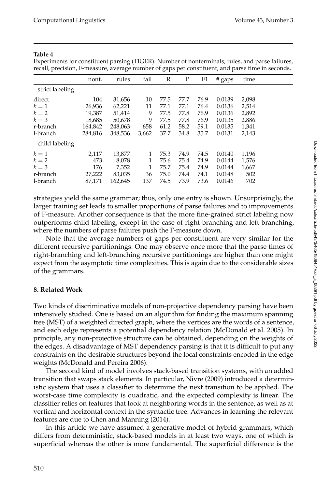| ٠<br>×<br>۰,<br>- -<br>- -<br>×<br>٧ |  |
|--------------------------------------|--|
|--------------------------------------|--|

Experiments for constituent parsing (TIGER). Number of nonterminals, rules, and parse failures, recall, precision, F-measure, average number of gaps per constituent, and parse time in seconds.

|                 | nont.   | rules   | fail  | R    | P    | F1   | # gaps | time  |  |
|-----------------|---------|---------|-------|------|------|------|--------|-------|--|
| strict labeling |         |         |       |      |      |      |        |       |  |
| direct          | 104     | 31,656  | 10    | 77.5 | 77.7 | 76.9 | 0.0139 | 2,098 |  |
| $k=1$           | 26,936  | 62,221  | 11    | 77.1 | 77.1 | 76.4 | 0.0136 | 2,514 |  |
| $k=2$           | 19,387  | 51,414  | 9     | 77.5 | 77.8 | 76.9 | 0.0136 | 2,892 |  |
| $k=3$           | 18,685  | 50,678  | 9     | 77.5 | 77.8 | 76.9 | 0.0135 | 2,886 |  |
| r-branch        | 164,842 | 248,063 | 658   | 61.2 | 58.2 | 59.1 | 0.0135 | 1,341 |  |
| 1-branch        | 284,816 | 348,536 | 3,662 | 37.7 | 34.8 | 35.7 | 0.0131 | 2,143 |  |
| child labeling  |         |         |       |      |      |      |        |       |  |
| $k=1$           | 2,117   | 13,877  | 1     | 75.3 | 74.9 | 74.5 | 0.0140 | 1,196 |  |
| $k=2$           | 473     | 8,078   | 1     | 75.6 | 75.4 | 74.9 | 0.0144 | 1,576 |  |
| $k=3$           | 176     | 7,352   |       | 75.7 | 75.4 | 74.9 | 0.0144 | 1,667 |  |
| r-branch        | 27,222  | 83,035  | 36    | 75.0 | 74.4 | 74.1 | 0.0148 | 502   |  |
| 1-branch        | 87,171  | 162,645 | 137   | 74.5 | 73.9 | 73.6 | 0.0146 | 702   |  |

strategies yield the same grammar; thus, only one entry is shown. Unsurprisingly, the larger training set leads to smaller proportions of parse failures and to improvements of F-measure. Another consequence is that the more fine-grained strict labeling now outperforms child labeling, except in the case of right-branching and left-branching, where the numbers of parse failures push the F-measure down.

Note that the average numbers of gaps per constituent are very similar for the different recursive partitionings. One may observe once more that the parse times of right-branching and left-branching recursive partitionings are higher than one might expect from the asymptotic time complexities. This is again due to the considerable sizes of the grammars.

## **8. Related Work**

Two kinds of discriminative models of non-projective dependency parsing have been intensively studied. One is based on an algorithm for finding the maximum spanning tree (MST) of a weighted directed graph, where the vertices are the words of a sentence, and each edge represents a potential dependency relation (McDonald et al. 2005). In principle, any non-projective structure can be obtained, depending on the weights of the edges. A disadvantage of MST dependency parsing is that it is difficult to put any constraints on the desirable structures beyond the local constraints encoded in the edge weights (McDonald and Pereira 2006).

The second kind of model involves stack-based transition systems, with an added transition that swaps stack elements. In particular, Nivre (2009) introduced a deterministic system that uses a classifier to determine the next transition to be applied. The worst-case time complexity is quadratic, and the expected complexity is linear. The classifier relies on features that look at neighboring words in the sentence, as well as at vertical and horizontal context in the syntactic tree. Advances in learning the relevant features are due to Chen and Manning (2014).

In this article we have assumed a generative model of hybrid grammars, which differs from deterministic, stack-based models in at least two ways, one of which is superficial whereas the other is more fundamental. The superficial difference is the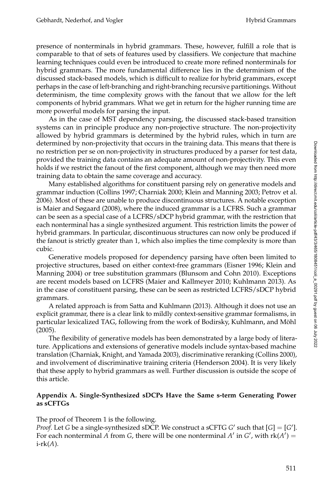presence of nonterminals in hybrid grammars. These, however, fulfill a role that is comparable to that of sets of features used by classifiers. We conjecture that machine learning techniques could even be introduced to create more refined nonterminals for hybrid grammars. The more fundamental difference lies in the determinism of the discussed stack-based models, which is difficult to realize for hybrid grammars, except perhaps in the case of left-branching and right-branching recursive partitionings. Without determinism, the time complexity grows with the fanout that we allow for the left components of hybrid grammars. What we get in return for the higher running time are more powerful models for parsing the input.

As in the case of MST dependency parsing, the discussed stack-based transition systems can in principle produce any non-projective structure. The non-projectivity allowed by hybrid grammars is determined by the hybrid rules, which in turn are determined by non-projectivity that occurs in the training data. This means that there is no restriction per se on non-projectivity in structures produced by a parser for test data, provided the training data contains an adequate amount of non-projectivity. This even holds if we restrict the fanout of the first component, although we may then need more training data to obtain the same coverage and accuracy.

Many established algorithms for constituent parsing rely on generative models and grammar induction (Collins 1997; Charniak 2000; Klein and Manning 2003; Petrov et al. 2006). Most of these are unable to produce discontinuous structures. A notable exception is Maier and Søgaard (2008), where the induced grammar is a LCFRS. Such a grammar can be seen as a special case of a LCFRS/sDCP hybrid grammar, with the restriction that each nonterminal has a single synthesized argument. This restriction limits the power of hybrid grammars. In particular, discontinuous structures can now only be produced if the fanout is strictly greater than 1, which also implies the time complexity is more than cubic.

Generative models proposed for dependency parsing have often been limited to projective structures, based on either context-free grammars (Eisner 1996; Klein and Manning 2004) or tree substitution grammars (Blunsom and Cohn 2010). Exceptions are recent models based on LCFRS (Maier and Kallmeyer 2010; Kuhlmann 2013). As in the case of constituent parsing, these can be seen as restricted LCFRS/sDCP hybrid grammars.

A related approach is from Satta and Kuhlmann (2013). Although it does not use an explicit grammar, there is a clear link to mildly context-sensitive grammar formalisms, in particular lexicalized TAG, following from the work of Bodirsky, Kuhlmann, and Möhl (2005).

The flexibility of generative models has been demonstrated by a large body of literature. Applications and extensions of generative models include syntax-based machine translation (Charniak, Knight, and Yamada 2003), discriminative reranking (Collins 2000), and involvement of discriminative training criteria (Henderson 2004). It is very likely that these apply to hybrid grammars as well. Further discussion is outside the scope of this article.

## **Appendix A. Single-Synthesized sDCPs Have the Same s-term Generating Power as sCFTGs**

The proof of Theorem 1 is the following.

*Proof.* Let *G* be a single-synthesized sDCP. We construct a sCFTG *G*' such that  $[G] = [G']$ . For each nonterminal *A* from *G*, there will be one nonterminal *A'* in *G'*, with  $rk(A') =$ i-rk(*A*).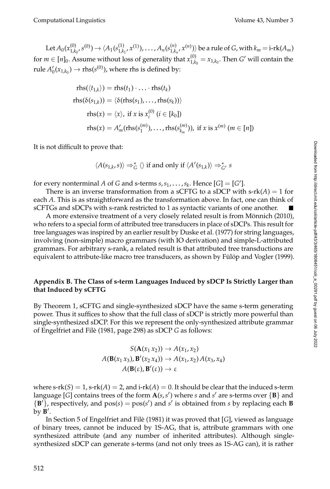Let  $A_0(x_{1,k}^{(0)})$  $_{1,k_0}^{(0)}, s^{(0)}) \rightarrow \langle A_1(s_{1,k}^{(1)})$  $A_{1,k_1}^{(1)}, x^{(1)}), \ldots, A_n(s_{1,k_1}^{(n)})$  $\langle n \rangle_{1,k_n}$ ,  $x^{(n)}$ ) be a rule of *G*, with  $k_m = \text{i-rk}(A_m)$ for  $m \in [n]_0$ . Assume without loss of generality that  $x_{1,k}^{(0)}$  $x_{1,k_0}^{(0)} = x_{1,k_0}$ . Then  $G'$  will contain the rule  $A'_0(x_{1,k_0}) \to {\mathop{\mathrm{rhs}}}(s^{(0)})$ , where rhs is defined by:

$$
\text{rhs}(\langle t_{1,k} \rangle) = \text{rhs}(t_1) \cdot \ldots \cdot \text{rhs}(t_k)
$$
\n
$$
\text{rhs}(\delta(s_{1,k})) = \langle \delta(\text{rhs}(s_1), \ldots, \text{rhs}(s_k)) \rangle
$$
\n
$$
\text{rhs}(x) = \langle x \rangle, \text{ if } x \text{ is } x_i^{(0)} \ (i \in [k_0])
$$
\n
$$
\text{rhs}(x) = A'_m(\text{rhs}(s_1^{(m)}), \ldots, \text{rhs}(s_{k_m}^{(m)})), \text{ if } x \text{ is } x^{(m)} \ (m \in [n])
$$

It is not difficult to prove that:

$$
\langle A(s_{1,k},s) \rangle \Rightarrow_G^* \langle \rangle \text{ if and only if } \langle A'(s_{1,k}) \rangle \Rightarrow_G^* s
$$

for every nonterminal *A* of *G* and *s*-terms  $s, s_1, \ldots, s_k$ . Hence  $[G] = [G']$ .

There is an inverse transformation from a sCFTG to a sDCP with  $s$ - $rk(A) = 1$  for each *A*. This is as straightforward as the transformation above. In fact, one can think of sCFTGs and sDCPs with s-rank restricted to 1 as syntactic variants of one another.

A more extensive treatment of a very closely related result is from Mönnich (2010), who refers to a special form of attributed tree transducers in place of sDCPs. This result for tree languages was inspired by an earlier result by Duske et al. (1977) for string languages, involving (non-simple) macro grammars (with IO derivation) and simple-L-attributed grammars. For arbitrary s-rank, a related result is that attributed tree transductions are equivalent to attribute-like macro tree transducers, as shown by Fülöp and Vogler (1999).

## **Appendix B. The Class of s-term Languages Induced by sDCP Is Strictly Larger than that Induced by sCFTG**

By Theorem 1, sCFTG and single-synthesized sDCP have the same s-term generating power. Thus it suffices to show that the full class of sDCP is strictly more powerful than single-synthesized sDCP. For this we represent the only-synthesized attribute grammar of Engelfriet and Filè (1981, page 298) as sDCP *G* as follows:

$$
S(\mathbf{A}(x_1 x_2)) \to A(x_1, x_2)
$$
  

$$
A(\mathbf{B}(x_1 x_3), \mathbf{B}'(x_2 x_4)) \to A(x_1, x_2) A(x_3, x_4)
$$
  

$$
A(\mathbf{B}(\varepsilon), \mathbf{B}'(\varepsilon)) \to \varepsilon
$$

where s-rk( $S$ ) = 1, s-rk( $A$ ) = 2, and i-rk( $A$ ) = 0. It should be clear that the induced s-term language [G] contains trees of the form  $\mathbf{A}(s, s')$  where *s* and *s'* are s-terms over  $\{ \mathbf{B} \}$  and  ${B'}$ , respectively, and  $pos(s) = pos(s')$  and *s'* is obtained from *s* by replacing each **B**  $\phi y \not\in B'$ .

In Section 5 of Engelfriet and Filè (1981) it was proved that [*G*], viewed as language of binary trees, cannot be induced by 1S-AG, that is, attribute grammars with one synthesized attribute (and any number of inherited attributes). Although singlesynthesized sDCP can generate s-terms (and not only trees as 1S-AG can), it is rather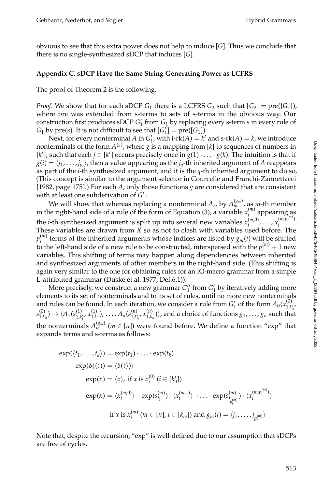obvious to see that this extra power does not help to induce [*G*]. Thus we conclude that there is no single-synthesized sDCP that induces [*G*].

#### **Appendix C. sDCP Have the Same String Generating Power as LCFRS**

The proof of Theorem 2 is the following.

*Proof.* We show that for each sDCP  $G_1$  there is a LCFRS  $G_2$  such that  $[G_2] = \text{pre}([G_1])$ , where pre was extended from s-terms to sets of s-terms in the obvious way. Our construction first produces sDCP  $G_1'$  from  $G_1$  by replacing every s-term *s* in every rule of  $G_1$  by pre(*s*). It is not difficult to see that  $[G'_1] = \text{pre}([G_1])$ .

Next, for every nonterminal *A* in  $G'_{1}$ , with i-rk(*A*) = *k'* and s-rk(*A*) = *k*, we introduce nonterminals of the form  $A^{(g)}$ , where  $g$  is a mapping from [ $k$ ] to sequences of numbers in [k'], such that each  $j \in [k']$  occurs precisely once in  $g(1) \cdot \ldots \cdot g(k)$ . The intuition is that if  $g(i) = \langle j_1, \ldots, j_{p_i} \rangle$ , then a value appearing as the  $j_q$ -th inherited argument of *A* reappears as part of the *i*-th synthesized argument, and it is the *q*-th inherited argument to do so. (This concept is similar to the argument selector in Courcelle and Franchi-Zannettacci [1982, page 175].) For each *A*, only those functions *g* are considered that are consistent with at least one subderivation of  $G_1'$ .

We will show that whereas replacing a nonterminal  $A_m$  by  $A_m^{(g_m)}$ , as m-th member in the right-hand side of a rule of the form of Equation (3), a variable  $x_i^{(m)}$ *i* appearing as (*m*) the *i*-th synthesized argument is split up into several new variables *x* (*m*,0)  $\binom{m,0}{i}, \ldots, \binom{m,p_i^{(m)}}{i}$  $\sum_{i=1}^{m}$ These variables are drawn from *X* so as not to clash with variables used before. The *p* (*m*)  $\sum_{i=1}^{m}$  terms of the inherited arguments whose indices are listed by  $g_m(i)$  will be shifted to the left-hand side of a new rule to be constructed, interspersed with the  $p_i^{(m)} + 1$  new variables. This shifting of terms may happen along dependencies between inherited and synthesized arguments of other members in the right-hand side. (This shifting is again very similar to the one for obtaining rules for an IO-macro grammar from a simple L-attributed grammar (Duske et al. 1977, Def.6.1)).

More precisely, we construct a new grammar  $G''_1$  from  $G'_1$  by iteratively adding more elements to its set of nonterminals and to its set of rules, until no more new nonterminals and rules can be found. In each iteration, we consider a rule from  $G'_{1}$  of the form  $A_{0}(x^{(0)}_{1,k})$  $1, k'_0$  $s_{1,k_0}^{(0)} \rightarrow \langle A_1(s_{1,k'}^{(1)}, x_{1,k_0}^{(1)}), \ldots, A_n(s_{1,k'}^{(n)}, x_{1,k}^{(n)}) \rangle$ , and a choice of functions  $g_1, \ldots, g_n$  such that  $_{1,k_0}^{(0)}$  )  $\rightarrow \langle A_1(s_{1,k}^{(1)}), \,$  $\chi_{1,k'_1}^{(1)}, \chi_{1,k_1}^{(1)}$  $A_{1,k_1}^{(1)}$ , ...,  $A_n(s_{1,k_1}^{(n)})$ (*n*)<br>  $x_{1,k'_{n}}^{(n)}$ ,  $x_{1,k_{n}}^{(n)}$  $\binom{n}{1,k_n}$ , and a choice of functions  $g_1, \ldots, g_n$  such that the nonterminals  $A_m^{(g_m)}$   $(m \in [n])$  were found before. We define a function "exp" that expands terms and s-terms as follows:

$$
\exp(\langle t_1, \dots, t_k \rangle) = \exp(t_1) \cdot \dots \cdot \exp(t_k)
$$
  
\n
$$
\exp(\delta(\langle \rangle)) = \langle \delta(\langle \rangle) \rangle
$$
  
\n
$$
\exp(x) = \langle x \rangle, \text{ if } x \text{ is } x_i^{(0)} \ (i \in [k'_0])
$$
  
\n
$$
\exp(x) = \langle x_i^{(m,0)} \rangle \cdot \exp(s_{j_1}^{(m)}) \cdot \langle x_i^{(m,1)} \rangle \cdot \dots \cdot \exp(s_{j_{p_i}^{(m)}}^{(m)}) \cdot \langle x_i^{(m,p_i^{(m)})} \rangle
$$
  
\nif  $x \text{ is } x_i^{(m)} \ (m \in [n], i \in [k_m] \text{ and } g_m(i) = \langle j_1, \dots, j_{p_i^{(m)}} \rangle$ 

Note that, despite the recursion, "exp" is well-defined due to our assumption that sDCPs are free of cycles.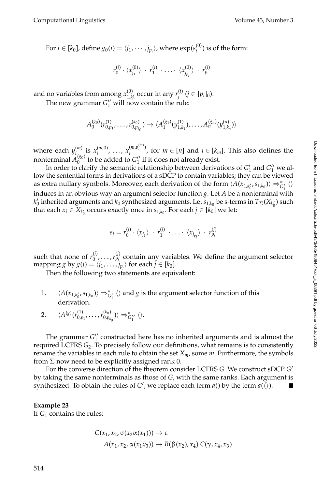For  $i \in [k_0]$ , define  $g_0(i) = \langle j_1, \cdots, j_{p_i} \rangle$ , where  $\exp(s_i^{(0)})$  $i^{(0)}$ ) is of the form:

$$
r_0^{(i)} \cdot \langle x_{j_1}^{(0)} \rangle \cdot r_1^{(i)} \cdot \ldots \cdot \langle x_{j_{p_i}}^{(0)} \rangle \cdot r_{p_i}^{(i)}
$$

and no variables from among  $x_{1:k}^{(0)}$  $_{1,k_0^\prime}^{(0)}$  occur in any  $r_j^{(i)}$  $j^{(i)}$   $(j \in [p_i]_0)$ .

The new grammar  $G_1''$  will now contain the rule:

$$
A_0^{(g_0)}(r_{0,p_1}^{(1)},\ldots,r_{0,p_{k_0}}^{(k_0)}) \rightarrow \langle A_1^{(g_1)}(y_{1,k_1}^{(1)}),\ldots,A_n^{(g_n)}(y_{1,k_n}^{(n)})\rangle
$$

where each  $y_i^{(m)}$  $\sum_{i=1}^{(m)}$  is  $x_i^{(m,0)}$  $\binom{m,0}{i}$ , ...,  $x_i^{(m,p_i^{(m)})}$  $i^{(m,p_i)}$ , for  $m \in [n]$  and  $i \in [k_m]$ . This also defines the nonterminal  $A_0^{(g_0)}$  to be added to  $G_1''$  if it does not already exist.

In order to clarify the semantic relationship between derivations of  $G_1'$  and  $G_1''$  we allow the sentential forms in derivations of a sDCP to contain variables; they can be viewed as extra nullary symbols. Moreover, each derivation of the form  $\langle A(x_{1,k'_0}, s_{1,k_0}) \rangle \Rightarrow_{G'_1}^* \langle \rangle$ induces in an obvious way an argument selector function *g*. Let *A* be a nonterminal with *k*<sup> $t$ </sup> inherited arguments and *k*<sub>0</sub> synthesized arguments. Let *s*<sub>1,*k*<sub>0</sub></sub> be s-terms in *T*<sub>Σ</sub>(*X<sub><i>k*<sup> $t$ </sup>)</sub> such that each  $x_i \in X_{k'_0}$  occurs exactly once in  $s_{1,k_0}$ . For each  $j \in [k_0]$  we let:

$$
s_j = r_0^{(j)} \cdot \langle x_{j_1} \rangle \cdot r_1^{(j)} \cdot \ldots \cdot \langle x_{j_{p_j}} \rangle \cdot r_{p_j}^{(j)}
$$

such that none of  $r_0^{(j)}$  $\langle v_0^{(j)}, \ldots, r_{p_j}^{(j)} \rangle$  contain any variables. We define the argument selector mapping *g* by  $g(j) = \langle j_1, \ldots, j_{p_j} \rangle$  for each  $j \in [k_0]$ .

Then the following two statements are equivalent:

- 1.  $\langle A(x_{1,k'_0}, s_{1,k_0}) \rangle \Rightarrow_{G'_1}^* \langle \rangle$  and *g* is the argument selector function of this derivation.
- 2.  $\langle A^{(g)}(r_{0,p_1}^{(1)}, \ldots, r_{0,p_k}^{(k_0)})$  $\langle {k_0 \choose 0,p_{k_0}} \rangle \geqslant \preceq_{G''_1}^* \langle \rangle.$

The grammar  $G_1''$  constructed here has no inherited arguments and is almost the required LCFRS *G*<sup>2</sup> . To precisely follow our definitions, what remains is to consistently rename the variables in each rule to obtain the set *Xm*, some *m*. Furthermore, the symbols from  $\Sigma$  now need to be explicitly assigned rank 0.

For the converse direction of the theorem consider LCFRS *G*. We construct sDCP *G* 0 by taking the same nonterminals as those of *G*, with the same ranks. Each argument is synthesized. To obtain the rules of  $G'$ , we replace each term  $a()$  by the term  $a(\langle \rangle)$ .

## **Example 23**

If *G*<sup>1</sup> contains the rules:

$$
C(x_1, x_2, \sigma(x_2\alpha(x_1))) \to \varepsilon
$$
  
 
$$
A(x_1, x_2, \alpha(x_1x_3)) \to B(\beta(x_2), x_4) C(\gamma, x_4, x_3)
$$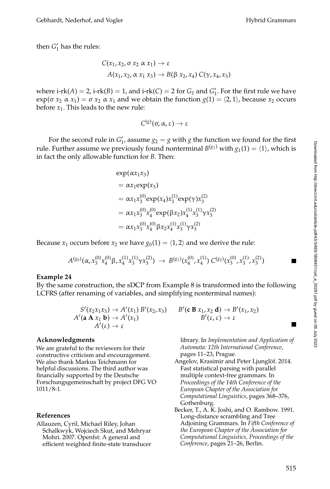then  $G_1'$  has the rules:

$$
C(x_1, x_2, \sigma x_2 \alpha x_1) \rightarrow \varepsilon
$$
  
 
$$
A(x_1, x_2, \alpha x_1 x_3) \rightarrow B(\beta x_2, x_4) C(\gamma, x_4, x_3)
$$

where i-rk( $A$ ) = 2, i-rk( $B$ ) = 1, and i-rk( $C$ ) = 2 for  $G_1$  and  $G'_1$ . For the first rule we have exp(σ  $x_2$  α  $x_1$ ) = σ  $x_2$  α  $x_1$  and we obtain the function  $g(1) = \langle 2, 1 \rangle$ , because  $x_2$  occurs before  $x_1$ . This leads to the new rule:

$$
C^{(g)}(\sigma,\alpha,\epsilon)\to\epsilon
$$

For the second rule in  $G'_1$ , assume  $g_2 = g$  with  $g$  the function we found for the first rule. Further assume we previously found nonterminal  $B^{(g_1)}$  with  $g_1(1)=\langle 1\rangle$ , which is in fact the only allowable function for *B*. Then:

$$
\exp(\alpha x_1 x_3)
$$
  
=  $\alpha x_1 \exp(x_3)$   
=  $\alpha x_1 x_3^{(0)} \exp(x_4) x_3^{(1)} \exp(\gamma) x_3^{(2)}$   
=  $\alpha x_1 x_3^{(0)} x_4^{(0)} \exp(\beta x_2) x_4^{(1)} x_3^{(1)} \gamma x_3^{(2)}$   
=  $\alpha x_1 x_3^{(0)} x_4^{(0)} \beta x_2 x_4^{(1)} x_3^{(1)} \gamma x_3^{(2)}$ 

Because  $x_1$  occurs before  $x_2$  we have  $g_0(1) = \langle 1, 2 \rangle$  and we derive the rule:

$$
A^{(g_0)}(\alpha,x_3^{(0)}x_4^{(0)}\beta,x_4^{(1)}x_3^{(1)}\gamma x_3^{(2)}) ~\to~ B^{(g_1)}(x_4^{(0)},x_4^{(1)})~C^{(g_2)}(x_3^{(0)},x_3^{(1)},x_3^{(2)})
$$

#### **Example 24**

By the same construction, the sDCP from Example 8 is transformed into the following LCFRS (after renaming of variables, and simplifying nonterminal names):

$$
S'(x_2x_1x_3) \rightarrow A'(x_1) B'(x_2, x_3) \qquad B'(\mathbf{c} \mathbf{B} x_1, x_2 \mathbf{d}) \rightarrow B'(x_1, x_2)
$$
  
\n
$$
A'(\mathbf{a} \mathbf{A} x_1 \mathbf{b}) \rightarrow A'(x_1) \qquad B'(\varepsilon, \varepsilon) \rightarrow \varepsilon
$$
  
\n
$$
A'(\varepsilon) \rightarrow \varepsilon
$$

#### **Acknowledgments**

We are grateful to the reviewers for their constructive criticism and encouragement. We also thank Markus Teichmann for helpful discussions. The third author was financially supported by the Deutsche Forschungsgemeinschaft by project DFG VO 1011/8-1.

#### **References**

Allauzen, Cyril, Michael Riley, Johan Schalkwyk, Wojciech Skut, and Mehryar Mohri. 2007. Openfst: A general and efficient weighted finite-state transducer library. In *Implementation and Application of Automata: 12th International Conference*, pages 11–23, Prague.

- Angelov, Krasimir and Peter Ljunglöf. 2014. Fast statistical parsing with parallel multiple context-free grammars. In *Proceedings of the 14th Conference of the European Chapter of the Association for Computational Linguistics*, pages 368–376, Gothenburg.
- Becker, T., A. K. Joshi, and O. Rambow. 1991. Long-distance scrambling and Tree Adjoining Grammars. In *Fifth Conference of the European Chapter of the Association for Computational Linguistics, Proceedings of the Conference*, pages 21–26, Berlin.

H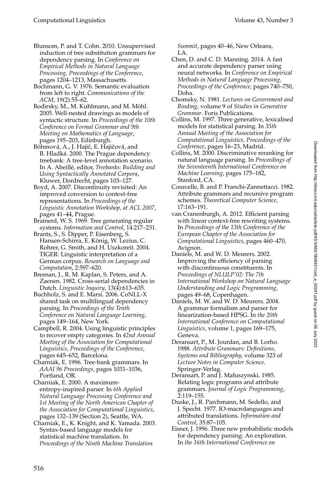- Blunsom, P. and T. Cohn. 2010. Unsupervised induction of tree substitution grammars for dependency parsing. In *Conference on Empirical Methods in Natural Language Processing, Proceedings of the Conference*, pages 1204–1213, Massachusetts.
- Bochmann, G. V. 1976. Semantic evaluation from left to right. *Communications of the ACM*, 19(2):55–62.
- Bodirsky, M., M. Kuhlmann, and M. Möhl. 2005. Well-nested drawings as models of syntactic structure. In *Proceedings of the 10th Conference on Formal Grammar and 9th Meeting on Mathematics of Language*, pages 195–203, Edinburgh.
- Böhmová, A., J. Hajič, E. Hajičová, and B. Hladká. 2000. The Prague dependency treebank: A tree-level annotation scenario. In A. Abeillé, editor, *Treebanks: Building and Using Syntactically Annotated Corpora*, Kluwer, Dordrecht, pages 103–127.
- Boyd, A. 2007. Discontinuity revisited: An improved conversion to context-free representations. In *Proceedings of the Linguistic Annotation Workshop, at ACL 2007*, pages 41–44, Prague.
- Brainerd, W. S. 1969. Tree generating regular systems. *Information and Control*, 14:217–231.
- Brants, S., S. Dipper, P. Eisenberg, S. Hansen-Schirra, E. König, W. Lezius, C. Rohrer, G. Smith, and H. Uszkoreit. 2004. TIGER: Linguistic interpretation of a German corpus. *Research on Language and Computation*, 2:597–620.
- Bresnan, J., R. M. Kaplan, S. Peters, and A. Zaenen. 1982. Cross-serial dependencies in Dutch. *Linguistic Inquiry*, 13(4):613–635.
- Buchholz, S. and E. Marsi. 2006. CoNLL-X shared task on multilingual dependency parsing. In *Proceedings of the Tenth Conference on Natural Language Learning*, pages 149–164, New York.
- Campbell, R. 2004. Using linguistic principles to recover empty categories. In *42nd Annual Meeting of the Association for Computational Linguistics, Proceedings of the Conference*, pages 645–652, Barcelona.
- Charniak, E. 1996. Tree-bank grammars. In *AAAI 96 Proceedings*, pages 1031–1036, Portland, OR.
- Charniak, E. 2000. A maximumentropy-inspired parser. In *6th Applied Natural Language Processing Conference and 1st Meeting of the North American Chapter of the Association for Computational Linguistics*, pages 132–139 (Section 2), Seattle, WA.
- Charniak, E., K. Knight, and K. Yamada. 2003. Syntax-based language models for statistical machine translation. In *Proceedings of the Ninth Machine Translation*

*Summit*, pages 40–46, New Orleans, LA.

- Chen, D. and C. D. Manning. 2014. A fast and accurate dependency parser using neural networks. In *Conference on Empirical Methods in Natural Language Processing, Proceedings of the Conference*, pages 740–750, Doha.
- Chomsky, N. 1981. *Lectures on Government and Binding,* volume 9 of *Studies in Generative Grammar*. Foris Publications.
- Collins, M. 1997. Three generative, lexicalised models for statistical parsing. In *35th Annual Meeting of the Association for Computational Linguistics, Proceedings of the Conference*, pages 16–23, Madrid.
- Collins, M. 2000. Discriminative reranking for natural language parsing. In *Proceedings of the Seventeenth International Conference on Machine Learning*, pages 175–182, Stanford, CA.
- Courcelle, B. and P. Franchi-Zannettacci. 1982. Attribute grammars and recursive program schemes. *Theoretical Computer Science*, 17:163–191.
- van Cranenburgh, A. 2012. Efficient parsing with linear context-free rewriting systems. In *Proceedings of the 13th Conference of the European Chapter of the Association for Computational Linguistics*, pages 460–470, Avignon.
- Daniels, M. and W. D. Meurers. 2002. Improving the efficiency of parsing with discontinuous constituents. In *Proceedings of NLULP'02: The 7th International Workshop on Natural Language Understanding and Logic Programming*, pages 49–68, Copenhagen.
- Daniels, M. W. and W. D. Meurers. 2004. A grammar formalism and parser for linearization-based HPSG. In *the 20th International Conference on Computational Linguistics*, volume 1, pages 169–175, Geneva.
- Deransart, P., M. Jourdan, and B. Lorho. 1988. *Attribute Grammars: Definitions, Systems and Bibliography,* volume 323 of *Lecture Notes in Computer Science*. Springer-Verlag.
- Deransart, P. and J. Małuszynski. 1985. Relating logic programs and attribute grammars. *Journal of Logic Programming*, 2:119–155.
- Duske, J., R. Parchmann, M. Sedello, and J. Specht. 1977. IO-macrolanguages and attributed translations. *Information and Control*, 35:87–105.
- Eisner, J. 1996. Three new probabilistic models for dependency parsing: An exploration. In *the 16th International Conference on*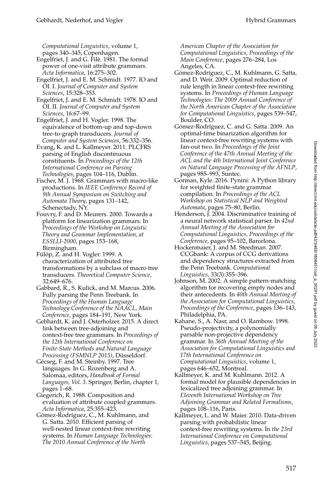*Computational Linguistics*, volume 1, pages 340–345, Copenhagen.

Engelfriet, J. and G. Filè. 1981. The formal power of one-visit attribute grammars. *Acta Informatica*, 16:275–302.

Engelfriet, J. and E. M. Schmidt. 1977. IO and OI. I. *Journal of Computer and System Sciences*, 15:328–353.

Engelfriet, J. and E. M. Schmidt. 1978. IO and OI. II. *Journal of Computer and System Sciences*, 16:67–99.

Engelfriet, J. and H. Vogler. 1998. The equivalence of bottom-up and top-down tree-to-graph transducers. *Journal of Computer and System Sciences*, 56:332–356.

Evang, K. and L. Kallmeyer. 2011. PLCFRS parsing of English discontinuous constituents. In *Proceedings of the 12th International Conference on Parsing Technologies*, pages 104–116, Dublin.

Fischer, M. J. 1968. Grammars with macro-like productions. In *IEEE Conference Record of 9th Annual Symposium on Switching and Automata Theory*, pages 131–142, Schenectady, NY.

Fouvry, F. and D. Meurers. 2000. Towards a platform for linearization grammars. In *Proceedings of the Workshop on Linguistic Theory and Grammar Implementation, at ESSLLI-2000*, pages 153–168, Birmingham.

Fülöp, Z. and H. Vogler. 1999. A characterization of attributed tree transformations by a subclass of macro tree transducers. *Theoretical Computer Science*, 32:649–676.

Gabbard, R., S. Kulick, and M. Marcus. 2006. Fully parsing the Penn Treebank. In *Proceedings of the Human Language Technology Conference of the NAACL, Main Conference*, pages 184–191, New York.

Gebhardt, K. and J. Osterholzer. 2015. A direct link between tree-adjoining and context-free tree grammars. In *Proceedings of the 12th International Conference on Finite-State Methods and Natural Language Processing (FSMNLP 2015)*, Düsseldorf.

Gécseg, F. and M. Steinby. 1997. Tree languages. In G. Rozenberg and A. Salomaa, editors, *Handbook of Formal Languages, Vol. 3*. Springer, Berlin, chapter 1, pages 1–68.

Giegerich, R. 1988. Composition and evaluation of attribute coupled grammars. *Acta Informatica*, 25:355–423.

Gómez-Rodríguez, C., M. Kuhlmann, and G. Satta. 2010. Efficient parsing of well-nested linear context-free rewriting systems. In *Human Language Technologies: The 2010 Annual Conference of the North*

*American Chapter of the Association for Computational Linguistics, Proceedings of the Main Conference*, pages 276–284, Los Angeles, CA.

- Gómez-Rodríguez, C., M. Kuhlmann, G. Satta, and D. Weir. 2009. Optimal reduction of rule length in linear context-free rewriting systems. In *Proceedings of Human Language Technologies: The 2009 Annual Conference of the North American Chapter of the Association for Computational Linguistics*, pages 539–547, Boulder, CO.
- Gómez-Rodríguez, C. and G. Satta. 2009. An optimal-time binarization algorithm for linear context-free rewriting systems with fan-out two. In *Proceedings of the Joint Conference of the 47th Annual Meeting of the ACL and the 4th International Joint Conference on Natural Language Processing of the AFNLP*, pages 985–993, Suntec.
- Gorman, Kyle. 2016. Pynini: A Python library for weighted finite-state grammar compilation. In *Proceedings of the ACL Workshop on Statistical NLP and Weighted Automata*, pages 75–80, Berlin.
- Henderson, J. 2004. Discriminative training of a neural network statistical parser. In *42nd Annual Meeting of the Association for Computational Linguistics, Proceedings of the Conference*, pages 95–102, Barcelona.
- Hockenmaier, J. and M. Steedman. 2007. CCGbank: A corpus of CCG derivations and dependency structures extracted from the Penn Treebank. *Computational Linguistics*, 33(3):355–396.
- Johnson, M. 2002. A simple pattern-matching algorithm for recovering empty nodes and their antecedents. In *40th Annual Meeting of the Association for Computational Linguistics, Proceedings of the Conference*, pages 136–143, Philadelphia, PA.

Kahane, S., A. Nasr, and O. Rambow. 1998. Pseudo-projectivity, a polynomially parsable non-projective dependency grammar. In *36th Annual Meeting of the Association for Computational Linguistics and 17th International Conference on Computational Linguistics*, volume 1, pages 646–652, Montreal.

Kallmeyer, K. and M. Kuhlmann. 2012. A formal model for plausible dependencies in lexicalized tree adjoining grammar. In *Eleventh International Workshop on Tree Adjoining Grammar and Related Formalisms*, pages 108–116, Paris.

Kallmeyer, L. and W. Maier. 2010. Data-driven parsing with probabilistic linear context-free rewriting systems. In *the 23rd International Conference on Computational Linguistics*, pages 537–545, Beijing.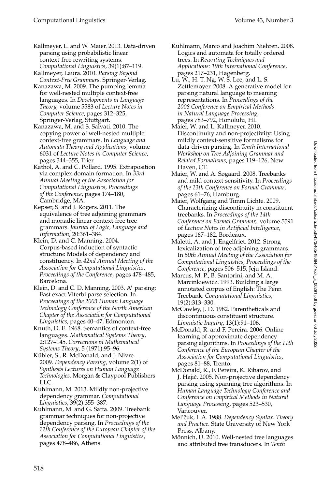- Kallmeyer, L. and W. Maier. 2013. Data-driven parsing using probabilistic linear context-free rewriting systems. *Computational Linguistics*, 39(1):87–119.
- Kallmeyer, Laura. 2010. *Parsing Beyond Context-Free Grammars*. Springer-Verlag.
- Kanazawa, M. 2009. The pumping lemma for well-nested multiple context-free languages. In *Developments in Language Theory,* volume 5583 of *Lecture Notes in Computer Science*, pages 312–325, Springer-Verlag, Stuttgart.
- Kanazawa, M. and S. Salvati. 2010. The copying power of well-nested multiple context-free grammars. In *Language and Automata Theory and Applications,* volume 6031 of *Lecture Notes in Computer Science*, pages 344–355, Trier.
- Kathol, A. and C. Pollard. 1995. Extraposition via complex domain formation. In *33rd Annual Meeting of the Association for Computational Linguistics, Proceedings of the Conference*, pages 174–180, Cambridge, MA.
- Kepser, S. and J. Rogers. 2011. The equivalence of tree adjoining grammars and monadic linear context-free tree grammars. *Journal of Logic, Language and Information*, 20:361–384.
- Klein, D. and C. Manning. 2004. Corpus-based induction of syntactic structure: Models of dependency and constituency. In *42nd Annual Meeting of the Association for Computational Linguistics, Proceedings of the Conference*, pages 478–485, Barcelona.
- Klein, D. and C. D. Manning. 2003. A<sup>∗</sup> parsing: Fast exact Viterbi parse selection. In *Proceedings of the 2003 Human Language Technology Conference of the North American Chapter of the Association for Computational Linguistics*, pages 40–47, Edmonton.
- Knuth, D. E. 1968. Semantics of context-free languages. *Mathematical Systems Theory*, 2:127–145. *Corrections in Mathematical Systems Theory*, 5 (1971):95–96.
- Kübler, S., R. McDonald, and J. Nivre. 2009. *Dependency Parsing,* volume 2(1) of *Synthesis Lectures on Human Language Technologies*. Morgan & Claypool Publishers LLC.
- Kuhlmann, M. 2013. Mildly non-projective dependency grammar. *Computational Linguistics*, 39(2):355–387.
- Kuhlmann, M. and G. Satta. 2009. Treebank grammar techniques for non-projective dependency parsing. In *Proceedings of the 12th Conference of the European Chapter of the Association for Computational Linguistics*, pages 478–486, Athens.
- Kuhlmann, Marco and Joachim Niehren. 2008. Logics and automata for totally ordered trees. In *Rewriting Techniques and Applications: 19th International Conference*, pages 217–231, Hagenberg.
- Lu, W., H. T. Ng, W. S. Lee, and L. S. Zettlemoyer. 2008. A generative model for parsing natural language to meaning representations. In *Proceedings of the 2008 Conference on Empirical Methods in Natural Language Processing*, pages 783–792, Honolulu, HI.
- Maier, W. and L. Kallmeyer. 2010. Discontinuity and non-projectivity: Using mildly context-sensitive formalisms for data-driven parsing. In *Tenth International Workshop on Tree Adjoining Grammar and Related Formalisms*, pages 119–126, New Haven, CT.
- Maier, W. and A. Søgaard. 2008. Treebanks and mild context-sensitivity. In *Proceedings of the 13th Conference on Formal Grammar*, pages 61–76, Hamburg.
- Maier, Wolfgang and Timm Lichte. 2009. Characterizing discontinuity in constituent treebanks. In *Proceedings of the 14th Conference on Formal Grammar,* volume 5591 of *Lecture Notes in Artificial Intelligence*, pages 167–182, Bordeaux.
- Maletti, A. and J. Engelfriet. 2012. Strong lexicalization of tree adjoining grammars. In *50th Annual Meeting of the Association for Computational Linguistics, Proceedings of the Conference*, pages 506–515, Jeju Island.
- Marcus, M. P., B. Santorini, and M. A. Marcinkiewicz. 1993. Building a large annotated corpus of English: The Penn Treebank. *Computational Linguistics*, 19(2):313–330.
- McCawley, J. D. 1982. Parentheticals and discontinuous constituent structure. *Linguistic Inquiry*, 13(1):91–106.
- McDonald, R. and F. Pereira. 2006. Online learning of approximate dependency parsing algorithms. In *Proceedings of the 11th Conference of the European Chapter of the Association for Computational Linguistics*, pages 81–88, Trento.
- McDonald, R., F. Pereira, K. Ribarov, and J. Hajič. 2005. Non-projective dependency parsing using spanning tree algorithms. In *Human Language Technology Conference and Conference on Empirical Methods in Natural Language Processing*, pages 523–530, Vancouver.
- Mel'ˇcuk, I. A. 1988. *Dependency Syntax: Theory and Practice*. State University of New York Press, Albany.
- Mönnich, U. 2010. Well-nested tree languages and attributed tree transducers. In *Tenth*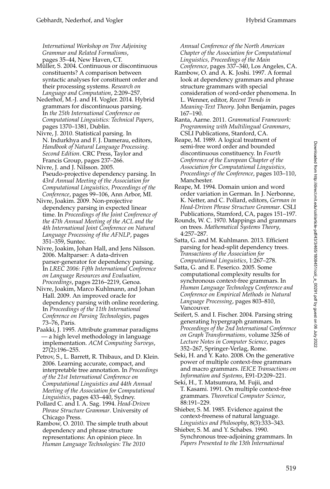*International Workshop on Tree Adjoining Grammar and Related Formalisms*, pages 35–44, New Haven, CT.

- Müller, S. 2004. Continuous or discontinuous constituents? A comparison between syntactic analyses for constituent order and their processing systems. *Research on Language and Computation*, 2:209–257.
- Nederhof, M.-J. and H. Vogler. 2014. Hybrid grammars for discontinuous parsing. In *the 25th International Conference on Computational Linguistics: Technical Papers*, pages 1370–1381, Dublin.
- Nivre, J. 2010. Statistical parsing. In N. Indurkhya and F. J. Damerau, editors, *Handbook of Natural Language Processing. Second Edition*. CRC Press, Taylor and Francis Group, pages 237–266.
- Nivre, J. and J. Nilsson. 2005. Pseudo-projective dependency parsing. In *43rd Annual Meeting of the Association for Computational Linguistics, Proceedings of the Conference*, pages 99–106, Ann Arbor, MI.
- Nivre, Joakim. 2009. Non-projective dependency parsing in expected linear time. In *Proceedings of the Joint Conference of the 47th Annual Meeting of the ACL and the 4th International Joint Conference on Natural Language Processing of the AFNLP*, pages 351–359, Suntec.
- Nivre, Joakim, Johan Hall, and Jens Nilsson. 2006. Maltparser: A data-driven parser-generator for dependency parsing. In *LREC 2006: Fifth International Conference on Language Resources and Evaluation, Proceedings*, pages 2216–2219, Genoa.
- Nivre, Joakim, Marco Kuhlmann, and Johan Hall. 2009. An improved oracle for dependency parsing with online reordering. In *Proceedings of the 11th International Conference on Parsing Technologies*, pages 73–76, Paris.
- Paakki, J. 1995. Attribute grammar paradigms — a high level methodology in language implementation. *ACM Computing Surveys*, 27(2):196–255.
- Petrov, S., L. Barrett, R. Thibaux, and D. Klein. 2006. Learning accurate, compact, and interpretable tree annotation. In *Proceedings of the 21st International Conference on Computational Linguistics and 44th Annual Meeting of the Association for Computational Linguistics*, pages 433–440, Sydney.
- Pollard C. and I. A. Sag. 1994. *Head-Driven Phrase Structure Grammar*. University of Chicago Press.

Rambow, O. 2010. The simple truth about dependency and phrase structure representations: An opinion piece. In *Human Language Technologies: The 2010*

*Annual Conference of the North American Chapter of the Association for Computational Linguistics, Proceedings of the Main Conference*, pages 337–340, Los Angeles, CA.

- Rambow, O. and A. K. Joshi. 1997. A formal look at dependency grammars and phrase structure grammars with special consideration of word-order phenomena. In L. Wenner, editor, *Recent Trends in Meaning-Text Theory*. John Benjamin, pages 167–190.
- Ranta, Aarne. 2011. *Grammatical Framework: Programming with Multilingual Grammars*, CSLI Publications, Stanford, CA.
- Reape, M. 1989. A logical treatment of semi-free word order and bounded discontinuous constituency. In *Fourth Conference of the European Chapter of the Association for Computational Linguistics, Proceedings of the Conference*, pages 103–110, Manchester.
- Reape, M. 1994. Domain union and word order variation in German. In J. Nerbonne, K. Netter, and C. Pollard, editors, *German in Head-Driven Phrase Structure Grammar*. CSLI Publications, Stamford, CA, pages 151–197.
- Rounds, W. C. 1970. Mappings and grammars on trees. *Mathematical Systems Theory*, 4:257–287.
- Satta, G. and M. Kuhlmann. 2013. Efficient parsing for head-split dependency trees. *Transactions of the Association for Computational Linguistics*, 1:267–278.
- Satta, G. and E. Peserico. 2005. Some computational complexity results for synchronous context-free grammars. In *Human Language Technology Conference and Conference on Empirical Methods in Natural Language Processing*, pages 803–810, Vancouver.
- Seifert, S. and I. Fischer. 2004. Parsing string generating hypergraph grammars. In *Proceedings of the 2nd International Conference on Graph Transformations,* volume 3256 of *Lecture Notes in Computer Science*, pages 352–267, Springer-Verlag, Rome.
- Seki, H. and Y. Kato. 2008. On the generative power of multiple context-free grammars and macro grammars. *IEICE Transactions on Information and Systems*, E91-D:209–221.
- Seki, H., T. Matsumura, M. Fujii, and T. Kasami. 1991. On multiple context-free grammars. *Theoretical Computer Science*, 88:191–229.
- Shieber, S. M. 1985. Evidence against the context-freeness of natural language. *Linguistics and Philosophy*, 8(3):333–343.
- Shieber, S. M. and Y. Schabes. 1990. Synchronous tree-adjoining grammars. In *Papers Presented to the 13th International*